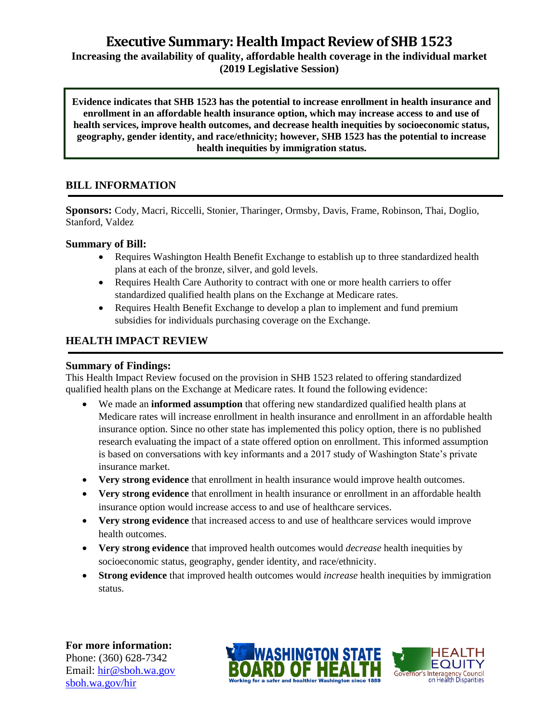# **Executive Summary: Health Impact Review of SHB1523**

**Increasing the availability of quality, affordable health coverage in the individual market (2019 Legislative Session)**

**Evidence indicates that SHB 1523 has the potential to increase enrollment in health insurance and enrollment in an affordable health insurance option, which may increase access to and use of health services, improve health outcomes, and decrease health inequities by socioeconomic status, geography, gender identity, and race/ethnicity; however, SHB 1523 has the potential to increase health inequities by immigration status.**

# **BILL INFORMATION**

**Sponsors:** Cody, Macri, Riccelli, Stonier, Tharinger, Ormsby, Davis, Frame, Robinson, Thai, Doglio, Stanford, Valdez

#### **Summary of Bill:**

- Requires Washington Health Benefit Exchange to establish up to three standardized health plans at each of the bronze, silver, and gold levels.
- Requires Health Care Authority to contract with one or more health carriers to offer standardized qualified health plans on the Exchange at Medicare rates.
- Requires Health Benefit Exchange to develop a plan to implement and fund premium subsidies for individuals purchasing coverage on the Exchange.

# **HEALTH IMPACT REVIEW**

#### **Summary of Findings:**

This Health Impact Review focused on the provision in SHB 1523 related to offering standardized qualified health plans on the Exchange at Medicare rates. It found the following evidence:

- We made an **informed assumption** that offering new standardized qualified health plans at Medicare rates will increase enrollment in health insurance and enrollment in an affordable health insurance option. Since no other state has implemented this policy option, there is no published research evaluating the impact of a state offered option on enrollment. This informed assumption is based on conversations with key informants and a 2017 study of Washington State's private insurance market.
- **Very strong evidence** that enrollment in health insurance would improve health outcomes.
- **Very strong evidence** that enrollment in health insurance or enrollment in an affordable health insurance option would increase access to and use of healthcare services.
- **Very strong evidence** that increased access to and use of healthcare services would improve health outcomes.
- **Very strong evidence** that improved health outcomes would *decrease* health inequities by socioeconomic status, geography, gender identity, and race/ethnicity.
- **Strong evidence** that improved health outcomes would *increase* health inequities by immigration status.

**For more information:** Phone: (360) 628-7342 Email: [hir@sboh.wa.gov](mailto:hir@sboh.wa.gov) [sboh.wa.gov/](http://sboh.wa.gov/)hir



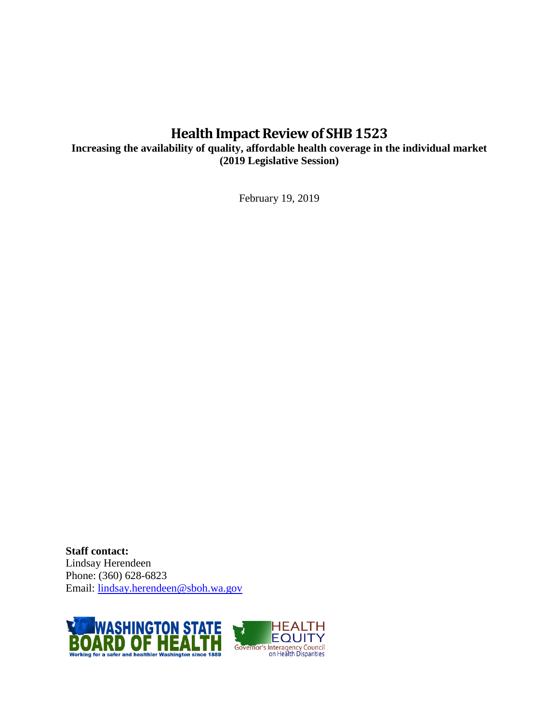# **Health Impact Review of SHB1523**

**Increasing the availability of quality, affordable health coverage in the individual market (2019 Legislative Session)**

February 19, 2019

**Staff contact:** Lindsay Herendeen Phone: (360) 628-6823 Email: [lindsay.herendeen@sboh.wa.gov](mailto:lindsay.herendeen@sboh.wa.gov)

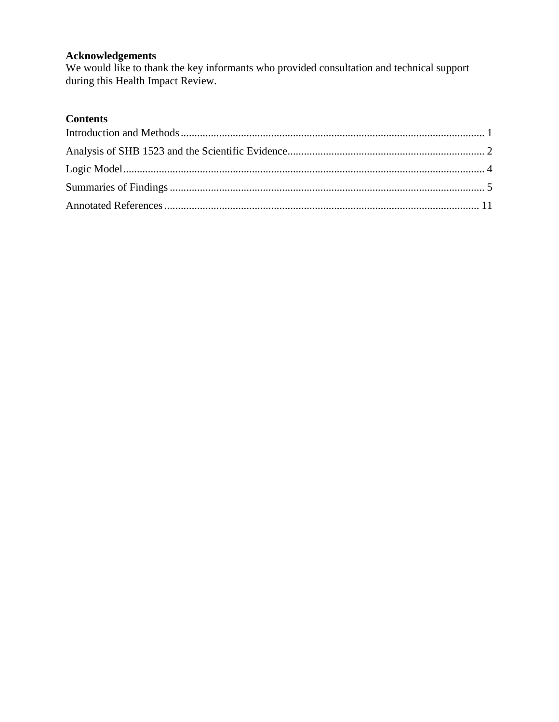# **Acknowledgements**

We would like to thank the key informants who provided consultation and technical support during this Health Impact Review.

# **Contents**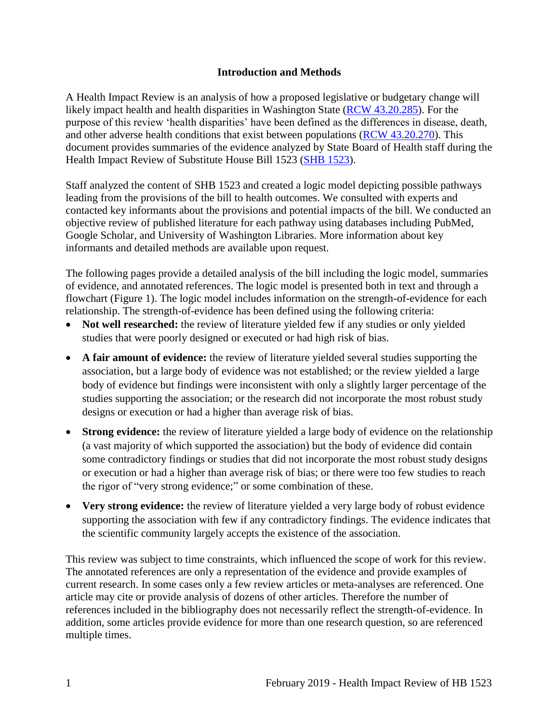#### **Introduction and Methods**

<span id="page-3-0"></span>A Health Impact Review is an analysis of how a proposed legislative or budgetary change will likely impact health and health disparities in Washington State [\(RCW 43.20.285\)](http://apps.leg.wa.gov/rcw/default.aspx?cite=43.20.285). For the purpose of this review 'health disparities' have been defined as the differences in disease, death, and other adverse health conditions that exist between populations [\(RCW 43.20.270\)](http://apps.leg.wa.gov/rcw/default.aspx?cite=43.20.270). This document provides summaries of the evidence analyzed by State Board of Health staff during the Health Impact Review of Substitute House Bill 1523 [\(SHB](https://app.leg.wa.gov/billsummary?BillNumber=1523&Year=2019&Initiative=False) 1523).

Staff analyzed the content of SHB 1523 and created a logic model depicting possible pathways leading from the provisions of the bill to health outcomes. We consulted with experts and contacted key informants about the provisions and potential impacts of the bill. We conducted an objective review of published literature for each pathway using databases including PubMed, Google Scholar, and University of Washington Libraries. More information about key informants and detailed methods are available upon request.

The following pages provide a detailed analysis of the bill including the logic model, summaries of evidence, and annotated references. The logic model is presented both in text and through a flowchart (Figure 1). The logic model includes information on the strength-of-evidence for each relationship. The strength-of-evidence has been defined using the following criteria:

- Not well researched: the review of literature yielded few if any studies or only yielded studies that were poorly designed or executed or had high risk of bias.
- **A fair amount of evidence:** the review of literature yielded several studies supporting the association, but a large body of evidence was not established; or the review yielded a large body of evidence but findings were inconsistent with only a slightly larger percentage of the studies supporting the association; or the research did not incorporate the most robust study designs or execution or had a higher than average risk of bias.
- **Strong evidence:** the review of literature yielded a large body of evidence on the relationship (a vast majority of which supported the association) but the body of evidence did contain some contradictory findings or studies that did not incorporate the most robust study designs or execution or had a higher than average risk of bias; or there were too few studies to reach the rigor of "very strong evidence;" or some combination of these.
- Very strong evidence: the review of literature yielded a very large body of robust evidence supporting the association with few if any contradictory findings. The evidence indicates that the scientific community largely accepts the existence of the association.

This review was subject to time constraints, which influenced the scope of work for this review. The annotated references are only a representation of the evidence and provide examples of current research. In some cases only a few review articles or meta-analyses are referenced. One article may cite or provide analysis of dozens of other articles. Therefore the number of references included in the bibliography does not necessarily reflect the strength-of-evidence. In addition, some articles provide evidence for more than one research question, so are referenced multiple times.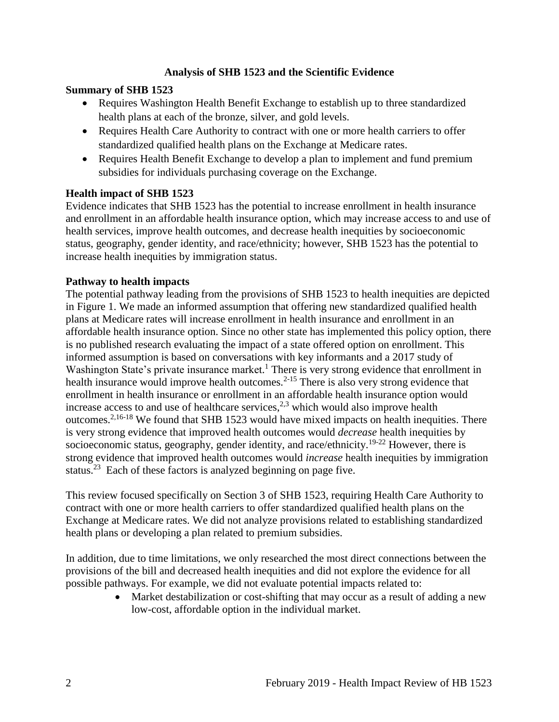## **Analysis of SHB 1523 and the Scientific Evidence**

#### <span id="page-4-0"></span>**Summary of SHB 1523**

- Requires Washington Health Benefit Exchange to establish up to three standardized health plans at each of the bronze, silver, and gold levels.
- Requires Health Care Authority to contract with one or more health carriers to offer standardized qualified health plans on the Exchange at Medicare rates.
- Requires Health Benefit Exchange to develop a plan to implement and fund premium subsidies for individuals purchasing coverage on the Exchange.

#### **Health impact of SHB 1523**

Evidence indicates that SHB 1523 has the potential to increase enrollment in health insurance and enrollment in an affordable health insurance option, which may increase access to and use of health services, improve health outcomes, and decrease health inequities by socioeconomic status, geography, gender identity, and race/ethnicity; however, SHB 1523 has the potential to increase health inequities by immigration status.

#### **Pathway to health impacts**

The potential pathway leading from the provisions of SHB 1523 to health inequities are depicted in Figure 1. We made an informed assumption that offering new standardized qualified health plans at Medicare rates will increase enrollment in health insurance and enrollment in an affordable health insurance option. Since no other state has implemented this policy option, there is no published research evaluating the impact of a state offered option on enrollment. This informed assumption is based on conversations with key informants and a 2017 study of Washington State's private insurance market.<sup>1</sup> There is very strong evidence that enrollment in health insurance would improve health outcomes.<sup>2-15</sup> There is also very strong evidence that enrollment in health insurance or enrollment in an affordable health insurance option would increase access to and use of healthcare services, $2,3$  $2,3$  which would also improve health outcomes.<sup>[2](#page-15-0)[,16-18](#page-22-0)</sup> We found that SHB 1523 would have mixed impacts on health inequities. There is very strong evidence that improved health outcomes would *decrease* health inequities by socioeconomic status, geography, gender identity, and race/ethnicity.<sup>19-22</sup> However, there is strong evidence that improved health outcomes would *increase* health inequities by immigration status.<sup>23</sup> Each of these factors is analyzed beginning on page five.

This review focused specifically on Section 3 of SHB 1523, requiring Health Care Authority to contract with one or more health carriers to offer standardized qualified health plans on the Exchange at Medicare rates. We did not analyze provisions related to establishing standardized health plans or developing a plan related to premium subsidies.

In addition, due to time limitations, we only researched the most direct connections between the provisions of the bill and decreased health inequities and did not explore the evidence for all possible pathways. For example, we did not evaluate potential impacts related to:

> • Market destabilization or cost-shifting that may occur as a result of adding a new low-cost, affordable option in the individual market.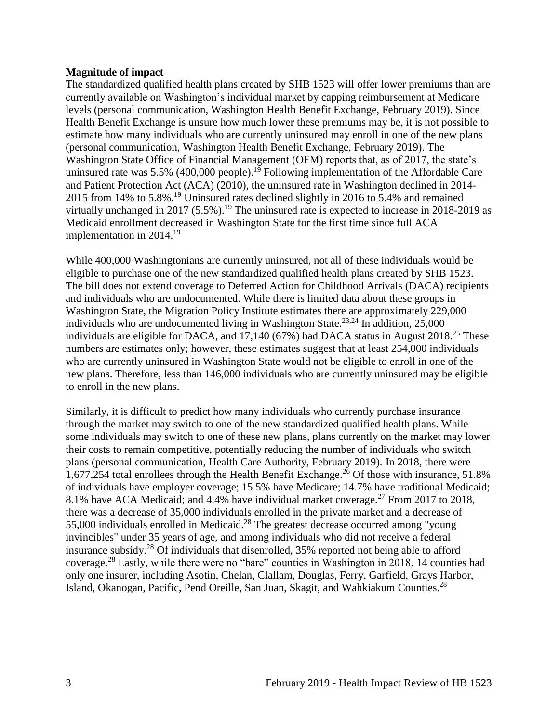#### **Magnitude of impact**

The standardized qualified health plans created by SHB 1523 will offer lower premiums than are currently available on Washington's individual market by capping reimbursement at Medicare levels (personal communication, Washington Health Benefit Exchange, February 2019). Since Health Benefit Exchange is unsure how much lower these premiums may be, it is not possible to estimate how many individuals who are currently uninsured may enroll in one of the new plans (personal communication, Washington Health Benefit Exchange, February 2019). The Washington State Office of Financial Management (OFM) reports that, as of 2017, the state's uninsured rate was 5.5% (400,000 people).<sup>19</sup> Following implementation of the Affordable Care and Patient Protection Act (ACA) (2010), the uninsured rate in Washington declined in 2014- 2015 from 14% to 5.8%.<sup>19</sup> Uninsured rates declined slightly in 2016 to 5.4% and remained virtually unchanged in 2017 (5.5%).<sup>19</sup> The uninsured rate is expected to increase in 2018-2019 as Medicaid enrollment decreased in Washington State for the first time since full ACA implementation in  $2014<sup>19</sup>$ 

While 400,000 Washingtonians are currently uninsured, not all of these individuals would be eligible to purchase one of the new standardized qualified health plans created by SHB 1523. The bill does not extend coverage to Deferred Action for Childhood Arrivals (DACA) recipients and individuals who are undocumented. While there is limited data about these groups in Washington State, the Migration Policy Institute estimates there are approximately 229,000 individuals who are undocumented living in Washington State.<sup>[23,](#page-24-0)[24](#page-24-1)</sup> In addition,  $25,000$ individuals are eligible for DACA, and 17,140 (67%) had DACA status in August 2018.<sup>25</sup> These numbers are estimates only; however, these estimates suggest that at least 254,000 individuals who are currently uninsured in Washington State would not be eligible to enroll in one of the new plans. Therefore, less than 146,000 individuals who are currently uninsured may be eligible to enroll in the new plans.

Similarly, it is difficult to predict how many individuals who currently purchase insurance through the market may switch to one of the new standardized qualified health plans. While some individuals may switch to one of these new plans, plans currently on the market may lower their costs to remain competitive, potentially reducing the number of individuals who switch plans (personal communication, Health Care Authority, February 2019). In 2018, there were 1,677,254 total enrollees through the Health Benefit Exchange. <sup>26</sup> Of those with insurance, 51.8% of individuals have employer coverage; 15.5% have Medicare; 14.7% have traditional Medicaid; 8.1% have ACA Medicaid; and 4.4% have individual market coverage.<sup>27</sup> From 2017 to 2018, there was a decrease of 35,000 individuals enrolled in the private market and a decrease of 55,000 individuals enrolled in Medicaid.<sup>28</sup> The greatest decrease occurred among "young invincibles" under 35 years of age, and among individuals who did not receive a federal insurance subsidy.<sup>28</sup> Of individuals that disenrolled, 35% reported not being able to afford coverage.<sup>28</sup> Lastly, while there were no "bare" counties in Washington in 2018, 14 counties had only one insurer, including Asotin, Chelan, Clallam, Douglas, Ferry, Garfield, Grays Harbor, Island, Okanogan, Pacific, Pend Oreille, San Juan, Skagit, and Wahkiakum Counties.<sup>28</sup>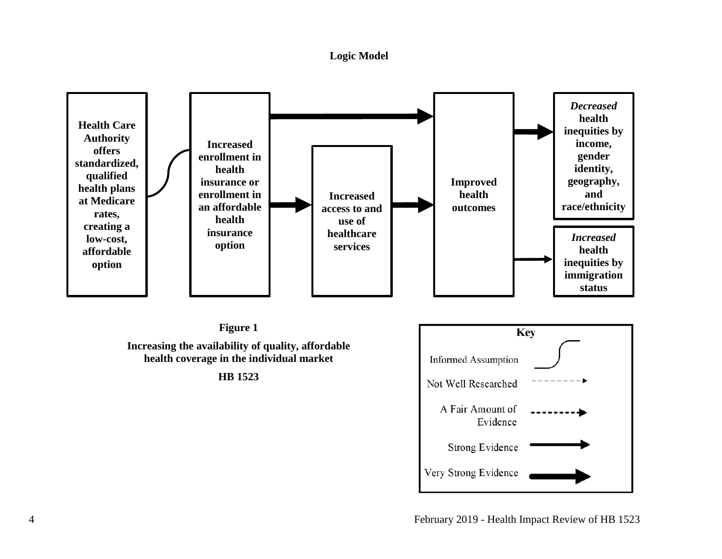#### **Logic Model**

<span id="page-6-0"></span>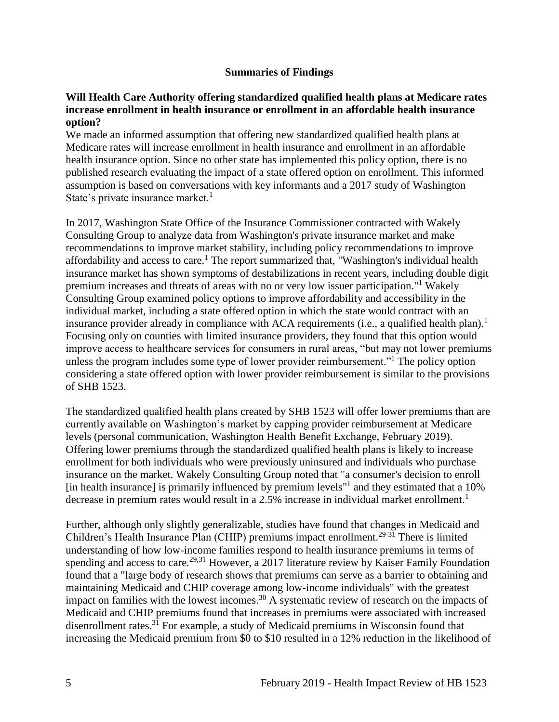#### **Summaries of Findings**

#### <span id="page-7-0"></span>**Will Health Care Authority offering standardized qualified health plans at Medicare rates increase enrollment in health insurance or enrollment in an affordable health insurance option?**

We made an informed assumption that offering new standardized qualified health plans at Medicare rates will increase enrollment in health insurance and enrollment in an affordable health insurance option. Since no other state has implemented this policy option, there is no published research evaluating the impact of a state offered option on enrollment. This informed assumption is based on conversations with key informants and a 2017 study of Washington State's private insurance market. $1$ 

In 2017, Washington State Office of the Insurance Commissioner contracted with Wakely Consulting Group to analyze data from Washington's private insurance market and make recommendations to improve market stability, including policy recommendations to improve affordability and access to care.<sup>1</sup> The report summarized that, "Washington's individual health insurance market has shown symptoms of destabilizations in recent years, including double digit premium increases and threats of areas with no or very low issuer participation."<sup>1</sup> Wakely Consulting Group examined policy options to improve affordability and accessibility in the individual market, including a state offered option in which the state would contract with an insurance provider already in compliance with ACA requirements (i.e., a qualified health plan).<sup>1</sup> Focusing only on counties with limited insurance providers, they found that this option would improve access to healthcare services for consumers in rural areas, "but may not lower premiums unless the program includes some type of lower provider reimbursement."<sup>1</sup> The policy option considering a state offered option with lower provider reimbursement is similar to the provisions of SHB 1523.

The standardized qualified health plans created by SHB 1523 will offer lower premiums than are currently available on Washington's market by capping provider reimbursement at Medicare levels (personal communication, Washington Health Benefit Exchange, February 2019). Offering lower premiums through the standardized qualified health plans is likely to increase enrollment for both individuals who were previously uninsured and individuals who purchase insurance on the market. Wakely Consulting Group noted that "a consumer's decision to enroll [in health insurance] is primarily influenced by premium levels"<sup>1</sup> and they estimated that a 10% decrease in premium rates would result in a 2.5% increase in individual market enrollment.<sup>1</sup>

Further, although only slightly generalizable, studies have found that changes in Medicaid and Children's Health Insurance Plan (CHIP) premiums impact enrollment.<sup>29-31</sup> There is limited understanding of how low-income families respond to health insurance premiums in terms of spending and access to care.<sup>[29,](#page-26-0)[31](#page-26-1)</sup> However, a 2017 literature review by Kaiser Family Foundation found that a "large body of research shows that premiums can serve as a barrier to obtaining and maintaining Medicaid and CHIP coverage among low-income individuals" with the greatest impact on families with the lowest incomes.<sup>30</sup> A systematic review of research on the impacts of Medicaid and CHIP premiums found that increases in premiums were associated with increased disenrollment rates.<sup>31</sup> For example, a study of Medicaid premiums in Wisconsin found that increasing the Medicaid premium from \$0 to \$10 resulted in a 12% reduction in the likelihood of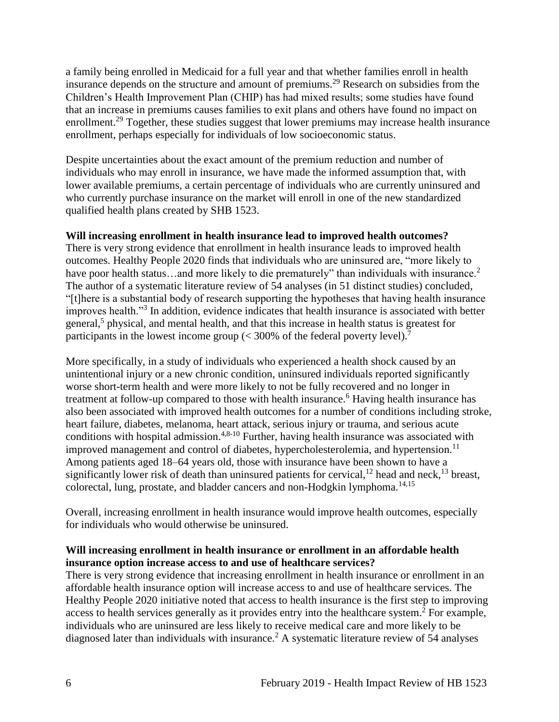a family being enrolled in Medicaid for a full year and that whether families enroll in health insurance depends on the structure and amount of premiums.<sup>29</sup> Research on subsidies from the Children's Health Improvement Plan (CHIP) has had mixed results; some studies have found that an increase in premiums causes families to exit plans and others have found no impact on enrollment.<sup>29</sup> Together, these studies suggest that lower premiums may increase health insurance enrollment, perhaps especially for individuals of low socioeconomic status.

Despite uncertainties about the exact amount of the premium reduction and number of individuals who may enroll in insurance, we have made the informed assumption that, with lower available premiums, a certain percentage of individuals who are currently uninsured and who currently purchase insurance on the market will enroll in one of the new standardized qualified health plans created by SHB 1523.

#### **Will increasing enrollment in health insurance lead to improved health outcomes?**

There is very strong evidence that enrollment in health insurance leads to improved health outcomes. Healthy People 2020 finds that individuals who are uninsured are, "more likely to have poor health status...and more likely to die prematurely" than individuals with insurance.<sup>2</sup> The author of a systematic literature review of 54 analyses (in 51 distinct studies) concluded, "[t]here is a substantial body of research supporting the hypotheses that having health insurance improves health."<sup>3</sup> In addition, evidence indicates that health insurance is associated with better general,<sup>5</sup> physical, and mental health, and that this increase in health status is greatest for participants in the lowest income group  $(< 300\%$  of the federal poverty level).<sup>7</sup>

More specifically, in a study of individuals who experienced a health shock caused by an unintentional injury or a new chronic condition, uninsured individuals reported significantly worse short-term health and were more likely to not be fully recovered and no longer in treatment at follow-up compared to those with health insurance.<sup>6</sup> Having health insurance has also been associated with improved health outcomes for a number of conditions including stroke, heart failure, diabetes, melanoma, heart attack, serious injury or trauma, and serious acute conditions with hospital admission.<sup>[4](#page-16-1)[,8-10](#page-18-0)</sup> Further, having health insurance was associated with improved management and control of diabetes, hypercholesterolemia, and hypertension.<sup>11</sup> Among patients aged 18–64 years old, those with insurance have been shown to have a significantly lower risk of death than uninsured patients for cervical,<sup>12</sup> head and neck,<sup>13</sup> breast, colorectal, lung, prostate, and bladder cancers and non-Hodgkin lymphoma.<sup>[14,](#page-21-0)[15](#page-21-1)</sup>

Overall, increasing enrollment in health insurance would improve health outcomes, especially for individuals who would otherwise be uninsured.

# **Will increasing enrollment in health insurance or enrollment in an affordable health insurance option increase access to and use of healthcare services?**

There is very strong evidence that increasing enrollment in health insurance or enrollment in an affordable health insurance option will increase access to and use of healthcare services. The Healthy People 2020 initiative noted that access to health insurance is the first step to improving access to health services generally as it provides entry into the healthcare system.<sup>2</sup> For example, individuals who are uninsured are less likely to receive medical care and more likely to be diagnosed later than individuals with insurance.<sup>2</sup> A systematic literature review of 54 analyses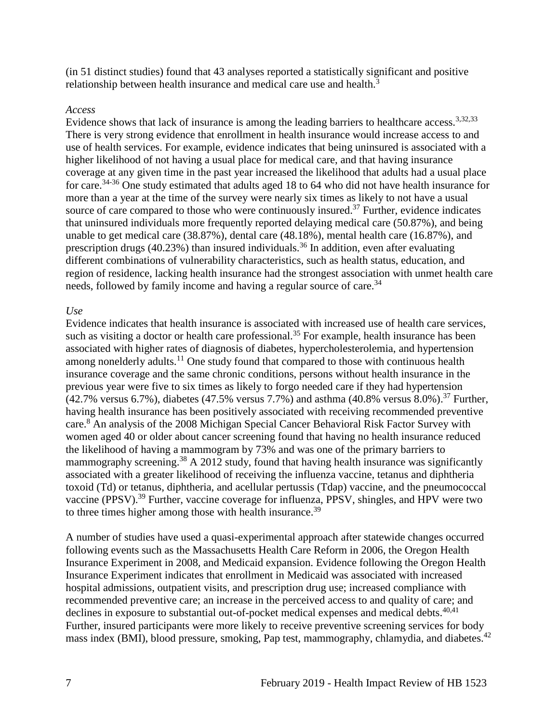(in 51 distinct studies) found that 43 analyses reported a statistically significant and positive relationship between health insurance and medical care use and health.<sup>3</sup>

#### *Access*

Evidence shows that lack of insurance is among the leading barriers to healthcare access.<sup>[3](#page-16-0)[,32](#page-27-0)[,33](#page-27-1)</sup> There is very strong evidence that enrollment in health insurance would increase access to and use of health services. For example, evidence indicates that being uninsured is associated with a higher likelihood of not having a usual place for medical care, and that having insurance coverage at any given time in the past year increased the likelihood that adults had a usual place for care.34-36 One study estimated that adults aged 18 to 64 who did not have health insurance for more than a year at the time of the survey were nearly six times as likely to not have a usual source of care compared to those who were continuously insured.<sup>37</sup> Further, evidence indicates that uninsured individuals more frequently reported delaying medical care (50.87%), and being unable to get medical care (38.87%), dental care (48.18%), mental health care (16.87%), and prescription drugs (40.23%) than insured individuals.<sup>36</sup> In addition, even after evaluating different combinations of vulnerability characteristics, such as health status, education, and region of residence, lacking health insurance had the strongest association with unmet health care needs, followed by family income and having a regular source of care.<sup>34</sup>

#### *Use*

Evidence indicates that health insurance is associated with increased use of health care services, such as visiting a doctor or health care professional.<sup>35</sup> For example, health insurance has been associated with higher rates of diagnosis of diabetes, hypercholesterolemia, and hypertension among nonelderly adults.<sup>11</sup> One study found that compared to those with continuous health insurance coverage and the same chronic conditions, persons without health insurance in the previous year were five to six times as likely to forgo needed care if they had hypertension  $(42.7\% \text{ versus } 6.7\%)$ , diabetes  $(47.5\% \text{ versus } 7.7\%)$  and asthma  $(40.8\% \text{ versus } 8.0\%)$ .<sup>37</sup> Further, having health insurance has been positively associated with receiving recommended preventive care.<sup>8</sup> An analysis of the 2008 Michigan Special Cancer Behavioral Risk Factor Survey with women aged 40 or older about cancer screening found that having no health insurance reduced the likelihood of having a mammogram by 73% and was one of the primary barriers to mammography screening.<sup>38</sup> A 2012 study, found that having health insurance was significantly associated with a greater likelihood of receiving the influenza vaccine, tetanus and diphtheria toxoid (Td) or tetanus, diphtheria, and acellular pertussis (Tdap) vaccine, and the pneumococcal vaccine (PPSV).<sup>39</sup> Further, vaccine coverage for influenza, PPSV, shingles, and HPV were two to three times higher among those with health insurance.<sup>39</sup>

A number of studies have used a quasi-experimental approach after statewide changes occurred following events such as the Massachusetts Health Care Reform in 2006, the Oregon Health Insurance Experiment in 2008, and Medicaid expansion. Evidence following the Oregon Health Insurance Experiment indicates that enrollment in Medicaid was associated with increased hospital admissions, outpatient visits, and prescription drug use; increased compliance with recommended preventive care; an increase in the perceived access to and quality of care; and declines in exposure to substantial out-of-pocket medical expenses and medical debts.<sup>[40](#page-30-0)[,41](#page-31-0)</sup> Further, insured participants were more likely to receive preventive screening services for body mass index (BMI), blood pressure, smoking, Pap test, mammography, chlamydia, and diabetes.<sup>42</sup>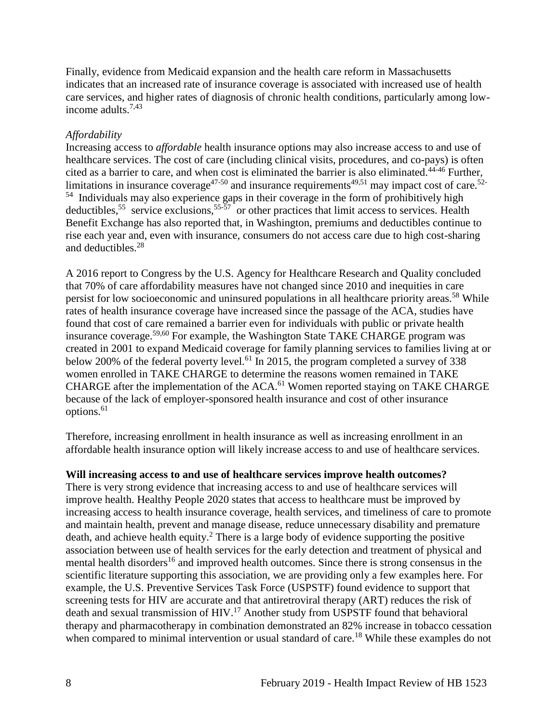Finally, evidence from Medicaid expansion and the health care reform in Massachusetts indicates that an increased rate of insurance coverage is associated with increased use of health care services, and higher rates of diagnosis of chronic health conditions, particularly among lowincome adults.[7](#page-18-1)[,43](#page-32-0)

# *Affordability*

Increasing access to *affordable* health insurance options may also increase access to and use of healthcare services. The cost of care (including clinical visits, procedures, and co-pays) is often cited as a barrier to care, and when cost is eliminated the barrier is also eliminated.<sup>44-46</sup> Further, limitations in insurance coverage<sup>47-50</sup> and insurance requirements<sup>[49,](#page-34-0)[51](#page-35-0)</sup> may impact cost of care.<sup>52-</sup> <sup>54</sup> Individuals may also experience gaps in their coverage in the form of prohibitively high deductibles,<sup>55</sup> service exclusions,<sup>55-57</sup> or other practices that limit access to services. Health Benefit Exchange has also reported that, in Washington, premiums and deductibles continue to rise each year and, even with insurance, consumers do not access care due to high cost-sharing and deductibles.<sup>28</sup>

A 2016 report to Congress by the U.S. Agency for Healthcare Research and Quality concluded that 70% of care affordability measures have not changed since 2010 and inequities in care persist for low socioeconomic and uninsured populations in all healthcare priority areas.<sup>58</sup> While rates of health insurance coverage have increased since the passage of the ACA, studies have found that cost of care remained a barrier even for individuals with public or private health insurance coverage.<sup>[59,](#page-41-0)[60](#page-41-1)</sup> For example, the Washington State TAKE CHARGE program was created in 2001 to expand Medicaid coverage for family planning services to families living at or below 200% of the federal poverty level.<sup>61</sup> In 2015, the program completed a survey of 338 women enrolled in TAKE CHARGE to determine the reasons women remained in TAKE CHARGE after the implementation of the ACA.<sup>61</sup> Women reported staying on TAKE CHARGE because of the lack of employer-sponsored health insurance and cost of other insurance options.<sup>61</sup>

Therefore, increasing enrollment in health insurance as well as increasing enrollment in an affordable health insurance option will likely increase access to and use of healthcare services.

#### **Will increasing access to and use of healthcare services improve health outcomes?**

There is very strong evidence that increasing access to and use of healthcare services will improve health. Healthy People 2020 states that access to healthcare must be improved by increasing access to health insurance coverage, health services, and timeliness of care to promote and maintain health, prevent and manage disease, reduce unnecessary disability and premature death, and achieve health equity.<sup>2</sup> There is a large body of evidence supporting the positive association between use of health services for the early detection and treatment of physical and mental health disorders<sup>16</sup> and improved health outcomes. Since there is strong consensus in the scientific literature supporting this association, we are providing only a few examples here. For example, the U.S. Preventive Services Task Force (USPSTF) found evidence to support that screening tests for HIV are accurate and that antiretroviral therapy (ART) reduces the risk of death and sexual transmission of HIV.<sup>17</sup> Another study from USPSTF found that behavioral therapy and pharmacotherapy in combination demonstrated an 82% increase in tobacco cessation when compared to minimal intervention or usual standard of care.<sup>18</sup> While these examples do not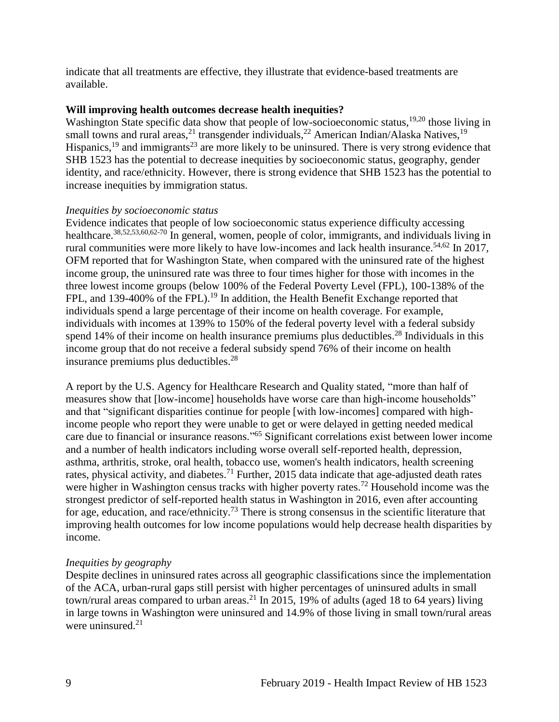indicate that all treatments are effective, they illustrate that evidence-based treatments are available.

#### **Will improving health outcomes decrease health inequities?**

Washington State specific data show that people of low-socioeconomic status,<sup>[19](#page-23-0)[,20](#page-23-1)</sup> those living in small towns and rural areas,<sup>21</sup> transgender individuals,<sup>22</sup> American Indian/Alaska Natives,<sup>19</sup> Hispanics,  $19$  and immigrants<sup>23</sup> are more likely to be uninsured. There is very strong evidence that SHB 1523 has the potential to decrease inequities by socioeconomic status, geography, gender identity, and race/ethnicity. However, there is strong evidence that SHB 1523 has the potential to increase inequities by immigration status.

#### *Inequities by socioeconomic status*

Evidence indicates that people of low socioeconomic status experience difficulty accessing healthcare.<sup>[38,](#page-30-1)[52,](#page-36-0)[53,](#page-36-1)[60,](#page-41-1)[62-70](#page-42-0)</sup> In general, women, people of color, immigrants, and individuals living in rural communities were more likely to have low-incomes and lack health insurance.<sup>[54,](#page-37-0)[62](#page-42-0)</sup> In 2017, OFM reported that for Washington State, when compared with the uninsured rate of the highest income group, the uninsured rate was three to four times higher for those with incomes in the three lowest income groups (below 100% of the Federal Poverty Level (FPL), 100-138% of the FPL, and 139-400% of the FPL).<sup>19</sup> In addition, the Health Benefit Exchange reported that individuals spend a large percentage of their income on health coverage. For example, individuals with incomes at 139% to 150% of the federal poverty level with a federal subsidy spend 14% of their income on health insurance premiums plus deductibles.<sup>28</sup> Individuals in this income group that do not receive a federal subsidy spend 76% of their income on health insurance premiums plus deductibles. 28

A report by the U.S. Agency for Healthcare Research and Quality stated, "more than half of measures show that [low-income] households have worse care than high-income households" and that "significant disparities continue for people [with low-incomes] compared with highincome people who report they were unable to get or were delayed in getting needed medical care due to financial or insurance reasons." <sup>65</sup> Significant correlations exist between lower income and a number of health indicators including worse overall self-reported health, depression, asthma, arthritis, stroke, oral health, tobacco use, women's health indicators, health screening rates, physical activity, and diabetes.<sup>71</sup> Further, 2015 data indicate that age-adjusted death rates were higher in Washington census tracks with higher poverty rates.<sup>72</sup> Household income was the strongest predictor of self-reported health status in Washington in 2016, even after accounting for age, education, and race/ethnicity.<sup>73</sup> There is strong consensus in the scientific literature that improving health outcomes for low income populations would help decrease health disparities by income.

#### *Inequities by geography*

Despite declines in uninsured rates across all geographic classifications since the implementation of the ACA, urban-rural gaps still persist with higher percentages of uninsured adults in small town/rural areas compared to urban areas.<sup>21</sup> In 2015, 19% of adults (aged 18 to 64 years) living in large towns in Washington were uninsured and 14.9% of those living in small town/rural areas were uninsured. $21$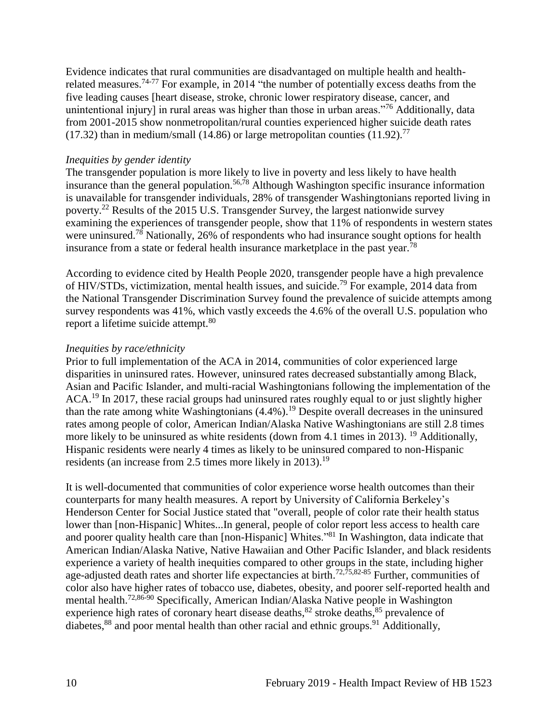Evidence indicates that rural communities are disadvantaged on multiple health and healthrelated measures.<sup>74-77</sup> For example, in 2014 "the number of potentially excess deaths from the five leading causes [heart disease, stroke, chronic lower respiratory disease, cancer, and unintentional injury] in rural areas was higher than those in urban areas."<sup>76</sup> Additionally, data from 2001-2015 show nonmetropolitan/rural counties experienced higher suicide death rates (17.32) than in medium/small (14.86) or large metropolitan counties (11.92).<sup>77</sup>

#### *Inequities by gender identity*

The transgender population is more likely to live in poverty and less likely to have health insurance than the general population.<sup>[56](#page-38-0)[,78](#page-49-0)</sup> Although Washington specific insurance information is unavailable for transgender individuals, 28% of transgender Washingtonians reported living in poverty.<sup>22</sup> Results of the 2015 U.S. Transgender Survey, the largest nationwide survey examining the experiences of transgender people, show that 11% of respondents in western states were uninsured.<sup>78</sup> Nationally, 26% of respondents who had insurance sought options for health insurance from a state or federal health insurance marketplace in the past year.<sup>78</sup>

According to evidence cited by Health People 2020, transgender people have a high prevalence of HIV/STDs, victimization, mental health issues, and suicide.<sup>79</sup> For example, 2014 data from the National Transgender Discrimination Survey found the prevalence of suicide attempts among survey respondents was 41%, which vastly exceeds the 4.6% of the overall U.S. population who report a lifetime suicide attempt.<sup>80</sup>

#### *Inequities by race/ethnicity*

Prior to full implementation of the ACA in 2014, communities of color experienced large disparities in uninsured rates. However, uninsured rates decreased substantially among Black, Asian and Pacific Islander, and multi-racial Washingtonians following the implementation of the ACA.<sup>19</sup> In 2017, these racial groups had uninsured rates roughly equal to or just slightly higher than the rate among white Washingtonians  $(4.4\%)$ .<sup>19</sup> Despite overall decreases in the uninsured rates among people of color, American Indian/Alaska Native Washingtonians are still 2.8 times more likely to be uninsured as white residents (down from 4.1 times in 2013). <sup>19</sup> Additionally, Hispanic residents were nearly 4 times as likely to be uninsured compared to non-Hispanic residents (an increase from 2.5 times more likely in 2013).<sup>19</sup>

It is well-documented that communities of color experience worse health outcomes than their counterparts for many health measures. A report by University of California Berkeley's Henderson Center for Social Justice stated that "overall, people of color rate their health status lower than [non-Hispanic] Whites...In general, people of color report less access to health care and poorer quality health care than [non-Hispanic] Whites."<sup>81</sup> In Washington, data indicate that American Indian/Alaska Native, Native Hawaiian and Other Pacific Islander, and black residents experience a variety of health inequities compared to other groups in the state, including higher age-adjusted death rates and shorter life expectancies at birth.<sup>[72,](#page-47-0)[75,](#page-48-0)[82-85](#page-50-0)</sup> Further, communities of color also have higher rates of tobacco use, diabetes, obesity, and poorer self-reported health and mental health.[72](#page-47-0)[,86-90](#page-51-0) Specifically, American Indian/Alaska Native people in Washington experience high rates of coronary heart disease deaths,  $82$  stroke deaths,  $85$  prevalence of diabetes,<sup>88</sup> and poor mental health than other racial and ethnic groups.<sup>91</sup> Additionally,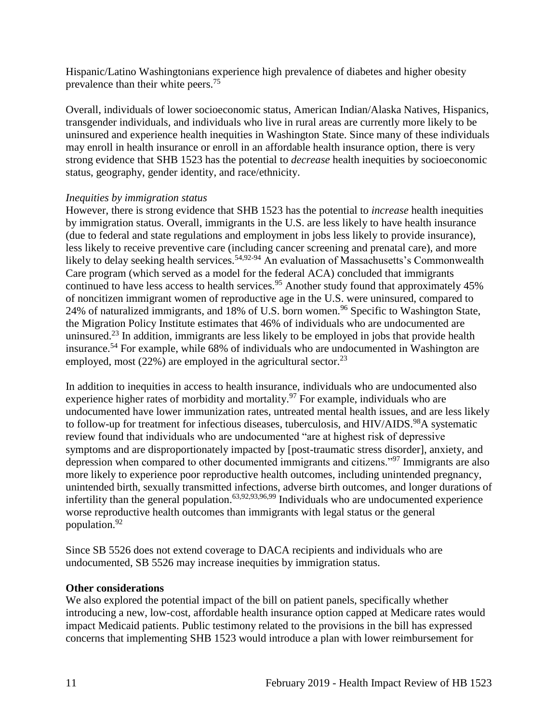Hispanic/Latino Washingtonians experience high prevalence of diabetes and higher obesity prevalence than their white peers.<sup>75</sup>

Overall, individuals of lower socioeconomic status, American Indian/Alaska Natives, Hispanics, transgender individuals, and individuals who live in rural areas are currently more likely to be uninsured and experience health inequities in Washington State. Since many of these individuals may enroll in health insurance or enroll in an affordable health insurance option, there is very strong evidence that SHB 1523 has the potential to *decrease* health inequities by socioeconomic status, geography, gender identity, and race/ethnicity.

#### *Inequities by immigration status*

However, there is strong evidence that SHB 1523 has the potential to *increase* health inequities by immigration status. Overall, immigrants in the U.S. are less likely to have health insurance (due to federal and state regulations and employment in jobs less likely to provide insurance), less likely to receive preventive care (including cancer screening and prenatal care), and more likely to delay seeking health services.<sup>[54,](#page-37-0)[92-94](#page-52-0)</sup> An evaluation of Massachusetts's Commonwealth Care program (which served as a model for the federal ACA) concluded that immigrants continued to have less access to health services.<sup>95</sup> Another study found that approximately  $45\%$ of noncitizen immigrant women of reproductive age in the U.S. were uninsured, compared to 24% of naturalized immigrants, and 18% of U.S. born women.<sup>96</sup> Specific to Washington State, the Migration Policy Institute estimates that 46% of individuals who are undocumented are uninsured.<sup>23</sup> In addition, immigrants are less likely to be employed in jobs that provide health insurance.<sup>54</sup> For example, while 68% of individuals who are undocumented in Washington are employed, most  $(22%)$  are employed in the agricultural sector.<sup>23</sup>

In addition to inequities in access to health insurance, individuals who are undocumented also experience higher rates of morbidity and mortality. $97$  For example, individuals who are undocumented have lower immunization rates, untreated mental health issues, and are less likely to follow-up for treatment for infectious diseases, tuberculosis, and HIV/AIDS.<sup>98</sup>A systematic review found that individuals who are undocumented "are at highest risk of depressive symptoms and are disproportionately impacted by [post-traumatic stress disorder], anxiety, and depression when compared to other documented immigrants and citizens."<sup>97</sup> Immigrants are also more likely to experience poor reproductive health outcomes, including unintended pregnancy, unintended birth, sexually transmitted infections, adverse birth outcomes, and longer durations of infertility than the general population.<sup>[63,](#page-42-1)[92,](#page-52-0)[93,](#page-52-1)[96,](#page-54-0)[99](#page-56-0)</sup> Individuals who are undocumented experience worse reproductive health outcomes than immigrants with legal status or the general population.<sup>92</sup>

Since SB 5526 does not extend coverage to DACA recipients and individuals who are undocumented, SB 5526 may increase inequities by immigration status.

# **Other considerations**

<span id="page-13-0"></span>We also explored the potential impact of the bill on patient panels, specifically whether introducing a new, low-cost, affordable health insurance option capped at Medicare rates would impact Medicaid patients. Public testimony related to the provisions in the bill has expressed concerns that implementing SHB 1523 would introduce a plan with lower reimbursement for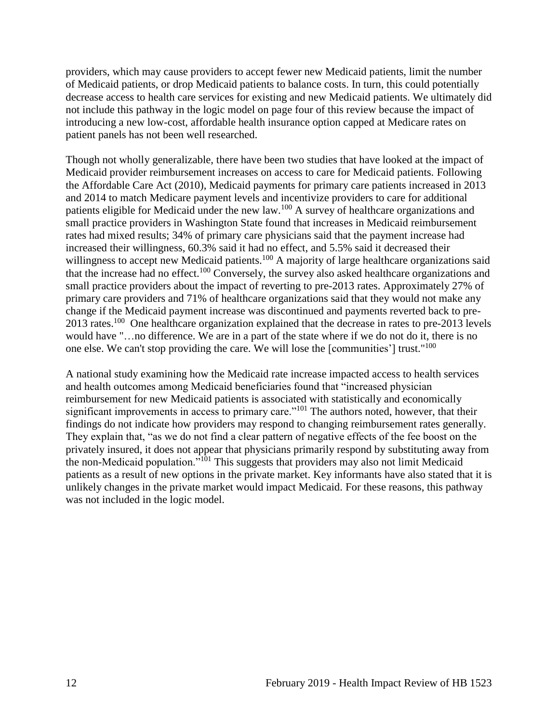providers, which may cause providers to accept fewer new Medicaid patients, limit the number of Medicaid patients, or drop Medicaid patients to balance costs. In turn, this could potentially decrease access to health care services for existing and new Medicaid patients. We ultimately did not include this pathway in the logic model on page four of this review because the impact of introducing a new low-cost, affordable health insurance option capped at Medicare rates on patient panels has not been well researched.

Though not wholly generalizable, there have been two studies that have looked at the impact of Medicaid provider reimbursement increases on access to care for Medicaid patients. Following the Affordable Care Act (2010), Medicaid payments for primary care patients increased in 2013 and 2014 to match Medicare payment levels and incentivize providers to care for additional patients eligible for Medicaid under the new law.<sup>100</sup> A survey of healthcare organizations and small practice providers in Washington State found that increases in Medicaid reimbursement rates had mixed results; 34% of primary care physicians said that the payment increase had increased their willingness, 60.3% said it had no effect, and 5.5% said it decreased their willingness to accept new Medicaid patients.<sup>100</sup> A majority of large healthcare organizations said that the increase had no effect.<sup>100</sup> Conversely, the survey also asked healthcare organizations and small practice providers about the impact of reverting to pre-2013 rates. Approximately 27% of primary care providers and 71% of healthcare organizations said that they would not make any change if the Medicaid payment increase was discontinued and payments reverted back to pre-2013 rates.<sup>100</sup> One healthcare organization explained that the decrease in rates to pre-2013 levels would have "…no difference. We are in a part of the state where if we do not do it, there is no one else. We can't stop providing the care. We will lose the [communities'] trust."<sup>100</sup>

A national study examining how the Medicaid rate increase impacted access to health services and health outcomes among Medicaid beneficiaries found that "increased physician reimbursement for new Medicaid patients is associated with statistically and economically significant improvements in access to primary care."<sup>101</sup> The authors noted, however, that their findings do not indicate how providers may respond to changing reimbursement rates generally. They explain that, "as we do not find a clear pattern of negative effects of the fee boost on the privately insured, it does not appear that physicians primarily respond by substituting away from the non-Medicaid population."<sup>101</sup> This suggests that providers may also not limit Medicaid patients as a result of new options in the private market. Key informants have also stated that it is unlikely changes in the private market would impact Medicaid. For these reasons, this pathway was not included in the logic model.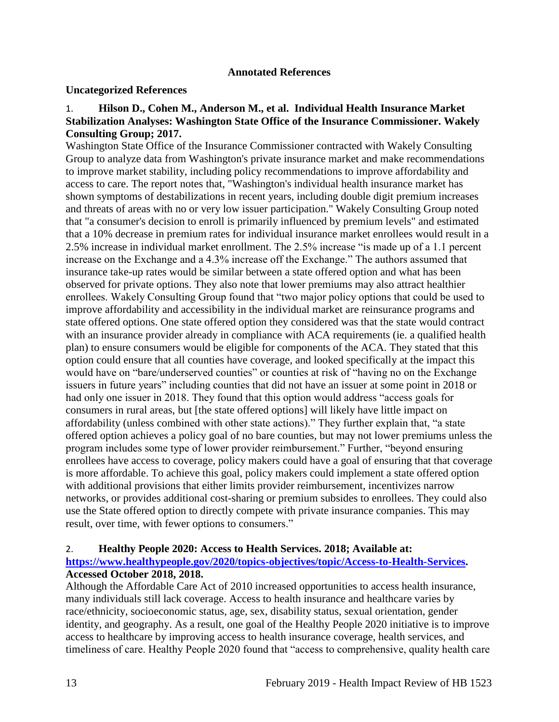#### **Annotated References**

#### **Uncategorized References**

#### 1. **Hilson D., Cohen M., Anderson M., et al. Individual Health Insurance Market Stabilization Analyses: Washington State Office of the Insurance Commissioner. Wakely Consulting Group; 2017.**

Washington State Office of the Insurance Commissioner contracted with Wakely Consulting Group to analyze data from Washington's private insurance market and make recommendations to improve market stability, including policy recommendations to improve affordability and access to care. The report notes that, "Washington's individual health insurance market has shown symptoms of destabilizations in recent years, including double digit premium increases and threats of areas with no or very low issuer participation." Wakely Consulting Group noted that "a consumer's decision to enroll is primarily influenced by premium levels" and estimated that a 10% decrease in premium rates for individual insurance market enrollees would result in a 2.5% increase in individual market enrollment. The 2.5% increase "is made up of a 1.1 percent increase on the Exchange and a 4.3% increase off the Exchange." The authors assumed that insurance take-up rates would be similar between a state offered option and what has been observed for private options. They also note that lower premiums may also attract healthier enrollees. Wakely Consulting Group found that "two major policy options that could be used to improve affordability and accessibility in the individual market are reinsurance programs and state offered options. One state offered option they considered was that the state would contract with an insurance provider already in compliance with ACA requirements (ie. a qualified health plan) to ensure consumers would be eligible for components of the ACA. They stated that this option could ensure that all counties have coverage, and looked specifically at the impact this would have on "bare/underserved counties" or counties at risk of "having no on the Exchange issuers in future years" including counties that did not have an issuer at some point in 2018 or had only one issuer in 2018. They found that this option would address "access goals for consumers in rural areas, but [the state offered options] will likely have little impact on affordability (unless combined with other state actions)." They further explain that, "a state offered option achieves a policy goal of no bare counties, but may not lower premiums unless the program includes some type of lower provider reimbursement." Further, "beyond ensuring enrollees have access to coverage, policy makers could have a goal of ensuring that that coverage is more affordable. To achieve this goal, policy makers could implement a state offered option with additional provisions that either limits provider reimbursement, incentivizes narrow networks, or provides additional cost-sharing or premium subsides to enrollees. They could also use the State offered option to directly compete with private insurance companies. This may result, over time, with fewer options to consumers."

#### <span id="page-15-0"></span>2. **Healthy People 2020: Access to Health Services. 2018; Available at:**

#### **[https://www.healthypeople.gov/2020/topics-objectives/topic/Access-to-Health-Services.](https://www.healthypeople.gov/2020/topics-objectives/topic/Access-to-Health-Services) Accessed October 2018, 2018.**

Although the Affordable Care Act of 2010 increased opportunities to access health insurance, many individuals still lack coverage. Access to health insurance and healthcare varies by race/ethnicity, socioeconomic status, age, sex, disability status, sexual orientation, gender identity, and geography. As a result, one goal of the Healthy People 2020 initiative is to improve access to healthcare by improving access to health insurance coverage, health services, and timeliness of care. Healthy People 2020 found that "access to comprehensive, quality health care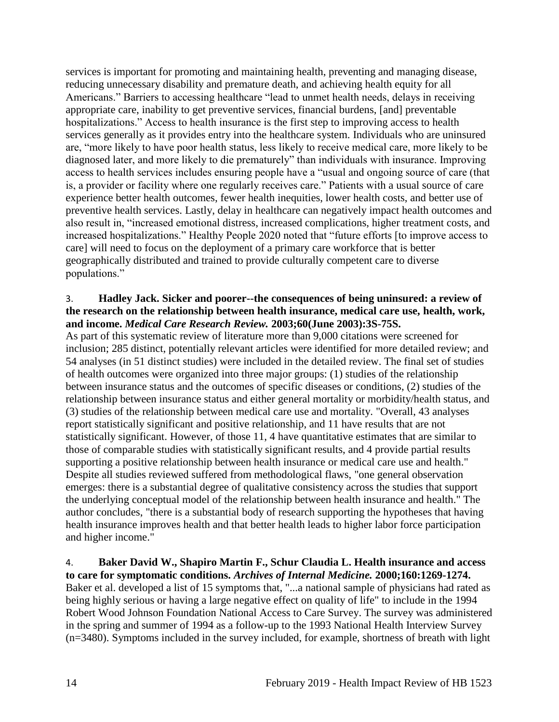services is important for promoting and maintaining health, preventing and managing disease, reducing unnecessary disability and premature death, and achieving health equity for all Americans." Barriers to accessing healthcare "lead to unmet health needs, delays in receiving appropriate care, inability to get preventive services, financial burdens, [and] preventable hospitalizations." Access to health insurance is the first step to improving access to health services generally as it provides entry into the healthcare system. Individuals who are uninsured are, "more likely to have poor health status, less likely to receive medical care, more likely to be diagnosed later, and more likely to die prematurely" than individuals with insurance. Improving access to health services includes ensuring people have a "usual and ongoing source of care (that is, a provider or facility where one regularly receives care." Patients with a usual source of care experience better health outcomes, fewer health inequities, lower health costs, and better use of preventive health services. Lastly, delay in healthcare can negatively impact health outcomes and also result in, "increased emotional distress, increased complications, higher treatment costs, and increased hospitalizations." Healthy People 2020 noted that "future efforts [to improve access to care] will need to focus on the deployment of a primary care workforce that is better geographically distributed and trained to provide culturally competent care to diverse populations."

# <span id="page-16-0"></span>3. **Hadley Jack. Sicker and poorer--the consequences of being uninsured: a review of the research on the relationship between health insurance, medical care use, health, work, and income.** *Medical Care Research Review.* **2003;60(June 2003):3S-75S.**

As part of this systematic review of literature more than 9,000 citations were screened for inclusion; 285 distinct, potentially relevant articles were identified for more detailed review; and 54 analyses (in 51 distinct studies) were included in the detailed review. The final set of studies of health outcomes were organized into three major groups: (1) studies of the relationship between insurance status and the outcomes of specific diseases or conditions, (2) studies of the relationship between insurance status and either general mortality or morbidity/health status, and (3) studies of the relationship between medical care use and mortality. "Overall, 43 analyses report statistically significant and positive relationship, and 11 have results that are not statistically significant. However, of those 11, 4 have quantitative estimates that are similar to those of comparable studies with statistically significant results, and 4 provide partial results supporting a positive relationship between health insurance or medical care use and health." Despite all studies reviewed suffered from methodological flaws, "one general observation emerges: there is a substantial degree of qualitative consistency across the studies that support the underlying conceptual model of the relationship between health insurance and health." The author concludes, "there is a substantial body of research supporting the hypotheses that having health insurance improves health and that better health leads to higher labor force participation and higher income."

#### <span id="page-16-1"></span>4. **Baker David W., Shapiro Martin F., Schur Claudia L. Health insurance and access to care for symptomatic conditions.** *Archives of Internal Medicine.* **2000;160:1269-1274.**

Baker et al. developed a list of 15 symptoms that, "...a national sample of physicians had rated as being highly serious or having a large negative effect on quality of life" to include in the 1994 Robert Wood Johnson Foundation National Access to Care Survey. The survey was administered in the spring and summer of 1994 as a follow-up to the 1993 National Health Interview Survey (n=3480). Symptoms included in the survey included, for example, shortness of breath with light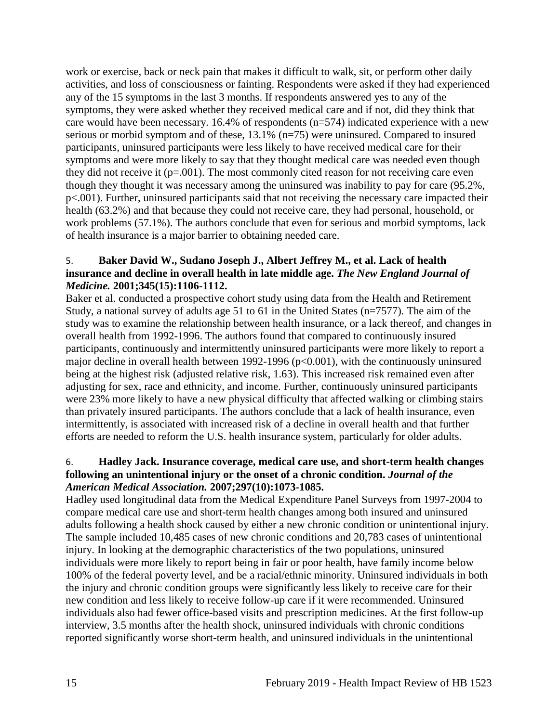work or exercise, back or neck pain that makes it difficult to walk, sit, or perform other daily activities, and loss of consciousness or fainting. Respondents were asked if they had experienced any of the 15 symptoms in the last 3 months. If respondents answered yes to any of the symptoms, they were asked whether they received medical care and if not, did they think that care would have been necessary. 16.4% of respondents (n=574) indicated experience with a new serious or morbid symptom and of these, 13.1% (n=75) were uninsured. Compared to insured participants, uninsured participants were less likely to have received medical care for their symptoms and were more likely to say that they thought medical care was needed even though they did not receive it  $(p=.001)$ . The most commonly cited reason for not receiving care even though they thought it was necessary among the uninsured was inability to pay for care (95.2%, p<.001). Further, uninsured participants said that not receiving the necessary care impacted their health (63.2%) and that because they could not receive care, they had personal, household, or work problems (57.1%). The authors conclude that even for serious and morbid symptoms, lack of health insurance is a major barrier to obtaining needed care.

# 5. **Baker David W., Sudano Joseph J., Albert Jeffrey M., et al. Lack of health insurance and decline in overall health in late middle age.** *The New England Journal of Medicine.* **2001;345(15):1106-1112.**

Baker et al. conducted a prospective cohort study using data from the Health and Retirement Study, a national survey of adults age 51 to 61 in the United States (n=7577). The aim of the study was to examine the relationship between health insurance, or a lack thereof, and changes in overall health from 1992-1996. The authors found that compared to continuously insured participants, continuously and intermittently uninsured participants were more likely to report a major decline in overall health between 1992-1996 (p<0.001), with the continuously uninsured being at the highest risk (adjusted relative risk, 1.63). This increased risk remained even after adjusting for sex, race and ethnicity, and income. Further, continuously uninsured participants were 23% more likely to have a new physical difficulty that affected walking or climbing stairs than privately insured participants. The authors conclude that a lack of health insurance, even intermittently, is associated with increased risk of a decline in overall health and that further efforts are needed to reform the U.S. health insurance system, particularly for older adults.

#### 6. **Hadley Jack. Insurance coverage, medical care use, and short-term health changes following an unintentional injury or the onset of a chronic condition.** *Journal of the American Medical Association.* **2007;297(10):1073-1085.**

Hadley used longitudinal data from the Medical Expenditure Panel Surveys from 1997-2004 to compare medical care use and short-term health changes among both insured and uninsured adults following a health shock caused by either a new chronic condition or unintentional injury. The sample included 10,485 cases of new chronic conditions and 20,783 cases of unintentional injury. In looking at the demographic characteristics of the two populations, uninsured individuals were more likely to report being in fair or poor health, have family income below 100% of the federal poverty level, and be a racial/ethnic minority. Uninsured individuals in both the injury and chronic condition groups were significantly less likely to receive care for their new condition and less likely to receive follow-up care if it were recommended. Uninsured individuals also had fewer office-based visits and prescription medicines. At the first follow-up interview, 3.5 months after the health shock, uninsured individuals with chronic conditions reported significantly worse short-term health, and uninsured individuals in the unintentional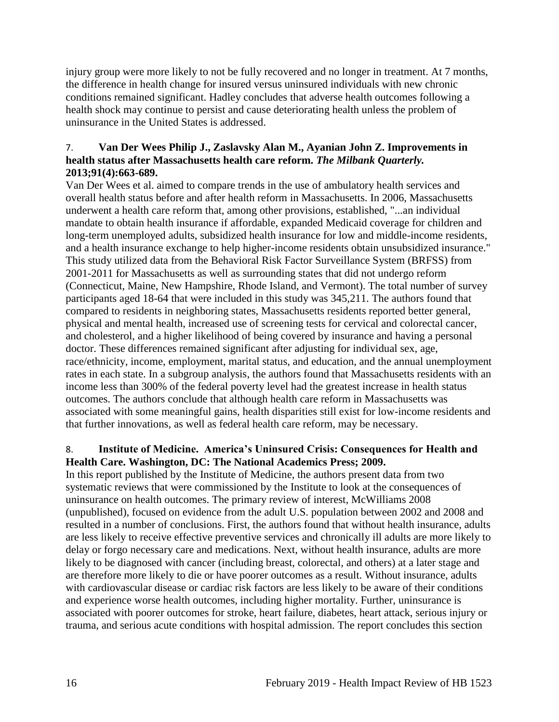injury group were more likely to not be fully recovered and no longer in treatment. At 7 months, the difference in health change for insured versus uninsured individuals with new chronic conditions remained significant. Hadley concludes that adverse health outcomes following a health shock may continue to persist and cause deteriorating health unless the problem of uninsurance in the United States is addressed.

# <span id="page-18-1"></span>7. **Van Der Wees Philip J., Zaslavsky Alan M., Ayanian John Z. Improvements in health status after Massachusetts health care reform.** *The Milbank Quarterly.*  **2013;91(4):663-689.**

Van Der Wees et al. aimed to compare trends in the use of ambulatory health services and overall health status before and after health reform in Massachusetts. In 2006, Massachusetts underwent a health care reform that, among other provisions, established, "...an individual mandate to obtain health insurance if affordable, expanded Medicaid coverage for children and long-term unemployed adults, subsidized health insurance for low and middle-income residents, and a health insurance exchange to help higher-income residents obtain unsubsidized insurance." This study utilized data from the Behavioral Risk Factor Surveillance System (BRFSS) from 2001-2011 for Massachusetts as well as surrounding states that did not undergo reform (Connecticut, Maine, New Hampshire, Rhode Island, and Vermont). The total number of survey participants aged 18-64 that were included in this study was 345,211. The authors found that compared to residents in neighboring states, Massachusetts residents reported better general, physical and mental health, increased use of screening tests for cervical and colorectal cancer, and cholesterol, and a higher likelihood of being covered by insurance and having a personal doctor. These differences remained significant after adjusting for individual sex, age, race/ethnicity, income, employment, marital status, and education, and the annual unemployment rates in each state. In a subgroup analysis, the authors found that Massachusetts residents with an income less than 300% of the federal poverty level had the greatest increase in health status outcomes. The authors conclude that although health care reform in Massachusetts was associated with some meaningful gains, health disparities still exist for low-income residents and that further innovations, as well as federal health care reform, may be necessary.

# <span id="page-18-0"></span>8. **Institute of Medicine. America's Uninsured Crisis: Consequences for Health and Health Care. Washington, DC: The National Academics Press; 2009.**

In this report published by the Institute of Medicine, the authors present data from two systematic reviews that were commissioned by the Institute to look at the consequences of uninsurance on health outcomes. The primary review of interest, McWilliams 2008 (unpublished), focused on evidence from the adult U.S. population between 2002 and 2008 and resulted in a number of conclusions. First, the authors found that without health insurance, adults are less likely to receive effective preventive services and chronically ill adults are more likely to delay or forgo necessary care and medications. Next, without health insurance, adults are more likely to be diagnosed with cancer (including breast, colorectal, and others) at a later stage and are therefore more likely to die or have poorer outcomes as a result. Without insurance, adults with cardiovascular disease or cardiac risk factors are less likely to be aware of their conditions and experience worse health outcomes, including higher mortality. Further, uninsurance is associated with poorer outcomes for stroke, heart failure, diabetes, heart attack, serious injury or trauma, and serious acute conditions with hospital admission. The report concludes this section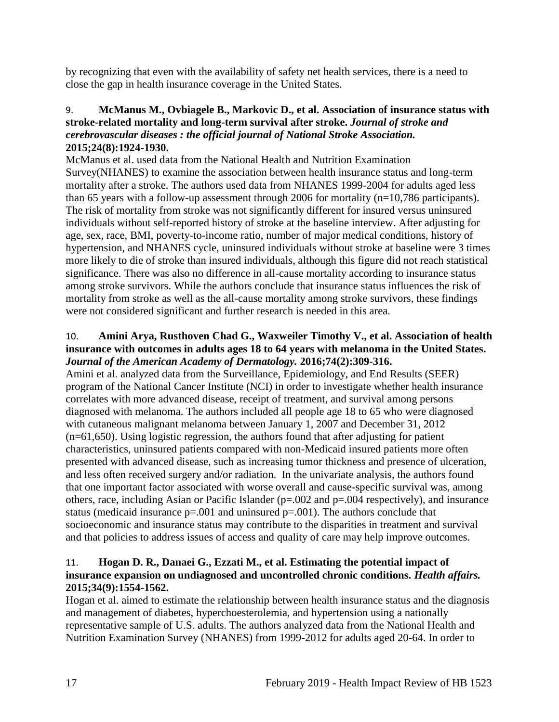by recognizing that even with the availability of safety net health services, there is a need to close the gap in health insurance coverage in the United States.

# 9. **McManus M., Ovbiagele B., Markovic D., et al. Association of insurance status with stroke-related mortality and long-term survival after stroke.** *Journal of stroke and cerebrovascular diseases : the official journal of National Stroke Association.*  **2015;24(8):1924-1930.**

McManus et al. used data from the National Health and Nutrition Examination Survey(NHANES) to examine the association between health insurance status and long-term mortality after a stroke. The authors used data from NHANES 1999-2004 for adults aged less than 65 years with a follow-up assessment through 2006 for mortality  $(n=10,786$  participants). The risk of mortality from stroke was not significantly different for insured versus uninsured individuals without self-reported history of stroke at the baseline interview. After adjusting for age, sex, race, BMI, poverty-to-income ratio, number of major medical conditions, history of hypertension, and NHANES cycle, uninsured individuals without stroke at baseline were 3 times more likely to die of stroke than insured individuals, although this figure did not reach statistical significance. There was also no difference in all-cause mortality according to insurance status among stroke survivors. While the authors conclude that insurance status influences the risk of mortality from stroke as well as the all-cause mortality among stroke survivors, these findings were not considered significant and further research is needed in this area.

# 10. **Amini Arya, Rusthoven Chad G., Waxweiler Timothy V., et al. Association of health insurance with outcomes in adults ages 18 to 64 years with melanoma in the United States.**  *Journal of the American Academy of Dermatology.* **2016;74(2):309-316.**

Amini et al. analyzed data from the Surveillance, Epidemiology, and End Results (SEER) program of the National Cancer Institute (NCI) in order to investigate whether health insurance correlates with more advanced disease, receipt of treatment, and survival among persons diagnosed with melanoma. The authors included all people age 18 to 65 who were diagnosed with cutaneous malignant melanoma between January 1, 2007 and December 31, 2012 (n=61,650). Using logistic regression, the authors found that after adjusting for patient characteristics, uninsured patients compared with non-Medicaid insured patients more often presented with advanced disease, such as increasing tumor thickness and presence of ulceration, and less often received surgery and/or radiation. In the univariate analysis, the authors found that one important factor associated with worse overall and cause-specific survival was, among others, race, including Asian or Pacific Islander (p=.002 and p=.004 respectively), and insurance status (medicaid insurance  $p=.001$  and uninsured  $p=.001$ ). The authors conclude that socioeconomic and insurance status may contribute to the disparities in treatment and survival and that policies to address issues of access and quality of care may help improve outcomes.

# 11. **Hogan D. R., Danaei G., Ezzati M., et al. Estimating the potential impact of insurance expansion on undiagnosed and uncontrolled chronic conditions.** *Health affairs.*  **2015;34(9):1554-1562.**

Hogan et al. aimed to estimate the relationship between health insurance status and the diagnosis and management of diabetes, hyperchoesterolemia, and hypertension using a nationally representative sample of U.S. adults. The authors analyzed data from the National Health and Nutrition Examination Survey (NHANES) from 1999-2012 for adults aged 20-64. In order to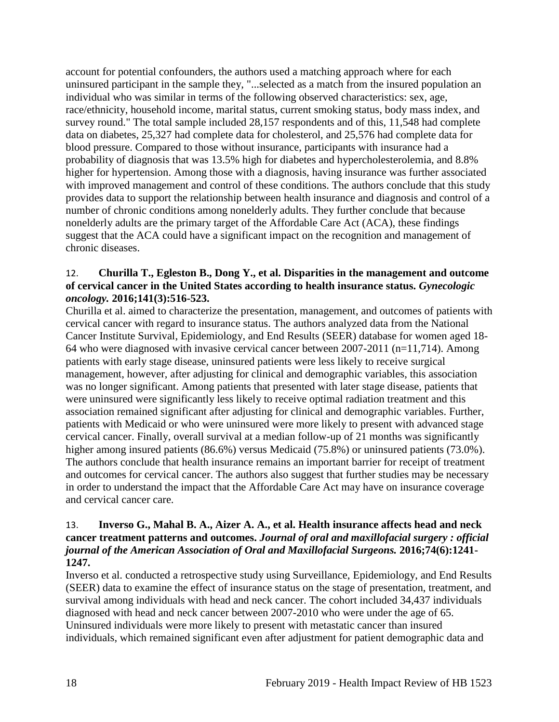account for potential confounders, the authors used a matching approach where for each uninsured participant in the sample they, "...selected as a match from the insured population an individual who was similar in terms of the following observed characteristics: sex, age, race/ethnicity, household income, marital status, current smoking status, body mass index, and survey round." The total sample included 28,157 respondents and of this, 11,548 had complete data on diabetes, 25,327 had complete data for cholesterol, and 25,576 had complete data for blood pressure. Compared to those without insurance, participants with insurance had a probability of diagnosis that was 13.5% high for diabetes and hypercholesterolemia, and 8.8% higher for hypertension. Among those with a diagnosis, having insurance was further associated with improved management and control of these conditions. The authors conclude that this study provides data to support the relationship between health insurance and diagnosis and control of a number of chronic conditions among nonelderly adults. They further conclude that because nonelderly adults are the primary target of the Affordable Care Act (ACA), these findings suggest that the ACA could have a significant impact on the recognition and management of chronic diseases.

#### 12. **Churilla T., Egleston B., Dong Y., et al. Disparities in the management and outcome of cervical cancer in the United States according to health insurance status.** *Gynecologic oncology.* **2016;141(3):516-523.**

Churilla et al. aimed to characterize the presentation, management, and outcomes of patients with cervical cancer with regard to insurance status. The authors analyzed data from the National Cancer Institute Survival, Epidemiology, and End Results (SEER) database for women aged 18- 64 who were diagnosed with invasive cervical cancer between 2007-2011 (n=11,714). Among patients with early stage disease, uninsured patients were less likely to receive surgical management, however, after adjusting for clinical and demographic variables, this association was no longer significant. Among patients that presented with later stage disease, patients that were uninsured were significantly less likely to receive optimal radiation treatment and this association remained significant after adjusting for clinical and demographic variables. Further, patients with Medicaid or who were uninsured were more likely to present with advanced stage cervical cancer. Finally, overall survival at a median follow-up of 21 months was significantly higher among insured patients (86.6%) versus Medicaid (75.8%) or uninsured patients (73.0%). The authors conclude that health insurance remains an important barrier for receipt of treatment and outcomes for cervical cancer. The authors also suggest that further studies may be necessary in order to understand the impact that the Affordable Care Act may have on insurance coverage and cervical cancer care.

#### 13. **Inverso G., Mahal B. A., Aizer A. A., et al. Health insurance affects head and neck cancer treatment patterns and outcomes.** *Journal of oral and maxillofacial surgery : official journal of the American Association of Oral and Maxillofacial Surgeons.* **2016;74(6):1241- 1247.**

Inverso et al. conducted a retrospective study using Surveillance, Epidemiology, and End Results (SEER) data to examine the effect of insurance status on the stage of presentation, treatment, and survival among individuals with head and neck cancer. The cohort included 34,437 individuals diagnosed with head and neck cancer between 2007-2010 who were under the age of 65. Uninsured individuals were more likely to present with metastatic cancer than insured individuals, which remained significant even after adjustment for patient demographic data and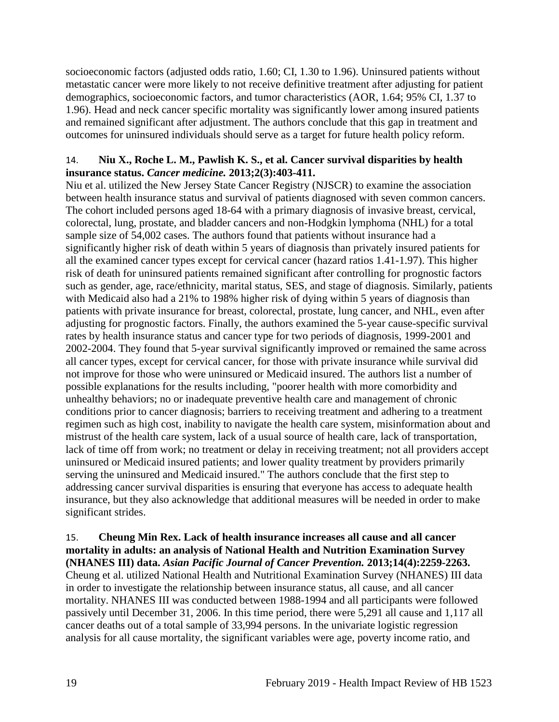socioeconomic factors (adjusted odds ratio, 1.60; CI, 1.30 to 1.96). Uninsured patients without metastatic cancer were more likely to not receive definitive treatment after adjusting for patient demographics, socioeconomic factors, and tumor characteristics (AOR, 1.64; 95% CI, 1.37 to 1.96). Head and neck cancer specific mortality was significantly lower among insured patients and remained significant after adjustment. The authors conclude that this gap in treatment and outcomes for uninsured individuals should serve as a target for future health policy reform.

#### <span id="page-21-0"></span>14. **Niu X., Roche L. M., Pawlish K. S., et al. Cancer survival disparities by health insurance status.** *Cancer medicine.* **2013;2(3):403-411.**

Niu et al. utilized the New Jersey State Cancer Registry (NJSCR) to examine the association between health insurance status and survival of patients diagnosed with seven common cancers. The cohort included persons aged 18-64 with a primary diagnosis of invasive breast, cervical, colorectal, lung, prostate, and bladder cancers and non-Hodgkin lymphoma (NHL) for a total sample size of 54,002 cases. The authors found that patients without insurance had a significantly higher risk of death within 5 years of diagnosis than privately insured patients for all the examined cancer types except for cervical cancer (hazard ratios 1.41-1.97). This higher risk of death for uninsured patients remained significant after controlling for prognostic factors such as gender, age, race/ethnicity, marital status, SES, and stage of diagnosis. Similarly, patients with Medicaid also had a 21% to 198% higher risk of dying within 5 years of diagnosis than patients with private insurance for breast, colorectal, prostate, lung cancer, and NHL, even after adjusting for prognostic factors. Finally, the authors examined the 5-year cause-specific survival rates by health insurance status and cancer type for two periods of diagnosis, 1999-2001 and 2002-2004. They found that 5-year survival significantly improved or remained the same across all cancer types, except for cervical cancer, for those with private insurance while survival did not improve for those who were uninsured or Medicaid insured. The authors list a number of possible explanations for the results including, "poorer health with more comorbidity and unhealthy behaviors; no or inadequate preventive health care and management of chronic conditions prior to cancer diagnosis; barriers to receiving treatment and adhering to a treatment regimen such as high cost, inability to navigate the health care system, misinformation about and mistrust of the health care system, lack of a usual source of health care, lack of transportation, lack of time off from work; no treatment or delay in receiving treatment; not all providers accept uninsured or Medicaid insured patients; and lower quality treatment by providers primarily serving the uninsured and Medicaid insured." The authors conclude that the first step to addressing cancer survival disparities is ensuring that everyone has access to adequate health insurance, but they also acknowledge that additional measures will be needed in order to make significant strides.

# <span id="page-21-1"></span>15. **Cheung Min Rex. Lack of health insurance increases all cause and all cancer mortality in adults: an analysis of National Health and Nutrition Examination Survey (NHANES III) data.** *Asian Pacific Journal of Cancer Prevention.* **2013;14(4):2259-2263.**

Cheung et al. utilized National Health and Nutritional Examination Survey (NHANES) III data in order to investigate the relationship between insurance status, all cause, and all cancer mortality. NHANES III was conducted between 1988-1994 and all participants were followed passively until December 31, 2006. In this time period, there were 5,291 all cause and 1,117 all cancer deaths out of a total sample of 33,994 persons. In the univariate logistic regression analysis for all cause mortality, the significant variables were age, poverty income ratio, and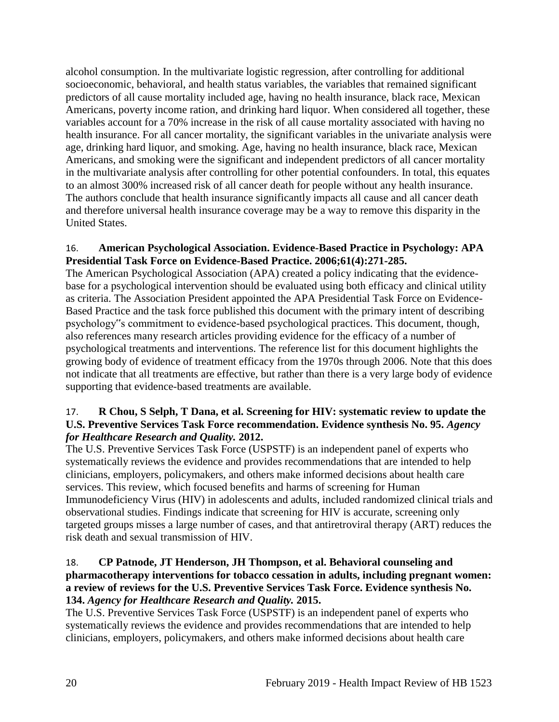alcohol consumption. In the multivariate logistic regression, after controlling for additional socioeconomic, behavioral, and health status variables, the variables that remained significant predictors of all cause mortality included age, having no health insurance, black race, Mexican Americans, poverty income ration, and drinking hard liquor. When considered all together, these variables account for a 70% increase in the risk of all cause mortality associated with having no health insurance. For all cancer mortality, the significant variables in the univariate analysis were age, drinking hard liquor, and smoking. Age, having no health insurance, black race, Mexican Americans, and smoking were the significant and independent predictors of all cancer mortality in the multivariate analysis after controlling for other potential confounders. In total, this equates to an almost 300% increased risk of all cancer death for people without any health insurance. The authors conclude that health insurance significantly impacts all cause and all cancer death and therefore universal health insurance coverage may be a way to remove this disparity in the United States.

# <span id="page-22-0"></span>16. **American Psychological Association. Evidence-Based Practice in Psychology: APA Presidential Task Force on Evidence-Based Practice. 2006;61(4):271-285.**

The American Psychological Association (APA) created a policy indicating that the evidencebase for a psychological intervention should be evaluated using both efficacy and clinical utility as criteria. The Association President appointed the APA Presidential Task Force on Evidence-Based Practice and the task force published this document with the primary intent of describing psychology"s commitment to evidence-based psychological practices. This document, though, also references many research articles providing evidence for the efficacy of a number of psychological treatments and interventions. The reference list for this document highlights the growing body of evidence of treatment efficacy from the 1970s through 2006. Note that this does not indicate that all treatments are effective, but rather than there is a very large body of evidence supporting that evidence-based treatments are available.

# 17. **R Chou, S Selph, T Dana, et al. Screening for HIV: systematic review to update the U.S. Preventive Services Task Force recommendation. Evidence synthesis No. 95.** *Agency for Healthcare Research and Quality.* **2012.**

The U.S. Preventive Services Task Force (USPSTF) is an independent panel of experts who systematically reviews the evidence and provides recommendations that are intended to help clinicians, employers, policymakers, and others make informed decisions about health care services. This review, which focused benefits and harms of screening for Human Immunodeficiency Virus (HIV) in adolescents and adults, included randomized clinical trials and observational studies. Findings indicate that screening for HIV is accurate, screening only targeted groups misses a large number of cases, and that antiretroviral therapy (ART) reduces the risk death and sexual transmission of HIV.

#### 18. **CP Patnode, JT Henderson, JH Thompson, et al. Behavioral counseling and pharmacotherapy interventions for tobacco cessation in adults, including pregnant women: a review of reviews for the U.S. Preventive Services Task Force. Evidence synthesis No. 134.** *Agency for Healthcare Research and Quality.* **2015.**

The U.S. Preventive Services Task Force (USPSTF) is an independent panel of experts who systematically reviews the evidence and provides recommendations that are intended to help clinicians, employers, policymakers, and others make informed decisions about health care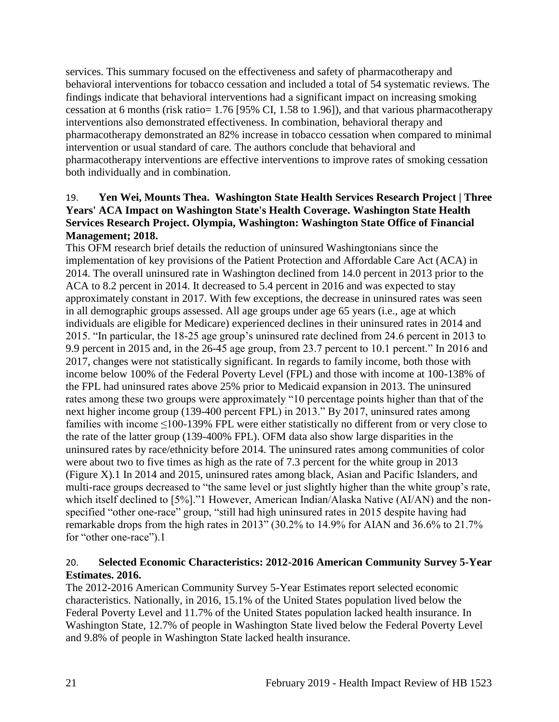services. This summary focused on the effectiveness and safety of pharmacotherapy and behavioral interventions for tobacco cessation and included a total of 54 systematic reviews. The findings indicate that behavioral interventions had a significant impact on increasing smoking cessation at 6 months (risk ratio= 1.76 [95% CI, 1.58 to 1.96]), and that various pharmacotherapy interventions also demonstrated effectiveness. In combination, behavioral therapy and pharmacotherapy demonstrated an 82% increase in tobacco cessation when compared to minimal intervention or usual standard of care. The authors conclude that behavioral and pharmacotherapy interventions are effective interventions to improve rates of smoking cessation both individually and in combination.

# <span id="page-23-0"></span>19. **Yen Wei, Mounts Thea. Washington State Health Services Research Project | Three Years' ACA Impact on Washington State's Health Coverage. Washington State Health Services Research Project. Olympia, Washington: Washington State Office of Financial Management; 2018.**

This OFM research brief details the reduction of uninsured Washingtonians since the implementation of key provisions of the Patient Protection and Affordable Care Act (ACA) in 2014. The overall uninsured rate in Washington declined from 14.0 percent in 2013 prior to the ACA to 8.2 percent in 2014. It decreased to 5.4 percent in 2016 and was expected to stay approximately constant in 2017. With few exceptions, the decrease in uninsured rates was seen in all demographic groups assessed. All age groups under age 65 years (i.e., age at which individuals are eligible for Medicare) experienced declines in their uninsured rates in 2014 and 2015. "In particular, the 18-25 age group's uninsured rate declined from 24.6 percent in 2013 to 9.9 percent in 2015 and, in the 26-45 age group, from 23.7 percent to 10.1 percent." In 2016 and 2017, changes were not statistically significant. In regards to family income, both those with income below 100% of the Federal Poverty Level (FPL) and those with income at 100-138% of the FPL had uninsured rates above 25% prior to Medicaid expansion in 2013. The uninsured rates among these two groups were approximately "10 percentage points higher than that of the next higher income group (139-400 percent FPL) in 2013." By 2017, uninsured rates among families with income ≤100-139% FPL were either statistically no different from or very close to the rate of the latter group (139-400% FPL). OFM data also show large disparities in the uninsured rates by race/ethnicity before 2014. The uninsured rates among communities of color were about two to five times as high as the rate of 7.3 percent for the white group in 2013 (Figure X).1 In 2014 and 2015, uninsured rates among black, Asian and Pacific Islanders, and multi-race groups decreased to "the same level or just slightly higher than the white group's rate, which itself declined to [5%]."1 However, American Indian/Alaska Native (AI/AN) and the nonspecified "other one-race" group, "still had high uninsured rates in 2015 despite having had remarkable drops from the high rates in 2013" (30.2% to 14.9% for AIAN and 36.6% to 21.7% for "other one-race").1

# <span id="page-23-1"></span>20. **Selected Economic Characteristics: 2012-2016 American Community Survey 5-Year Estimates. 2016.**

The 2012-2016 American Community Survey 5-Year Estimates report selected economic characteristics. Nationally, in 2016, 15.1% of the United States population lived below the Federal Poverty Level and 11.7% of the United States population lacked health insurance. In Washington State, 12.7% of people in Washington State lived below the Federal Poverty Level and 9.8% of people in Washington State lacked health insurance.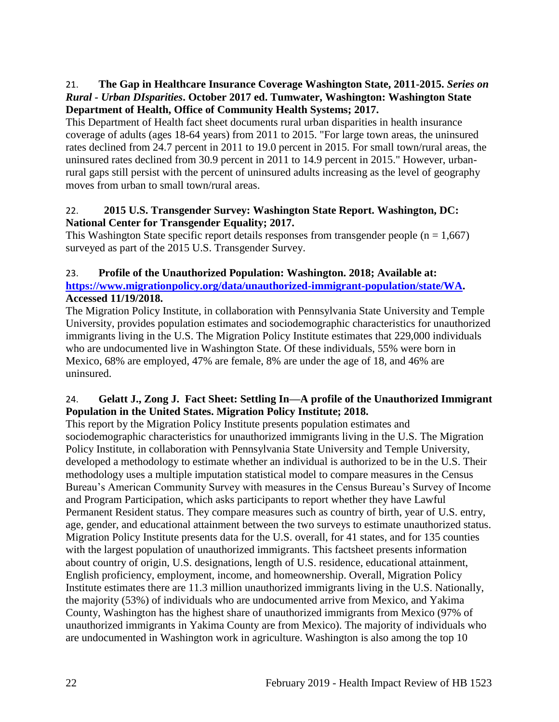# 21. **The Gap in Healthcare Insurance Coverage Washington State, 2011-2015.** *Series on Rural - Urban DIsparities***. October 2017 ed. Tumwater, Washington: Washington State Department of Health, Office of Community Health Systems; 2017.**

This Department of Health fact sheet documents rural urban disparities in health insurance coverage of adults (ages 18-64 years) from 2011 to 2015. "For large town areas, the uninsured rates declined from 24.7 percent in 2011 to 19.0 percent in 2015. For small town/rural areas, the uninsured rates declined from 30.9 percent in 2011 to 14.9 percent in 2015." However, urbanrural gaps still persist with the percent of uninsured adults increasing as the level of geography moves from urban to small town/rural areas.

# 22. **2015 U.S. Transgender Survey: Washington State Report. Washington, DC: National Center for Transgender Equality; 2017.**

This Washington State specific report details responses from transgender people  $(n = 1,667)$ surveyed as part of the 2015 U.S. Transgender Survey.

# <span id="page-24-0"></span>23. **Profile of the Unauthorized Population: Washington. 2018; Available at: [https://www.migrationpolicy.org/data/unauthorized-immigrant-population/state/WA.](https://www.migrationpolicy.org/data/unauthorized-immigrant-population/state/WA) Accessed 11/19/2018.**

The Migration Policy Institute, in collaboration with Pennsylvania State University and Temple University, provides population estimates and sociodemographic characteristics for unauthorized immigrants living in the U.S. The Migration Policy Institute estimates that 229,000 individuals who are undocumented live in Washington State. Of these individuals, 55% were born in Mexico, 68% are employed, 47% are female, 8% are under the age of 18, and 46% are uninsured.

# <span id="page-24-1"></span>24. **Gelatt J., Zong J. Fact Sheet: Settling In—A profile of the Unauthorized Immigrant Population in the United States. Migration Policy Institute; 2018.**

This report by the Migration Policy Institute presents population estimates and sociodemographic characteristics for unauthorized immigrants living in the U.S. The Migration Policy Institute, in collaboration with Pennsylvania State University and Temple University, developed a methodology to estimate whether an individual is authorized to be in the U.S. Their methodology uses a multiple imputation statistical model to compare measures in the Census Bureau's American Community Survey with measures in the Census Bureau's Survey of Income and Program Participation, which asks participants to report whether they have Lawful Permanent Resident status. They compare measures such as country of birth, year of U.S. entry, age, gender, and educational attainment between the two surveys to estimate unauthorized status. Migration Policy Institute presents data for the U.S. overall, for 41 states, and for 135 counties with the largest population of unauthorized immigrants. This factsheet presents information about country of origin, U.S. designations, length of U.S. residence, educational attainment, English proficiency, employment, income, and homeownership. Overall, Migration Policy Institute estimates there are 11.3 million unauthorized immigrants living in the U.S. Nationally, the majority (53%) of individuals who are undocumented arrive from Mexico, and Yakima County, Washington has the highest share of unauthorized immigrants from Mexico (97% of unauthorized immigrants in Yakima County are from Mexico). The majority of individuals who are undocumented in Washington work in agriculture. Washington is also among the top 10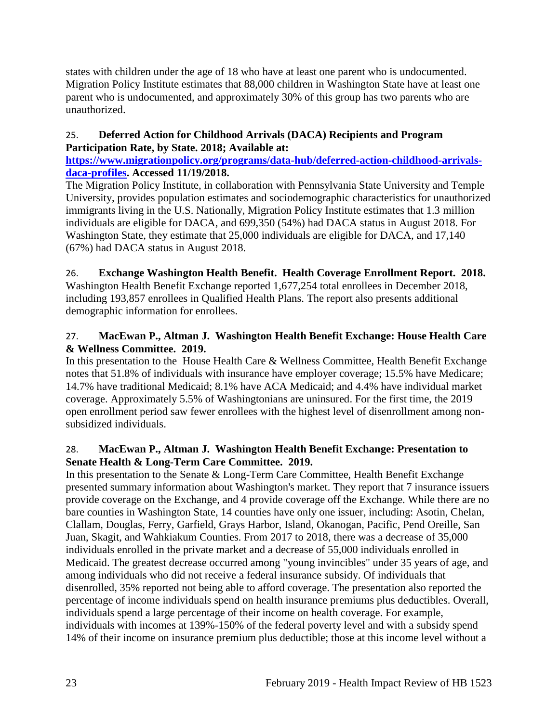states with children under the age of 18 who have at least one parent who is undocumented. Migration Policy Institute estimates that 88,000 children in Washington State have at least one parent who is undocumented, and approximately 30% of this group has two parents who are unauthorized.

# 25. **Deferred Action for Childhood Arrivals (DACA) Recipients and Program Participation Rate, by State. 2018; Available at:**

**[https://www.migrationpolicy.org/programs/data-hub/deferred-action-childhood-arrivals](https://www.migrationpolicy.org/programs/data-hub/deferred-action-childhood-arrivals-daca-profiles)[daca-profiles.](https://www.migrationpolicy.org/programs/data-hub/deferred-action-childhood-arrivals-daca-profiles) Accessed 11/19/2018.**

The Migration Policy Institute, in collaboration with Pennsylvania State University and Temple University, provides population estimates and sociodemographic characteristics for unauthorized immigrants living in the U.S. Nationally, Migration Policy Institute estimates that 1.3 million individuals are eligible for DACA, and 699,350 (54%) had DACA status in August 2018. For Washington State, they estimate that 25,000 individuals are eligible for DACA, and 17,140 (67%) had DACA status in August 2018.

# 26. **Exchange Washington Health Benefit. Health Coverage Enrollment Report. 2018.**

Washington Health Benefit Exchange reported 1,677,254 total enrollees in December 2018, including 193,857 enrollees in Qualified Health Plans. The report also presents additional demographic information for enrollees.

# 27. **MacEwan P., Altman J. Washington Health Benefit Exchange: House Health Care & Wellness Committee. 2019.**

In this presentation to the House Health Care & Wellness Committee, Health Benefit Exchange notes that 51.8% of individuals with insurance have employer coverage; 15.5% have Medicare; 14.7% have traditional Medicaid; 8.1% have ACA Medicaid; and 4.4% have individual market coverage. Approximately 5.5% of Washingtonians are uninsured. For the first time, the 2019 open enrollment period saw fewer enrollees with the highest level of disenrollment among nonsubsidized individuals.

# 28. **MacEwan P., Altman J. Washington Health Benefit Exchange: Presentation to Senate Health & Long-Term Care Committee. 2019.**

In this presentation to the Senate  $&Long-Term Care Committee, Health Benefit Exchange$ presented summary information about Washington's market. They report that 7 insurance issuers provide coverage on the Exchange, and 4 provide coverage off the Exchange. While there are no bare counties in Washington State, 14 counties have only one issuer, including: Asotin, Chelan, Clallam, Douglas, Ferry, Garfield, Grays Harbor, Island, Okanogan, Pacific, Pend Oreille, San Juan, Skagit, and Wahkiakum Counties. From 2017 to 2018, there was a decrease of 35,000 individuals enrolled in the private market and a decrease of 55,000 individuals enrolled in Medicaid. The greatest decrease occurred among "young invincibles" under 35 years of age, and among individuals who did not receive a federal insurance subsidy. Of individuals that disenrolled, 35% reported not being able to afford coverage. The presentation also reported the percentage of income individuals spend on health insurance premiums plus deductibles. Overall, individuals spend a large percentage of their income on health coverage. For example, individuals with incomes at 139%-150% of the federal poverty level and with a subsidy spend 14% of their income on insurance premium plus deductible; those at this income level without a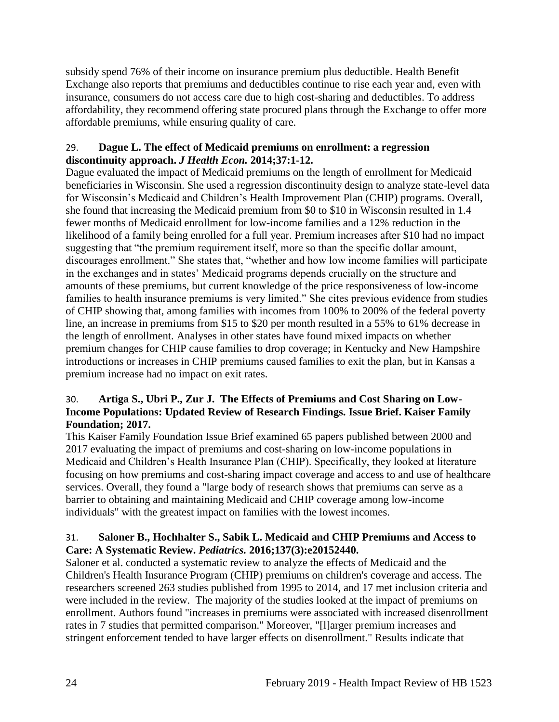subsidy spend 76% of their income on insurance premium plus deductible. Health Benefit Exchange also reports that premiums and deductibles continue to rise each year and, even with insurance, consumers do not access care due to high cost-sharing and deductibles. To address affordability, they recommend offering state procured plans through the Exchange to offer more affordable premiums, while ensuring quality of care.

# <span id="page-26-0"></span>29. **Dague L. The effect of Medicaid premiums on enrollment: a regression discontinuity approach.** *J Health Econ.* **2014;37:1-12.**

Dague evaluated the impact of Medicaid premiums on the length of enrollment for Medicaid beneficiaries in Wisconsin. She used a regression discontinuity design to analyze state-level data for Wisconsin's Medicaid and Children's Health Improvement Plan (CHIP) programs. Overall, she found that increasing the Medicaid premium from \$0 to \$10 in Wisconsin resulted in 1.4 fewer months of Medicaid enrollment for low-income families and a 12% reduction in the likelihood of a family being enrolled for a full year. Premium increases after \$10 had no impact suggesting that "the premium requirement itself, more so than the specific dollar amount, discourages enrollment." She states that, "whether and how low income families will participate in the exchanges and in states' Medicaid programs depends crucially on the structure and amounts of these premiums, but current knowledge of the price responsiveness of low-income families to health insurance premiums is very limited." She cites previous evidence from studies of CHIP showing that, among families with incomes from 100% to 200% of the federal poverty line, an increase in premiums from \$15 to \$20 per month resulted in a 55% to 61% decrease in the length of enrollment. Analyses in other states have found mixed impacts on whether premium changes for CHIP cause families to drop coverage; in Kentucky and New Hampshire introductions or increases in CHIP premiums caused families to exit the plan, but in Kansas a premium increase had no impact on exit rates.

# 30. **Artiga S., Ubri P., Zur J. The Effects of Premiums and Cost Sharing on Low-Income Populations: Updated Review of Research Findings. Issue Brief. Kaiser Family Foundation; 2017.**

This Kaiser Family Foundation Issue Brief examined 65 papers published between 2000 and 2017 evaluating the impact of premiums and cost-sharing on low-income populations in Medicaid and Children's Health Insurance Plan (CHIP). Specifically, they looked at literature focusing on how premiums and cost-sharing impact coverage and access to and use of healthcare services. Overall, they found a "large body of research shows that premiums can serve as a barrier to obtaining and maintaining Medicaid and CHIP coverage among low-income individuals" with the greatest impact on families with the lowest incomes.

# <span id="page-26-1"></span>31. **Saloner B., Hochhalter S., Sabik L. Medicaid and CHIP Premiums and Access to Care: A Systematic Review.** *Pediatrics.* **2016;137(3):e20152440.**

Saloner et al. conducted a systematic review to analyze the effects of Medicaid and the Children's Health Insurance Program (CHIP) premiums on children's coverage and access. The researchers screened 263 studies published from 1995 to 2014, and 17 met inclusion criteria and were included in the review. The majority of the studies looked at the impact of premiums on enrollment. Authors found "increases in premiums were associated with increased disenrollment rates in 7 studies that permitted comparison." Moreover, "[l]arger premium increases and stringent enforcement tended to have larger effects on disenrollment." Results indicate that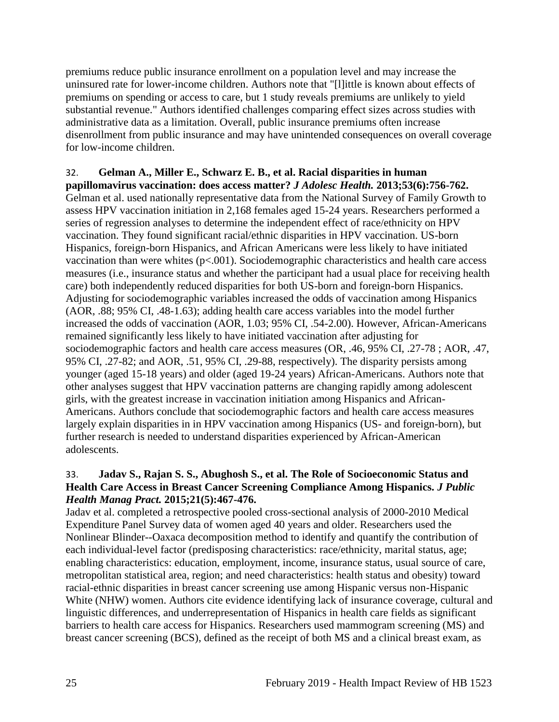premiums reduce public insurance enrollment on a population level and may increase the uninsured rate for lower-income children. Authors note that "[l]ittle is known about effects of premiums on spending or access to care, but 1 study reveals premiums are unlikely to yield substantial revenue." Authors identified challenges comparing effect sizes across studies with administrative data as a limitation. Overall, public insurance premiums often increase disenrollment from public insurance and may have unintended consequences on overall coverage for low-income children.

# <span id="page-27-0"></span>32. **Gelman A., Miller E., Schwarz E. B., et al. Racial disparities in human**

**papillomavirus vaccination: does access matter?** *J Adolesc Health.* **2013;53(6):756-762.** Gelman et al. used nationally representative data from the National Survey of Family Growth to assess HPV vaccination initiation in 2,168 females aged 15-24 years. Researchers performed a series of regression analyses to determine the independent effect of race/ethnicity on HPV vaccination. They found significant racial/ethnic disparities in HPV vaccination. US-born Hispanics, foreign-born Hispanics, and African Americans were less likely to have initiated vaccination than were whites  $(p<.001)$ . Sociodemographic characteristics and health care access measures (i.e., insurance status and whether the participant had a usual place for receiving health care) both independently reduced disparities for both US-born and foreign-born Hispanics. Adjusting for sociodemographic variables increased the odds of vaccination among Hispanics (AOR, .88; 95% CI, .48-1.63); adding health care access variables into the model further increased the odds of vaccination (AOR, 1.03; 95% CI, .54-2.00). However, African-Americans remained significantly less likely to have initiated vaccination after adjusting for sociodemographic factors and health care access measures (OR, .46, 95% CI, .27-78 ; AOR, .47, 95% CI, .27-82; and AOR, .51, 95% CI, .29-88, respectively). The disparity persists among younger (aged 15-18 years) and older (aged 19-24 years) African-Americans. Authors note that other analyses suggest that HPV vaccination patterns are changing rapidly among adolescent girls, with the greatest increase in vaccination initiation among Hispanics and African-Americans. Authors conclude that sociodemographic factors and health care access measures largely explain disparities in in HPV vaccination among Hispanics (US- and foreign-born), but further research is needed to understand disparities experienced by African-American adolescents.

#### <span id="page-27-1"></span>33. **Jadav S., Rajan S. S., Abughosh S., et al. The Role of Socioeconomic Status and Health Care Access in Breast Cancer Screening Compliance Among Hispanics.** *J Public Health Manag Pract.* **2015;21(5):467-476.**

Jadav et al. completed a retrospective pooled cross-sectional analysis of 2000-2010 Medical Expenditure Panel Survey data of women aged 40 years and older. Researchers used the Nonlinear Blinder--Oaxaca decomposition method to identify and quantify the contribution of each individual-level factor (predisposing characteristics: race/ethnicity, marital status, age; enabling characteristics: education, employment, income, insurance status, usual source of care, metropolitan statistical area, region; and need characteristics: health status and obesity) toward racial-ethnic disparities in breast cancer screening use among Hispanic versus non-Hispanic White (NHW) women. Authors cite evidence identifying lack of insurance coverage, cultural and linguistic differences, and underrepresentation of Hispanics in health care fields as significant barriers to health care access for Hispanics. Researchers used mammogram screening (MS) and breast cancer screening (BCS), defined as the receipt of both MS and a clinical breast exam, as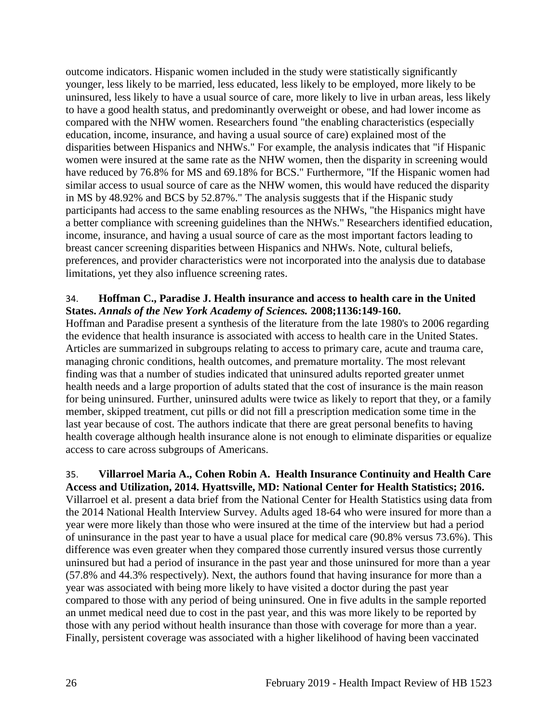outcome indicators. Hispanic women included in the study were statistically significantly younger, less likely to be married, less educated, less likely to be employed, more likely to be uninsured, less likely to have a usual source of care, more likely to live in urban areas, less likely to have a good health status, and predominantly overweight or obese, and had lower income as compared with the NHW women. Researchers found "the enabling characteristics (especially education, income, insurance, and having a usual source of care) explained most of the disparities between Hispanics and NHWs." For example, the analysis indicates that "if Hispanic women were insured at the same rate as the NHW women, then the disparity in screening would have reduced by 76.8% for MS and 69.18% for BCS." Furthermore, "If the Hispanic women had similar access to usual source of care as the NHW women, this would have reduced the disparity in MS by 48.92% and BCS by 52.87%." The analysis suggests that if the Hispanic study participants had access to the same enabling resources as the NHWs, "the Hispanics might have a better compliance with screening guidelines than the NHWs." Researchers identified education, income, insurance, and having a usual source of care as the most important factors leading to breast cancer screening disparities between Hispanics and NHWs. Note, cultural beliefs, preferences, and provider characteristics were not incorporated into the analysis due to database limitations, yet they also influence screening rates.

#### 34. **Hoffman C., Paradise J. Health insurance and access to health care in the United States.** *Annals of the New York Academy of Sciences.* **2008;1136:149-160.**

Hoffman and Paradise present a synthesis of the literature from the late 1980's to 2006 regarding the evidence that health insurance is associated with access to health care in the United States. Articles are summarized in subgroups relating to access to primary care, acute and trauma care, managing chronic conditions, health outcomes, and premature mortality. The most relevant finding was that a number of studies indicated that uninsured adults reported greater unmet health needs and a large proportion of adults stated that the cost of insurance is the main reason for being uninsured. Further, uninsured adults were twice as likely to report that they, or a family member, skipped treatment, cut pills or did not fill a prescription medication some time in the last year because of cost. The authors indicate that there are great personal benefits to having health coverage although health insurance alone is not enough to eliminate disparities or equalize access to care across subgroups of Americans.

35. **Villarroel Maria A., Cohen Robin A. Health Insurance Continuity and Health Care Access and Utilization, 2014. Hyattsville, MD: National Center for Health Statistics; 2016.** Villarroel et al. present a data brief from the National Center for Health Statistics using data from the 2014 National Health Interview Survey. Adults aged 18-64 who were insured for more than a year were more likely than those who were insured at the time of the interview but had a period of uninsurance in the past year to have a usual place for medical care (90.8% versus 73.6%). This difference was even greater when they compared those currently insured versus those currently uninsured but had a period of insurance in the past year and those uninsured for more than a year (57.8% and 44.3% respectively). Next, the authors found that having insurance for more than a year was associated with being more likely to have visited a doctor during the past year compared to those with any period of being uninsured. One in five adults in the sample reported an unmet medical need due to cost in the past year, and this was more likely to be reported by those with any period without health insurance than those with coverage for more than a year. Finally, persistent coverage was associated with a higher likelihood of having been vaccinated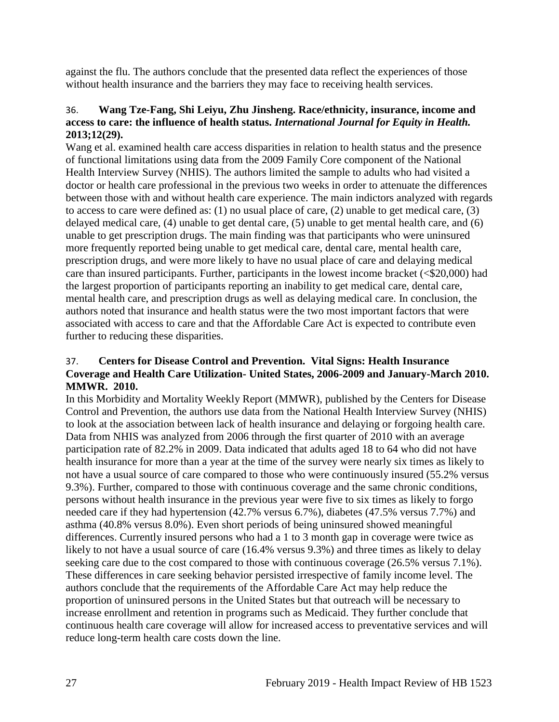against the flu. The authors conclude that the presented data reflect the experiences of those without health insurance and the barriers they may face to receiving health services.

# 36. **Wang Tze-Fang, Shi Leiyu, Zhu Jinsheng. Race/ethnicity, insurance, income and access to care: the influence of health status.** *International Journal for Equity in Health.*  **2013;12(29).**

Wang et al. examined health care access disparities in relation to health status and the presence of functional limitations using data from the 2009 Family Core component of the National Health Interview Survey (NHIS). The authors limited the sample to adults who had visited a doctor or health care professional in the previous two weeks in order to attenuate the differences between those with and without health care experience. The main indictors analyzed with regards to access to care were defined as: (1) no usual place of care, (2) unable to get medical care, (3) delayed medical care, (4) unable to get dental care, (5) unable to get mental health care, and (6) unable to get prescription drugs. The main finding was that participants who were uninsured more frequently reported being unable to get medical care, dental care, mental health care, prescription drugs, and were more likely to have no usual place of care and delaying medical care than insured participants. Further, participants in the lowest income bracket (<\$20,000) had the largest proportion of participants reporting an inability to get medical care, dental care, mental health care, and prescription drugs as well as delaying medical care. In conclusion, the authors noted that insurance and health status were the two most important factors that were associated with access to care and that the Affordable Care Act is expected to contribute even further to reducing these disparities.

#### 37. **Centers for Disease Control and Prevention. Vital Signs: Health Insurance Coverage and Health Care Utilization- United States, 2006-2009 and January-March 2010. MMWR. 2010.**

In this Morbidity and Mortality Weekly Report (MMWR), published by the Centers for Disease Control and Prevention, the authors use data from the National Health Interview Survey (NHIS) to look at the association between lack of health insurance and delaying or forgoing health care. Data from NHIS was analyzed from 2006 through the first quarter of 2010 with an average participation rate of 82.2% in 2009. Data indicated that adults aged 18 to 64 who did not have health insurance for more than a year at the time of the survey were nearly six times as likely to not have a usual source of care compared to those who were continuously insured (55.2% versus 9.3%). Further, compared to those with continuous coverage and the same chronic conditions, persons without health insurance in the previous year were five to six times as likely to forgo needed care if they had hypertension (42.7% versus 6.7%), diabetes (47.5% versus 7.7%) and asthma (40.8% versus 8.0%). Even short periods of being uninsured showed meaningful differences. Currently insured persons who had a 1 to 3 month gap in coverage were twice as likely to not have a usual source of care (16.4% versus 9.3%) and three times as likely to delay seeking care due to the cost compared to those with continuous coverage (26.5% versus 7.1%). These differences in care seeking behavior persisted irrespective of family income level. The authors conclude that the requirements of the Affordable Care Act may help reduce the proportion of uninsured persons in the United States but that outreach will be necessary to increase enrollment and retention in programs such as Medicaid. They further conclude that continuous health care coverage will allow for increased access to preventative services and will reduce long-term health care costs down the line.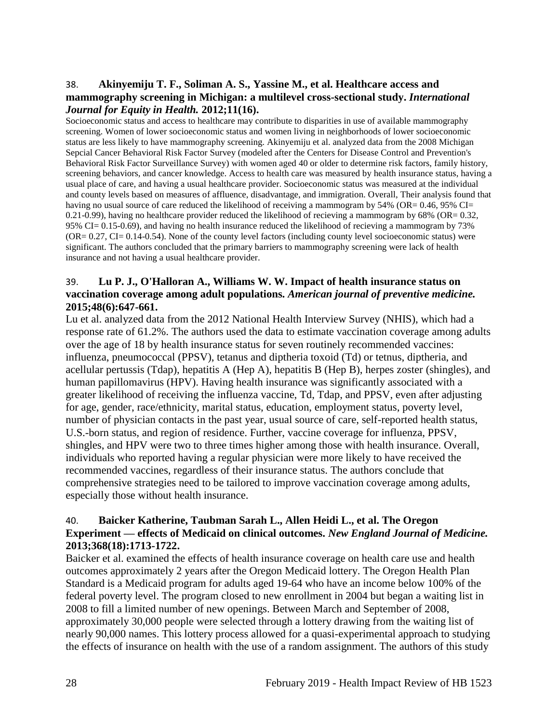#### <span id="page-30-1"></span>38. **Akinyemiju T. F., Soliman A. S., Yassine M., et al. Healthcare access and mammography screening in Michigan: a multilevel cross-sectional study.** *International Journal for Equity in Health.* **2012;11(16).**

Socioeconomic status and access to healthcare may contribute to disparities in use of available mammography screening. Women of lower socioeconomic status and women living in neighborhoods of lower socioeconomic status are less likely to have mammography screening. Akinyemiju et al. analyzed data from the 2008 Michigan Sepcial Cancer Behavioral Risk Factor Survey (modeled after the Centers for Disease Control and Prevention's Behavioral Risk Factor Surveillance Survey) with women aged 40 or older to determine risk factors, family history, screening behaviors, and cancer knowledge. Access to health care was measured by health insurance status, having a usual place of care, and having a usual healthcare provider. Socioeconomic status was measured at the individual and county levels based on measures of affluence, disadvantage, and immigration. Overall, Their analysis found that having no usual source of care reduced the likelihood of receiving a mammogram by 54% (OR= 0.46, 95% CI= 0.21-0.99), having no healthcare provider reduced the likelihood of recieving a mammogram by  $68\%$  (OR= 0.32, 95% CI= 0.15-0.69), and having no health insurance reduced the likelihood of recieving a mammogram by 73% (OR= 0.27, CI= 0.14-0.54). None of the county level factors (including county level socioeconomic status) were significant. The authors concluded that the primary barriers to mammography screening were lack of health insurance and not having a usual healthcare provider.

#### 39. **Lu P. J., O'Halloran A., Williams W. W. Impact of health insurance status on vaccination coverage among adult populations.** *American journal of preventive medicine.*  **2015;48(6):647-661.**

Lu et al. analyzed data from the 2012 National Health Interview Survey (NHIS), which had a response rate of 61.2%. The authors used the data to estimate vaccination coverage among adults over the age of 18 by health insurance status for seven routinely recommended vaccines: influenza, pneumococcal (PPSV), tetanus and diptheria toxoid (Td) or tetnus, diptheria, and acellular pertussis (Tdap), hepatitis A (Hep A), hepatitis B (Hep B), herpes zoster (shingles), and human papillomavirus (HPV). Having health insurance was significantly associated with a greater likelihood of receiving the influenza vaccine, Td, Tdap, and PPSV, even after adjusting for age, gender, race/ethnicity, marital status, education, employment status, poverty level, number of physician contacts in the past year, usual source of care, self-reported health status, U.S.-born status, and region of residence. Further, vaccine coverage for influenza, PPSV, shingles, and HPV were two to three times higher among those with health insurance. Overall, individuals who reported having a regular physician were more likely to have received the recommended vaccines, regardless of their insurance status. The authors conclude that comprehensive strategies need to be tailored to improve vaccination coverage among adults, especially those without health insurance.

# <span id="page-30-0"></span>40. **Baicker Katherine, Taubman Sarah L., Allen Heidi L., et al. The Oregon Experiment — effects of Medicaid on clinical outcomes.** *New England Journal of Medicine.*  **2013;368(18):1713-1722.**

Baicker et al. examined the effects of health insurance coverage on health care use and health outcomes approximately 2 years after the Oregon Medicaid lottery. The Oregon Health Plan Standard is a Medicaid program for adults aged 19-64 who have an income below 100% of the federal poverty level. The program closed to new enrollment in 2004 but began a waiting list in 2008 to fill a limited number of new openings. Between March and September of 2008, approximately 30,000 people were selected through a lottery drawing from the waiting list of nearly 90,000 names. This lottery process allowed for a quasi-experimental approach to studying the effects of insurance on health with the use of a random assignment. The authors of this study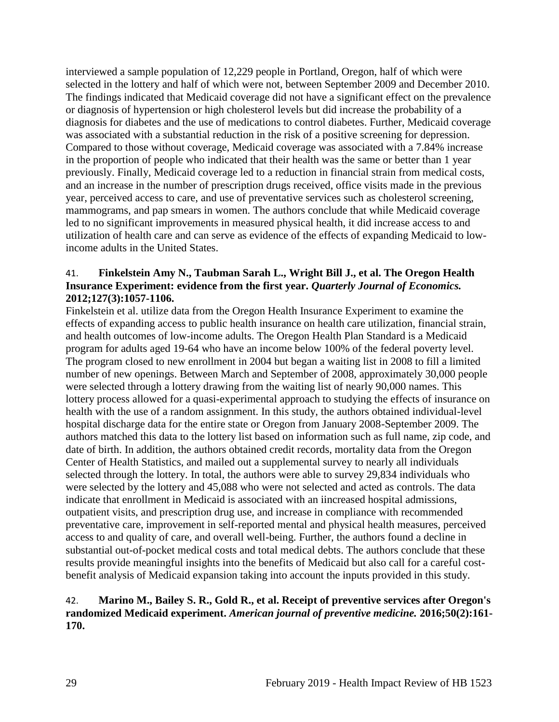interviewed a sample population of 12,229 people in Portland, Oregon, half of which were selected in the lottery and half of which were not, between September 2009 and December 2010. The findings indicated that Medicaid coverage did not have a significant effect on the prevalence or diagnosis of hypertension or high cholesterol levels but did increase the probability of a diagnosis for diabetes and the use of medications to control diabetes. Further, Medicaid coverage was associated with a substantial reduction in the risk of a positive screening for depression. Compared to those without coverage, Medicaid coverage was associated with a 7.84% increase in the proportion of people who indicated that their health was the same or better than 1 year previously. Finally, Medicaid coverage led to a reduction in financial strain from medical costs, and an increase in the number of prescription drugs received, office visits made in the previous year, perceived access to care, and use of preventative services such as cholesterol screening, mammograms, and pap smears in women. The authors conclude that while Medicaid coverage led to no significant improvements in measured physical health, it did increase access to and utilization of health care and can serve as evidence of the effects of expanding Medicaid to lowincome adults in the United States.

# <span id="page-31-0"></span>41. **Finkelstein Amy N., Taubman Sarah L., Wright Bill J., et al. The Oregon Health Insurance Experiment: evidence from the first year.** *Quarterly Journal of Economics.*  **2012;127(3):1057-1106.**

Finkelstein et al. utilize data from the Oregon Health Insurance Experiment to examine the effects of expanding access to public health insurance on health care utilization, financial strain, and health outcomes of low-income adults. The Oregon Health Plan Standard is a Medicaid program for adults aged 19-64 who have an income below 100% of the federal poverty level. The program closed to new enrollment in 2004 but began a waiting list in 2008 to fill a limited number of new openings. Between March and September of 2008, approximately 30,000 people were selected through a lottery drawing from the waiting list of nearly 90,000 names. This lottery process allowed for a quasi-experimental approach to studying the effects of insurance on health with the use of a random assignment. In this study, the authors obtained individual-level hospital discharge data for the entire state or Oregon from January 2008-September 2009. The authors matched this data to the lottery list based on information such as full name, zip code, and date of birth. In addition, the authors obtained credit records, mortality data from the Oregon Center of Health Statistics, and mailed out a supplemental survey to nearly all individuals selected through the lottery. In total, the authors were able to survey 29,834 individuals who were selected by the lottery and 45,088 who were not selected and acted as controls. The data indicate that enrollment in Medicaid is associated with an iincreased hospital admissions, outpatient visits, and prescription drug use, and increase in compliance with recommended preventative care, improvement in self-reported mental and physical health measures, perceived access to and quality of care, and overall well-being. Further, the authors found a decline in substantial out-of-pocket medical costs and total medical debts. The authors conclude that these results provide meaningful insights into the benefits of Medicaid but also call for a careful costbenefit analysis of Medicaid expansion taking into account the inputs provided in this study.

# 42. **Marino M., Bailey S. R., Gold R., et al. Receipt of preventive services after Oregon's randomized Medicaid experiment.** *American journal of preventive medicine.* **2016;50(2):161- 170.**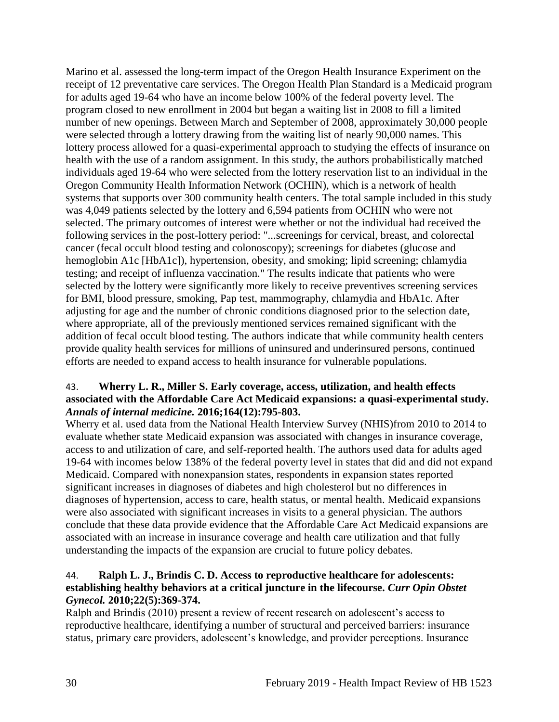Marino et al. assessed the long-term impact of the Oregon Health Insurance Experiment on the receipt of 12 preventative care services. The Oregon Health Plan Standard is a Medicaid program for adults aged 19-64 who have an income below 100% of the federal poverty level. The program closed to new enrollment in 2004 but began a waiting list in 2008 to fill a limited number of new openings. Between March and September of 2008, approximately 30,000 people were selected through a lottery drawing from the waiting list of nearly 90,000 names. This lottery process allowed for a quasi-experimental approach to studying the effects of insurance on health with the use of a random assignment. In this study, the authors probabilistically matched individuals aged 19-64 who were selected from the lottery reservation list to an individual in the Oregon Community Health Information Network (OCHIN), which is a network of health systems that supports over 300 community health centers. The total sample included in this study was 4,049 patients selected by the lottery and 6,594 patients from OCHIN who were not selected. The primary outcomes of interest were whether or not the individual had received the following services in the post-lottery period: "...screenings for cervical, breast, and colorectal cancer (fecal occult blood testing and colonoscopy); screenings for diabetes (glucose and hemoglobin A1c [HbA1c]), hypertension, obesity, and smoking; lipid screening; chlamydia testing; and receipt of influenza vaccination." The results indicate that patients who were selected by the lottery were significantly more likely to receive preventives screening services for BMI, blood pressure, smoking, Pap test, mammography, chlamydia and HbA1c. After adjusting for age and the number of chronic conditions diagnosed prior to the selection date, where appropriate, all of the previously mentioned services remained significant with the addition of fecal occult blood testing. The authors indicate that while community health centers provide quality health services for millions of uninsured and underinsured persons, continued efforts are needed to expand access to health insurance for vulnerable populations.

# <span id="page-32-0"></span>43. **Wherry L. R., Miller S. Early coverage, access, utilization, and health effects associated with the Affordable Care Act Medicaid expansions: a quasi-experimental study.**  *Annals of internal medicine.* **2016;164(12):795-803.**

Wherry et al. used data from the National Health Interview Survey (NHIS)from 2010 to 2014 to evaluate whether state Medicaid expansion was associated with changes in insurance coverage, access to and utilization of care, and self-reported health. The authors used data for adults aged 19-64 with incomes below 138% of the federal poverty level in states that did and did not expand Medicaid. Compared with nonexpansion states, respondents in expansion states reported significant increases in diagnoses of diabetes and high cholesterol but no differences in diagnoses of hypertension, access to care, health status, or mental health. Medicaid expansions were also associated with significant increases in visits to a general physician. The authors conclude that these data provide evidence that the Affordable Care Act Medicaid expansions are associated with an increase in insurance coverage and health care utilization and that fully understanding the impacts of the expansion are crucial to future policy debates.

# 44. **Ralph L. J., Brindis C. D. Access to reproductive healthcare for adolescents: establishing healthy behaviors at a critical juncture in the lifecourse.** *Curr Opin Obstet Gynecol.* **2010;22(5):369-374.**

Ralph and Brindis (2010) present a review of recent research on adolescent's access to reproductive healthcare, identifying a number of structural and perceived barriers: insurance status, primary care providers, adolescent's knowledge, and provider perceptions. Insurance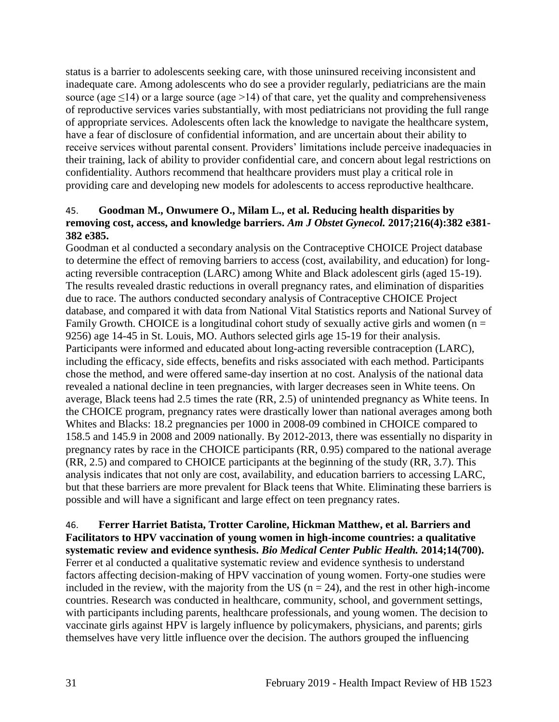status is a barrier to adolescents seeking care, with those uninsured receiving inconsistent and inadequate care. Among adolescents who do see a provider regularly, pediatricians are the main source (age  $\leq$ 14) or a large source (age >14) of that care, yet the quality and comprehensiveness of reproductive services varies substantially, with most pediatricians not providing the full range of appropriate services. Adolescents often lack the knowledge to navigate the healthcare system, have a fear of disclosure of confidential information, and are uncertain about their ability to receive services without parental consent. Providers' limitations include perceive inadequacies in their training, lack of ability to provider confidential care, and concern about legal restrictions on confidentiality. Authors recommend that healthcare providers must play a critical role in providing care and developing new models for adolescents to access reproductive healthcare.

#### 45. **Goodman M., Onwumere O., Milam L., et al. Reducing health disparities by removing cost, access, and knowledge barriers.** *Am J Obstet Gynecol.* **2017;216(4):382 e381- 382 e385.**

Goodman et al conducted a secondary analysis on the Contraceptive CHOICE Project database to determine the effect of removing barriers to access (cost, availability, and education) for longacting reversible contraception (LARC) among White and Black adolescent girls (aged 15-19). The results revealed drastic reductions in overall pregnancy rates, and elimination of disparities due to race. The authors conducted secondary analysis of Contraceptive CHOICE Project database, and compared it with data from National Vital Statistics reports and National Survey of Family Growth. CHOICE is a longitudinal cohort study of sexually active girls and women ( $n =$ 9256) age 14-45 in St. Louis, MO. Authors selected girls age 15-19 for their analysis. Participants were informed and educated about long-acting reversible contraception (LARC), including the efficacy, side effects, benefits and risks associated with each method. Participants chose the method, and were offered same-day insertion at no cost. Analysis of the national data revealed a national decline in teen pregnancies, with larger decreases seen in White teens. On average, Black teens had 2.5 times the rate (RR, 2.5) of unintended pregnancy as White teens. In the CHOICE program, pregnancy rates were drastically lower than national averages among both Whites and Blacks: 18.2 pregnancies per 1000 in 2008-09 combined in CHOICE compared to 158.5 and 145.9 in 2008 and 2009 nationally. By 2012-2013, there was essentially no disparity in pregnancy rates by race in the CHOICE participants (RR, 0.95) compared to the national average (RR, 2.5) and compared to CHOICE participants at the beginning of the study (RR, 3.7). This analysis indicates that not only are cost, availability, and education barriers to accessing LARC, but that these barriers are more prevalent for Black teens that White. Eliminating these barriers is possible and will have a significant and large effect on teen pregnancy rates.

46. **Ferrer Harriet Batista, Trotter Caroline, Hickman Matthew, et al. Barriers and Facilitators to HPV vaccination of young women in high-income countries: a qualitative systematic review and evidence synthesis.** *Bio Medical Center Public Health.* **2014;14(700).** Ferrer et al conducted a qualitative systematic review and evidence synthesis to understand factors affecting decision-making of HPV vaccination of young women. Forty-one studies were included in the review, with the majority from the US ( $n = 24$ ), and the rest in other high-income countries. Research was conducted in healthcare, community, school, and government settings, with participants including parents, healthcare professionals, and young women. The decision to vaccinate girls against HPV is largely influence by policymakers, physicians, and parents; girls themselves have very little influence over the decision. The authors grouped the influencing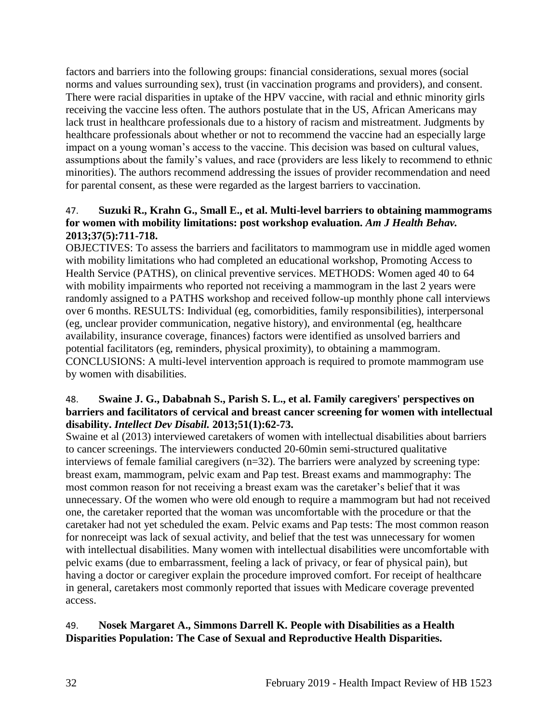factors and barriers into the following groups: financial considerations, sexual mores (social norms and values surrounding sex), trust (in vaccination programs and providers), and consent. There were racial disparities in uptake of the HPV vaccine, with racial and ethnic minority girls receiving the vaccine less often. The authors postulate that in the US, African Americans may lack trust in healthcare professionals due to a history of racism and mistreatment. Judgments by healthcare professionals about whether or not to recommend the vaccine had an especially large impact on a young woman's access to the vaccine. This decision was based on cultural values, assumptions about the family's values, and race (providers are less likely to recommend to ethnic minorities). The authors recommend addressing the issues of provider recommendation and need for parental consent, as these were regarded as the largest barriers to vaccination.

# 47. **Suzuki R., Krahn G., Small E., et al. Multi-level barriers to obtaining mammograms for women with mobility limitations: post workshop evaluation.** *Am J Health Behav.*  **2013;37(5):711-718.**

OBJECTIVES: To assess the barriers and facilitators to mammogram use in middle aged women with mobility limitations who had completed an educational workshop, Promoting Access to Health Service (PATHS), on clinical preventive services. METHODS: Women aged 40 to 64 with mobility impairments who reported not receiving a mammogram in the last 2 years were randomly assigned to a PATHS workshop and received follow-up monthly phone call interviews over 6 months. RESULTS: Individual (eg, comorbidities, family responsibilities), interpersonal (eg, unclear provider communication, negative history), and environmental (eg, healthcare availability, insurance coverage, finances) factors were identified as unsolved barriers and potential facilitators (eg, reminders, physical proximity), to obtaining a mammogram. CONCLUSIONS: A multi-level intervention approach is required to promote mammogram use by women with disabilities.

# 48. **Swaine J. G., Dababnah S., Parish S. L., et al. Family caregivers' perspectives on barriers and facilitators of cervical and breast cancer screening for women with intellectual disability.** *Intellect Dev Disabil.* **2013;51(1):62-73.**

Swaine et al (2013) interviewed caretakers of women with intellectual disabilities about barriers to cancer screenings. The interviewers conducted 20-60min semi-structured qualitative interviews of female familial caregivers (n=32). The barriers were analyzed by screening type: breast exam, mammogram, pelvic exam and Pap test. Breast exams and mammography: The most common reason for not receiving a breast exam was the caretaker's belief that it was unnecessary. Of the women who were old enough to require a mammogram but had not received one, the caretaker reported that the woman was uncomfortable with the procedure or that the caretaker had not yet scheduled the exam. Pelvic exams and Pap tests: The most common reason for nonreceipt was lack of sexual activity, and belief that the test was unnecessary for women with intellectual disabilities. Many women with intellectual disabilities were uncomfortable with pelvic exams (due to embarrassment, feeling a lack of privacy, or fear of physical pain), but having a doctor or caregiver explain the procedure improved comfort. For receipt of healthcare in general, caretakers most commonly reported that issues with Medicare coverage prevented access.

# <span id="page-34-0"></span>49. **Nosek Margaret A., Simmons Darrell K. People with Disabilities as a Health Disparities Population: The Case of Sexual and Reproductive Health Disparities.**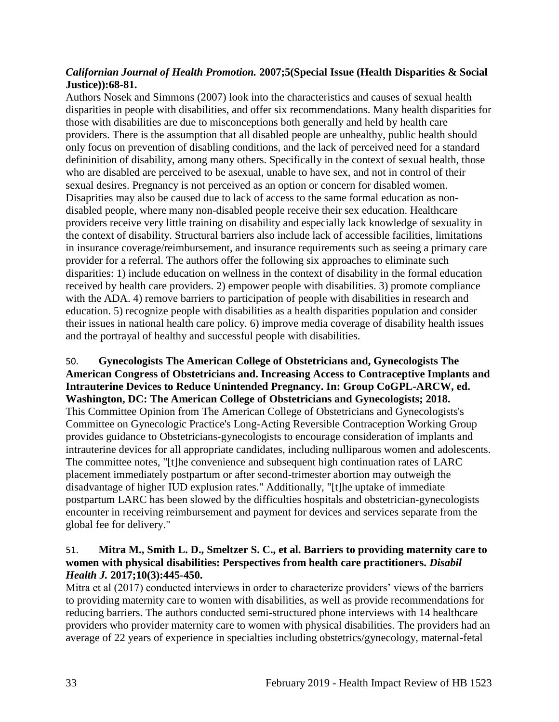# *Californian Journal of Health Promotion.* **2007;5(Special Issue (Health Disparities & Social Justice)):68-81.**

Authors Nosek and Simmons (2007) look into the characteristics and causes of sexual health disparities in people with disabilities, and offer six recommendations. Many health disparities for those with disabilities are due to misconceptions both generally and held by health care providers. There is the assumption that all disabled people are unhealthy, public health should only focus on prevention of disabling conditions, and the lack of perceived need for a standard defininition of disability, among many others. Specifically in the context of sexual health, those who are disabled are perceived to be asexual, unable to have sex, and not in control of their sexual desires. Pregnancy is not perceived as an option or concern for disabled women. Disaprities may also be caused due to lack of access to the same formal education as nondisabled people, where many non-disabled people receive their sex education. Healthcare providers receive very little training on disability and especially lack knowledge of sexuality in the context of disability. Structural barriers also include lack of accessible facilities, limitations in insurance coverage/reimbursement, and insurance requirements such as seeing a primary care provider for a referral. The authors offer the following six approaches to eliminate such disparities: 1) include education on wellness in the context of disability in the formal education received by health care providers. 2) empower people with disabilities. 3) promote compliance with the ADA. 4) remove barriers to participation of people with disabilities in research and education. 5) recognize people with disabilities as a health disparities population and consider their issues in national health care policy. 6) improve media coverage of disability health issues and the portrayal of healthy and successful people with disabilities.

50. **Gynecologists The American College of Obstetricians and, Gynecologists The American Congress of Obstetricians and. Increasing Access to Contraceptive Implants and Intrauterine Devices to Reduce Unintended Pregnancy. In: Group CoGPL-ARCW, ed. Washington, DC: The American College of Obstetricians and Gynecologists; 2018.** This Committee Opinion from The American College of Obstetricians and Gynecologists's Committee on Gynecologic Practice's Long-Acting Reversible Contraception Working Group provides guidance to Obstetricians-gynecologists to encourage consideration of implants and intrauterine devices for all appropriate candidates, including nulliparous women and adolescents. The committee notes, "[t]he convenience and subsequent high continuation rates of LARC placement immediately postpartum or after second-trimester abortion may outweigh the disadvantage of higher IUD explusion rates." Additionally, "[t]he uptake of immediate postpartum LARC has been slowed by the difficulties hospitals and obstetrician-gynecologists encounter in receiving reimbursement and payment for devices and services separate from the global fee for delivery."

# <span id="page-35-0"></span>51. **Mitra M., Smith L. D., Smeltzer S. C., et al. Barriers to providing maternity care to women with physical disabilities: Perspectives from health care practitioners.** *Disabil Health J.* **2017;10(3):445-450.**

Mitra et al (2017) conducted interviews in order to characterize providers' views of the barriers to providing maternity care to women with disabilities, as well as provide recommendations for reducing barriers. The authors conducted semi-structured phone interviews with 14 healthcare providers who provider maternity care to women with physical disabilities. The providers had an average of 22 years of experience in specialties including obstetrics/gynecology, maternal-fetal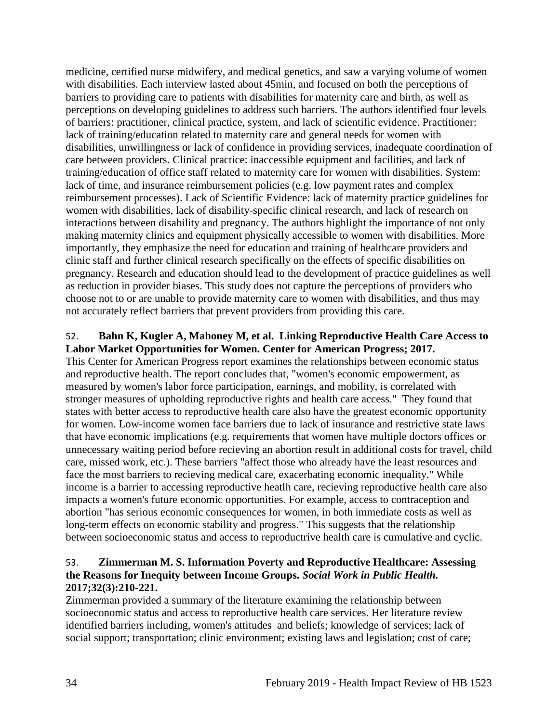medicine, certified nurse midwifery, and medical genetics, and saw a varying volume of women with disabilities. Each interview lasted about 45min, and focused on both the perceptions of barriers to providing care to patients with disabilities for maternity care and birth, as well as perceptions on developing guidelines to address such barriers. The authors identified four levels of barriers: practitioner, clinical practice, system, and lack of scientific evidence. Practitioner: lack of training/education related to maternity care and general needs for women with disabilities, unwillingness or lack of confidence in providing services, inadequate coordination of care between providers. Clinical practice: inaccessible equipment and facilities, and lack of training/education of office staff related to maternity care for women with disabilities. System: lack of time, and insurance reimbursement policies (e.g. low payment rates and complex reimbursement processes). Lack of Scientific Evidence: lack of maternity practice guidelines for women with disabilities, lack of disability-specific clinical research, and lack of research on interactions between disability and pregnancy. The authors highlight the importance of not only making maternity clinics and equipment physically accessible to women with disabilities. More importantly, they emphasize the need for education and training of healthcare providers and clinic staff and further clinical research specifically on the effects of specific disabilities on pregnancy. Research and education should lead to the development of practice guidelines as well as reduction in provider biases. This study does not capture the perceptions of providers who choose not to or are unable to provide maternity care to women with disabilities, and thus may not accurately reflect barriers that prevent providers from providing this care.

# <span id="page-36-0"></span>52. **Bahn K, Kugler A, Mahoney M, et al. Linking Reproductive Health Care Access to Labor Market Opportunities for Women. Center for American Progress; 2017.**

This Center for American Progress report examines the relationships between economic status and reproductive health. The report concludes that, "women's economic empowerment, as measured by women's labor force participation, earnings, and mobility, is correlated with stronger measures of upholding reproductive rights and health care access." They found that states with better access to reproductive health care also have the greatest economic opportunity for women. Low-income women face barriers due to lack of insurance and restrictive state laws that have economic implications (e.g. requirements that women have multiple doctors offices or unnecessary waiting period before recieving an abortion result in additional costs for travel, child care, missed work, etc.). These barriers "affect those who already have the least resources and face the most barriers to recieving medical care, exacerbating economic inequality." While income is a barrier to accessing reproductive heatlh care, recieving reproductive health care also impacts a women's future economic opportunities. For example, access to contraception and abortion "has serious economic consequences for women, in both immediate costs as well as long-term effects on economic stability and progress." This suggests that the relationship between socioeconomic status and access to reproductrive health care is cumulative and cyclic.

# <span id="page-36-1"></span>53. **Zimmerman M. S. Information Poverty and Reproductive Healthcare: Assessing the Reasons for Inequity between Income Groups.** *Social Work in Public Health.*  **2017;32(3):210-221.**

Zimmerman provided a summary of the literature examining the relationship between socioeconomic status and access to reproductive health care services. Her literature review identified barriers including, women's attitudes and beliefs; knowledge of services; lack of social support; transportation; clinic environment; existing laws and legislation; cost of care;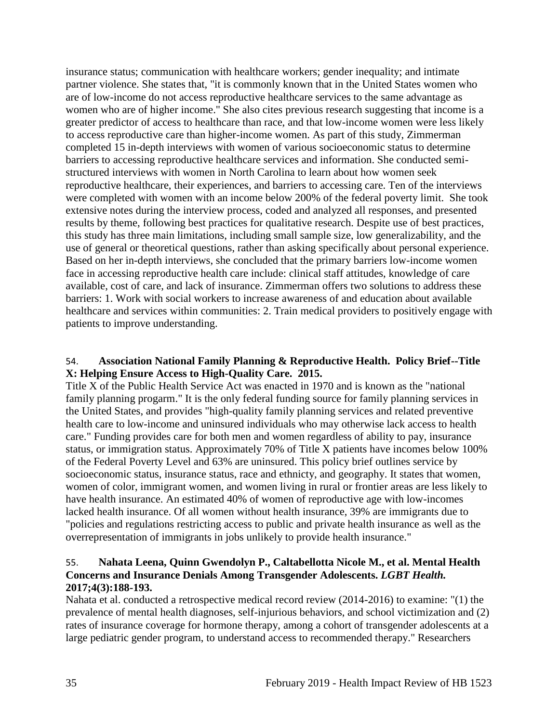insurance status; communication with healthcare workers; gender inequality; and intimate partner violence. She states that, "it is commonly known that in the United States women who are of low-income do not access reproductive healthcare services to the same advantage as women who are of higher income." She also cites previous research suggesting that income is a greater predictor of access to healthcare than race, and that low-income women were less likely to access reproductive care than higher-income women. As part of this study, Zimmerman completed 15 in-depth interviews with women of various socioeconomic status to determine barriers to accessing reproductive healthcare services and information. She conducted semistructured interviews with women in North Carolina to learn about how women seek reproductive healthcare, their experiences, and barriers to accessing care. Ten of the interviews were completed with women with an income below 200% of the federal poverty limit. She took extensive notes during the interview process, coded and analyzed all responses, and presented results by theme, following best practices for qualitative research. Despite use of best practices, this study has three main limitations, including small sample size, low generalizability, and the use of general or theoretical questions, rather than asking specifically about personal experience. Based on her in-depth interviews, she concluded that the primary barriers low-income women face in accessing reproductive health care include: clinical staff attitudes, knowledge of care available, cost of care, and lack of insurance. Zimmerman offers two solutions to address these barriers: 1. Work with social workers to increase awareness of and education about available healthcare and services within communities: 2. Train medical providers to positively engage with patients to improve understanding.

#### <span id="page-37-0"></span>54. **Association National Family Planning & Reproductive Health. Policy Brief--Title X: Helping Ensure Access to High-Quality Care. 2015.**

Title X of the Public Health Service Act was enacted in 1970 and is known as the "national family planning progarm." It is the only federal funding source for family planning services in the United States, and provides "high-quality family planning services and related preventive health care to low-income and uninsured individuals who may otherwise lack access to health care." Funding provides care for both men and women regardless of ability to pay, insurance status, or immigration status. Approximately 70% of Title X patients have incomes below 100% of the Federal Poverty Level and 63% are uninsured. This policy brief outlines service by socioeconomic status, insurance status, race and ethnicty, and geography. It states that women, women of color, immigrant women, and women living in rural or frontier areas are less likely to have health insurance. An estimated 40% of women of reproductive age with low-incomes lacked health insurance. Of all women without health insurance, 39% are immigrants due to "policies and regulations restricting access to public and private health insurance as well as the overrepresentation of immigrants in jobs unlikely to provide health insurance."

# 55. **Nahata Leena, Quinn Gwendolyn P., Caltabellotta Nicole M., et al. Mental Health Concerns and Insurance Denials Among Transgender Adolescents.** *LGBT Health.*  **2017;4(3):188-193.**

Nahata et al. conducted a retrospective medical record review (2014-2016) to examine: "(1) the prevalence of mental health diagnoses, self-injurious behaviors, and school victimization and (2) rates of insurance coverage for hormone therapy, among a cohort of transgender adolescents at a large pediatric gender program, to understand access to recommended therapy." Researchers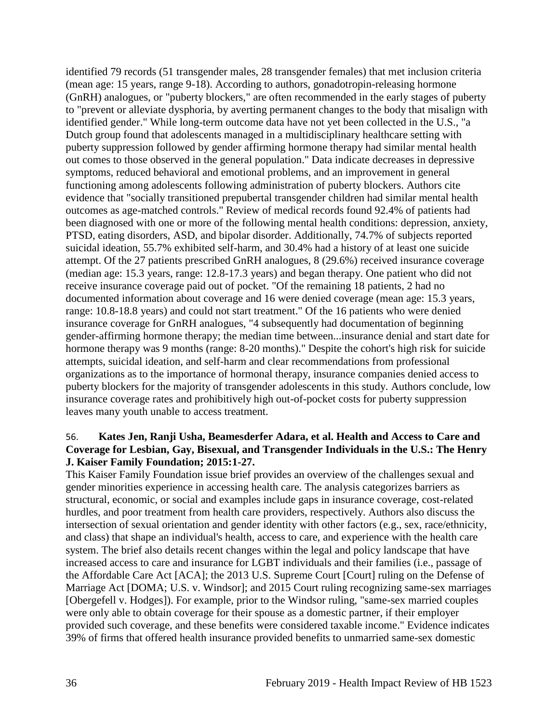identified 79 records (51 transgender males, 28 transgender females) that met inclusion criteria (mean age: 15 years, range 9-18). According to authors, gonadotropin-releasing hormone (GnRH) analogues, or "puberty blockers," are often recommended in the early stages of puberty to "prevent or alleviate dysphoria, by averting permanent changes to the body that misalign with identified gender." While long-term outcome data have not yet been collected in the U.S., "a Dutch group found that adolescents managed in a multidisciplinary healthcare setting with puberty suppression followed by gender affirming hormone therapy had similar mental health out comes to those observed in the general population." Data indicate decreases in depressive symptoms, reduced behavioral and emotional problems, and an improvement in general functioning among adolescents following administration of puberty blockers. Authors cite evidence that "socially transitioned prepubertal transgender children had similar mental health outcomes as age-matched controls." Review of medical records found 92.4% of patients had been diagnosed with one or more of the following mental health conditions: depression, anxiety, PTSD, eating disorders, ASD, and bipolar disorder. Additionally, 74.7% of subjects reported suicidal ideation, 55.7% exhibited self-harm, and 30.4% had a history of at least one suicide attempt. Of the 27 patients prescribed GnRH analogues, 8 (29.6%) received insurance coverage (median age: 15.3 years, range: 12.8-17.3 years) and began therapy. One patient who did not receive insurance coverage paid out of pocket. "Of the remaining 18 patients, 2 had no documented information about coverage and 16 were denied coverage (mean age: 15.3 years, range: 10.8-18.8 years) and could not start treatment." Of the 16 patients who were denied insurance coverage for GnRH analogues, "4 subsequently had documentation of beginning gender-affirming hormone therapy; the median time between...insurance denial and start date for hormone therapy was 9 months (range: 8-20 months)." Despite the cohort's high risk for suicide attempts, suicidal ideation, and self-harm and clear recommendations from professional organizations as to the importance of hormonal therapy, insurance companies denied access to puberty blockers for the majority of transgender adolescents in this study. Authors conclude, low insurance coverage rates and prohibitively high out-of-pocket costs for puberty suppression leaves many youth unable to access treatment.

#### <span id="page-38-0"></span>56. **Kates Jen, Ranji Usha, Beamesderfer Adara, et al. Health and Access to Care and Coverage for Lesbian, Gay, Bisexual, and Transgender Individuals in the U.S.: The Henry J. Kaiser Family Foundation; 2015:1-27.**

This Kaiser Family Foundation issue brief provides an overview of the challenges sexual and gender minorities experience in accessing health care. The analysis categorizes barriers as structural, economic, or social and examples include gaps in insurance coverage, cost-related hurdles, and poor treatment from health care providers, respectively. Authors also discuss the intersection of sexual orientation and gender identity with other factors (e.g., sex, race/ethnicity, and class) that shape an individual's health, access to care, and experience with the health care system. The brief also details recent changes within the legal and policy landscape that have increased access to care and insurance for LGBT individuals and their families (i.e., passage of the Affordable Care Act [ACA]; the 2013 U.S. Supreme Court [Court] ruling on the Defense of Marriage Act [DOMA; U.S. v. Windsor]; and 2015 Court ruling recognizing same-sex marriages [Obergefell v. Hodges]). For example, prior to the Windsor ruling, "same-sex married couples were only able to obtain coverage for their spouse as a domestic partner, if their employer provided such coverage, and these benefits were considered taxable income." Evidence indicates 39% of firms that offered health insurance provided benefits to unmarried same-sex domestic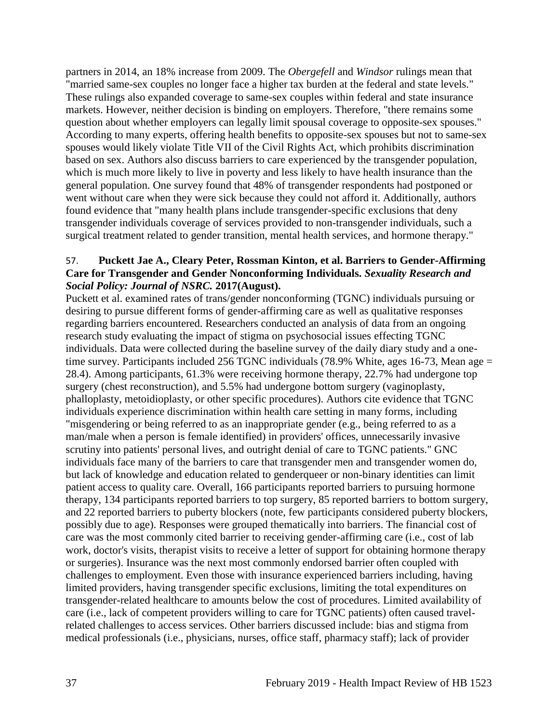partners in 2014, an 18% increase from 2009. The *Obergefell* and *Windsor* rulings mean that "married same-sex couples no longer face a higher tax burden at the federal and state levels." These rulings also expanded coverage to same-sex couples within federal and state insurance markets. However, neither decision is binding on employers. Therefore, "there remains some question about whether employers can legally limit spousal coverage to opposite-sex spouses." According to many experts, offering health benefits to opposite-sex spouses but not to same-sex spouses would likely violate Title VII of the Civil Rights Act, which prohibits discrimination based on sex. Authors also discuss barriers to care experienced by the transgender population, which is much more likely to live in poverty and less likely to have health insurance than the general population. One survey found that 48% of transgender respondents had postponed or went without care when they were sick because they could not afford it. Additionally, authors found evidence that "many health plans include transgender-specific exclusions that deny transgender individuals coverage of services provided to non-transgender individuals, such a surgical treatment related to gender transition, mental health services, and hormone therapy."

# 57. **Puckett Jae A., Cleary Peter, Rossman Kinton, et al. Barriers to Gender-Affirming Care for Transgender and Gender Nonconforming Individuals.** *Sexuality Research and Social Policy: Journal of NSRC.* **2017(August).**

Puckett et al. examined rates of trans/gender nonconforming (TGNC) individuals pursuing or desiring to pursue different forms of gender-affirming care as well as qualitative responses regarding barriers encountered. Researchers conducted an analysis of data from an ongoing research study evaluating the impact of stigma on psychosocial issues effecting TGNC individuals. Data were collected during the baseline survey of the daily diary study and a onetime survey. Participants included 256 TGNC individuals (78.9% White, ages 16-73, Mean age = 28.4). Among participants, 61.3% were receiving hormone therapy, 22.7% had undergone top surgery (chest reconstruction), and 5.5% had undergone bottom surgery (vaginoplasty, phalloplasty, metoidioplasty, or other specific procedures). Authors cite evidence that TGNC individuals experience discrimination within health care setting in many forms, including "misgendering or being referred to as an inappropriate gender (e.g., being referred to as a man/male when a person is female identified) in providers' offices, unnecessarily invasive scrutiny into patients' personal lives, and outright denial of care to TGNC patients." GNC individuals face many of the barriers to care that transgender men and transgender women do, but lack of knowledge and education related to genderqueer or non-binary identities can limit patient access to quality care. Overall, 166 participants reported barriers to pursuing hormone therapy, 134 participants reported barriers to top surgery, 85 reported barriers to bottom surgery, and 22 reported barriers to puberty blockers (note, few participants considered puberty blockers, possibly due to age). Responses were grouped thematically into barriers. The financial cost of care was the most commonly cited barrier to receiving gender-affirming care (i.e., cost of lab work, doctor's visits, therapist visits to receive a letter of support for obtaining hormone therapy or surgeries). Insurance was the next most commonly endorsed barrier often coupled with challenges to employment. Even those with insurance experienced barriers including, having limited providers, having transgender specific exclusions, limiting the total expenditures on transgender-related healthcare to amounts below the cost of procedures. Limited availability of care (i.e., lack of competent providers willing to care for TGNC patients) often caused travelrelated challenges to access services. Other barriers discussed include: bias and stigma from medical professionals (i.e., physicians, nurses, office staff, pharmacy staff); lack of provider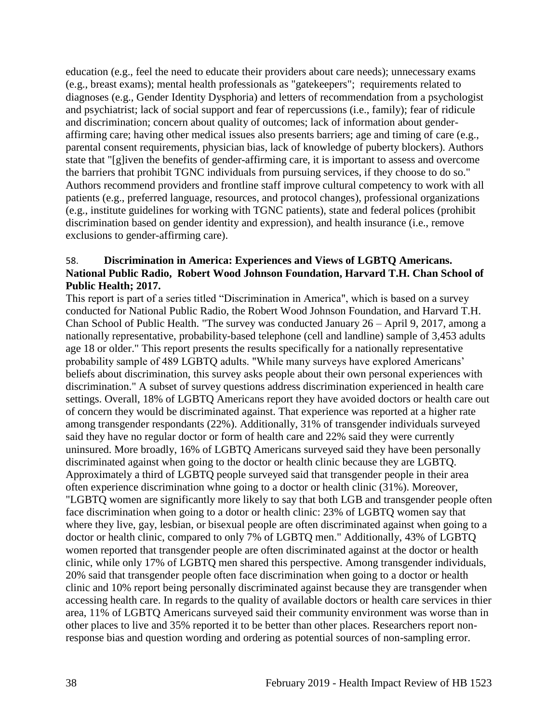education (e.g., feel the need to educate their providers about care needs); unnecessary exams (e.g., breast exams); mental health professionals as "gatekeepers"; requirements related to diagnoses (e.g., Gender Identity Dysphoria) and letters of recommendation from a psychologist and psychiatrist; lack of social support and fear of repercussions (i.e., family); fear of ridicule and discrimination; concern about quality of outcomes; lack of information about genderaffirming care; having other medical issues also presents barriers; age and timing of care (e.g., parental consent requirements, physician bias, lack of knowledge of puberty blockers). Authors state that "[g]iven the benefits of gender-affirming care, it is important to assess and overcome the barriers that prohibit TGNC individuals from pursuing services, if they choose to do so." Authors recommend providers and frontline staff improve cultural competency to work with all patients (e.g., preferred language, resources, and protocol changes), professional organizations (e.g., institute guidelines for working with TGNC patients), state and federal polices (prohibit discrimination based on gender identity and expression), and health insurance (i.e., remove exclusions to gender-affirming care).

## 58. **Discrimination in America: Experiences and Views of LGBTQ Americans. National Public Radio, Robert Wood Johnson Foundation, Harvard T.H. Chan School of Public Health; 2017.**

This report is part of a series titled "Discrimination in America", which is based on a survey conducted for National Public Radio, the Robert Wood Johnson Foundation, and Harvard T.H. Chan School of Public Health. "The survey was conducted January 26 – April 9, 2017, among a nationally representative, probability-based telephone (cell and landline) sample of 3,453 adults age 18 or older." This report presents the results specifically for a nationally representative probability sample of 489 LGBTQ adults. "While many surveys have explored Americans' beliefs about discrimination, this survey asks people about their own personal experiences with discrimination." A subset of survey questions address discrimination experienced in health care settings. Overall, 18% of LGBTQ Americans report they have avoided doctors or health care out of concern they would be discriminated against. That experience was reported at a higher rate among transgender respondants (22%). Additionally, 31% of transgender individuals surveyed said they have no regular doctor or form of health care and 22% said they were currently uninsured. More broadly, 16% of LGBTQ Americans surveyed said they have been personally discriminated against when going to the doctor or health clinic because they are LGBTQ. Approximately a third of LGBTQ people surveyed said that transgender people in their area often experience discrimination whne going to a doctor or health clinic (31%). Moreover, "LGBTQ women are significantly more likely to say that both LGB and transgender people often face discrimination when going to a dotor or health clinic: 23% of LGBTQ women say that where they live, gay, lesbian, or bisexual people are often discriminated against when going to a doctor or health clinic, compared to only 7% of LGBTQ men." Additionally, 43% of LGBTQ women reported that transgender people are often discriminated against at the doctor or health clinic, while only 17% of LGBTQ men shared this perspective. Among transgender individuals, 20% said that transgender people often face discrimination when going to a doctor or health clinic and 10% report being personally discriminated against because they are transgender when accessing health care. In regards to the quality of available doctors or health care services in thier area, 11% of LGBTQ Americans surveyed said their community environment was worse than in other places to live and 35% reported it to be better than other places. Researchers report nonresponse bias and question wording and ordering as potential sources of non-sampling error.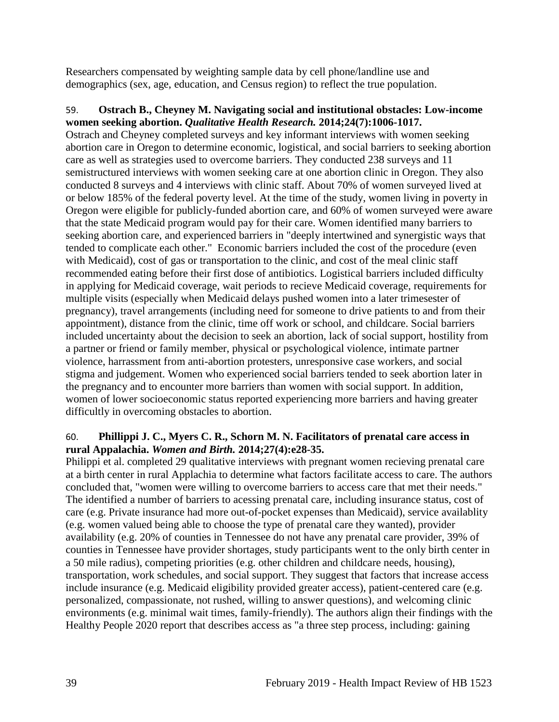Researchers compensated by weighting sample data by cell phone/landline use and demographics (sex, age, education, and Census region) to reflect the true population.

# <span id="page-41-0"></span>59. **Ostrach B., Cheyney M. Navigating social and institutional obstacles: Low-income women seeking abortion.** *Qualitative Health Research.* **2014;24(7):1006-1017.**

Ostrach and Cheyney completed surveys and key informant interviews with women seeking abortion care in Oregon to determine economic, logistical, and social barriers to seeking abortion care as well as strategies used to overcome barriers. They conducted 238 surveys and 11 semistructured interviews with women seeking care at one abortion clinic in Oregon. They also conducted 8 surveys and 4 interviews with clinic staff. About 70% of women surveyed lived at or below 185% of the federal poverty level. At the time of the study, women living in poverty in Oregon were eligible for publicly-funded abortion care, and 60% of women surveyed were aware that the state Medicaid program would pay for their care. Women identified many barriers to seeking abortion care, and experienced barriers in "deeply intertwined and synergistic ways that tended to complicate each other." Economic barriers included the cost of the procedure (even with Medicaid), cost of gas or transportation to the clinic, and cost of the meal clinic staff recommended eating before their first dose of antibiotics. Logistical barriers included difficulty in applying for Medicaid coverage, wait periods to recieve Medicaid coverage, requirements for multiple visits (especially when Medicaid delays pushed women into a later trimesester of pregnancy), travel arrangements (including need for someone to drive patients to and from their appointment), distance from the clinic, time off work or school, and childcare. Social barriers included uncertainty about the decision to seek an abortion, lack of social support, hostility from a partner or friend or family member, physical or psychological violence, intimate partner violence, harrassment from anti-abortion protesters, unresponsive case workers, and social stigma and judgement. Women who experienced social barriers tended to seek abortion later in the pregnancy and to encounter more barriers than women with social support. In addition, women of lower socioeconomic status reported experiencing more barriers and having greater difficultly in overcoming obstacles to abortion.

# <span id="page-41-1"></span>60. **Phillippi J. C., Myers C. R., Schorn M. N. Facilitators of prenatal care access in rural Appalachia.** *Women and Birth.* **2014;27(4):e28-35.**

Philippi et al. completed 29 qualitative interviews with pregnant women recieving prenatal care at a birth center in rural Applachia to determine what factors facilitate access to care. The authors concluded that, "women were willing to overcome barriers to access care that met their needs." The identified a number of barriers to acessing prenatal care, including insurance status, cost of care (e.g. Private insurance had more out-of-pocket expenses than Medicaid), service availablity (e.g. women valued being able to choose the type of prenatal care they wanted), provider availability (e.g. 20% of counties in Tennessee do not have any prenatal care provider, 39% of counties in Tennessee have provider shortages, study participants went to the only birth center in a 50 mile radius), competing priorities (e.g. other children and childcare needs, housing), transportation, work schedules, and social support. They suggest that factors that increase access include insurance (e.g. Medicaid eligibility provided greater access), patient-centered care (e.g. personalized, compassionate, not rushed, willing to answer questions), and welcoming clinic environments (e.g. minimal wait times, family-friendly). The authors align their findings with the Healthy People 2020 report that describes access as "a three step process, including: gaining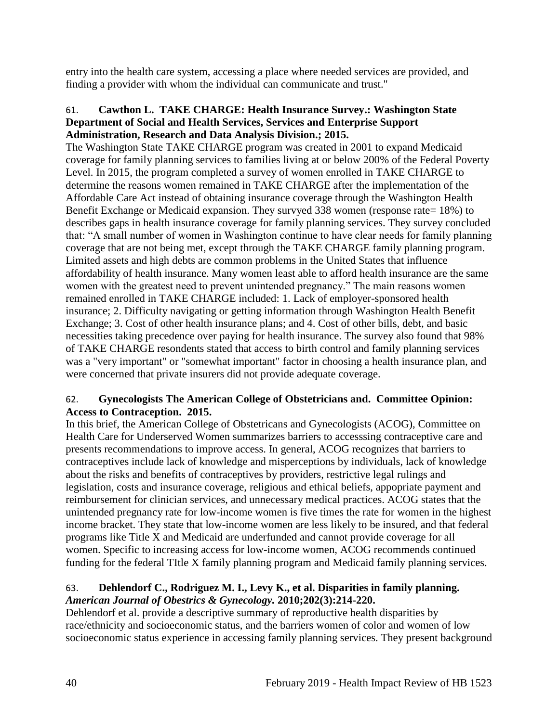entry into the health care system, accessing a place where needed services are provided, and finding a provider with whom the individual can communicate and trust."

## 61. **Cawthon L. TAKE CHARGE: Health Insurance Survey.: Washington State Department of Social and Health Services, Services and Enterprise Support Administration, Research and Data Analysis Division.; 2015.**

The Washington State TAKE CHARGE program was created in 2001 to expand Medicaid coverage for family planning services to families living at or below 200% of the Federal Poverty Level. In 2015, the program completed a survey of women enrolled in TAKE CHARGE to determine the reasons women remained in TAKE CHARGE after the implementation of the Affordable Care Act instead of obtaining insurance coverage through the Washington Health Benefit Exchange or Medicaid expansion. They survyed 338 women (response rate= 18%) to describes gaps in health insurance coverage for family planning services. They survey concluded that: "A small number of women in Washington continue to have clear needs for family planning coverage that are not being met, except through the TAKE CHARGE family planning program. Limited assets and high debts are common problems in the United States that influence affordability of health insurance. Many women least able to afford health insurance are the same women with the greatest need to prevent unintended pregnancy." The main reasons women remained enrolled in TAKE CHARGE included: 1. Lack of employer-sponsored health insurance; 2. Difficulty navigating or getting information through Washington Health Benefit Exchange; 3. Cost of other health insurance plans; and 4. Cost of other bills, debt, and basic necessities taking precedence over paying for health insurance. The survey also found that 98% of TAKE CHARGE resondents stated that access to birth control and family planning services was a "very important" or "somewhat important" factor in choosing a health insurance plan, and were concerned that private insurers did not provide adequate coverage.

# <span id="page-42-0"></span>62. **Gynecologists The American College of Obstetricians and. Committee Opinion: Access to Contraception. 2015.**

In this brief, the American College of Obstetricans and Gynecologists (ACOG), Committee on Health Care for Underserved Women summarizes barriers to accesssing contraceptive care and presents recommendations to improve access. In general, ACOG recognizes that barriers to contraceptives include lack of knowledge and misperceptions by individuals, lack of knowledge about the risks and benefits of contraceptives by providers, restrictive legal rulings and legislation, costs and insurance coverage, religious and ethical beliefs, appopriate payment and reimbursement for clinician services, and unnecessary medical practices. ACOG states that the unintended pregnancy rate for low-income women is five times the rate for women in the highest income bracket. They state that low-income women are less likely to be insured, and that federal programs like Title X and Medicaid are underfunded and cannot provide coverage for all women. Specific to increasing access for low-income women, ACOG recommends continued funding for the federal TItle X family planning program and Medicaid family planning services.

# <span id="page-42-1"></span>63. **Dehlendorf C., Rodriguez M. I., Levy K., et al. Disparities in family planning.**  *American Journal of Obestrics & Gynecology.* **2010;202(3):214-220.**

Dehlendorf et al. provide a descriptive summary of reproductive health disparities by race/ethnicity and socioeconomic status, and the barriers women of color and women of low socioeconomic status experience in accessing family planning services. They present background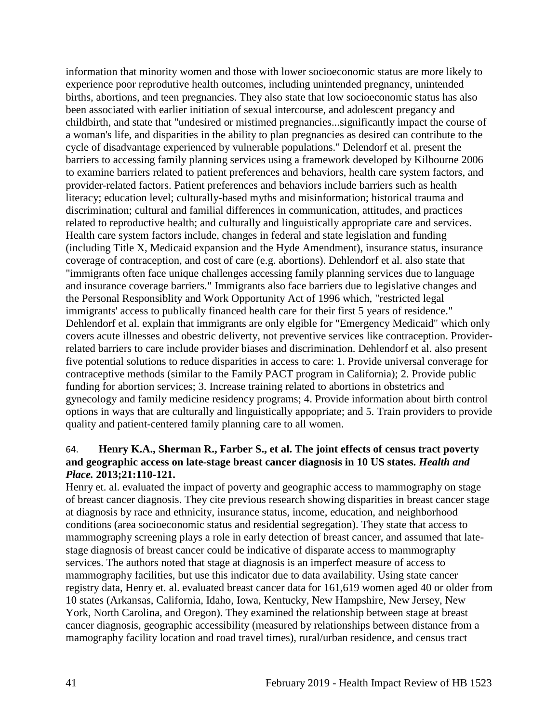information that minority women and those with lower socioeconomic status are more likely to experience poor reprodutive health outcomes, including unintended pregnancy, unintended births, abortions, and teen pregnancies. They also state that low socioeconomic status has also been associated with earlier initiation of sexual intercourse, and adolescent pregancy and childbirth, and state that "undesired or mistimed pregnancies...significantly impact the course of a woman's life, and disparities in the ability to plan pregnancies as desired can contribute to the cycle of disadvantage experienced by vulnerable populations." Delendorf et al. present the barriers to accessing family planning services using a framework developed by Kilbourne 2006 to examine barriers related to patient preferences and behaviors, health care system factors, and provider-related factors. Patient preferences and behaviors include barriers such as health literacy; education level; culturally-based myths and misinformation; historical trauma and discrimination; cultural and familial differences in communication, attitudes, and practices related to reproductive health; and culturally and linguistically appropriate care and services. Health care system factors include, changes in federal and state legislation and funding (including Title X, Medicaid expansion and the Hyde Amendment), insurance status, insurance coverage of contraception, and cost of care (e.g. abortions). Dehlendorf et al. also state that "immigrants often face unique challenges accessing family planning services due to language and insurance coverage barriers." Immigrants also face barriers due to legislative changes and the Personal Responsiblity and Work Opportunity Act of 1996 which, "restricted legal immigrants' access to publically financed health care for their first 5 years of residence." Dehlendorf et al. explain that immigrants are only elgible for "Emergency Medicaid" which only covers acute illnesses and obestric deliverty, not preventive services like contraception. Providerrelated barriers to care include provider biases and discrimination. Dehlendorf et al. also present five potential solutions to reduce disparities in access to care: 1. Provide universal converage for contraceptive methods (similar to the Family PACT program in California); 2. Provide public funding for abortion services; 3. Increase training related to abortions in obstetrics and gynecology and family medicine residency programs; 4. Provide information about birth control options in ways that are culturally and linguistically appopriate; and 5. Train providers to provide quality and patient-centered family planning care to all women.

#### 64. **Henry K.A., Sherman R., Farber S., et al. The joint effects of census tract poverty and geographic access on late-stage breast cancer diagnosis in 10 US states.** *Health and Place.* **2013;21:110-121.**

Henry et. al. evaluated the impact of poverty and geographic access to mammography on stage of breast cancer diagnosis. They cite previous research showing disparities in breast cancer stage at diagnosis by race and ethnicity, insurance status, income, education, and neighborhood conditions (area socioeconomic status and residential segregation). They state that access to mammography screening plays a role in early detection of breast cancer, and assumed that latestage diagnosis of breast cancer could be indicative of disparate access to mammography services. The authors noted that stage at diagnosis is an imperfect measure of access to mammography facilities, but use this indicator due to data availability. Using state cancer registry data, Henry et. al. evaluated breast cancer data for 161,619 women aged 40 or older from 10 states (Arkansas, California, Idaho, Iowa, Kentucky, New Hampshire, New Jersey, New York, North Carolina, and Oregon). They examined the relationship between stage at breast cancer diagnosis, geographic accessibility (measured by relationships between distance from a mamography facility location and road travel times), rural/urban residence, and census tract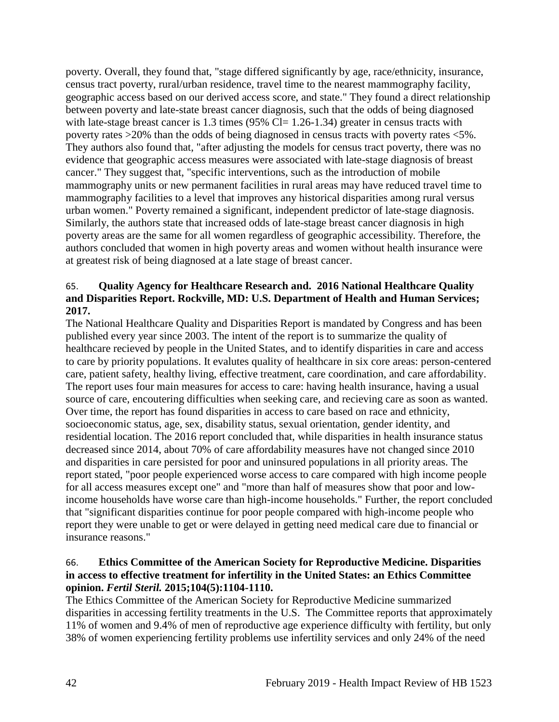poverty. Overall, they found that, "stage differed significantly by age, race/ethnicity, insurance, census tract poverty, rural/urban residence, travel time to the nearest mammography facility, geographic access based on our derived access score, and state." They found a direct relationship between poverty and late-state breast cancer diagnosis, such that the odds of being diagnosed with late-stage breast cancer is 1.3 times (95% Cl=  $1.26$ -1.34) greater in census tracts with poverty rates >20% than the odds of being diagnosed in census tracts with poverty rates <5%. They authors also found that, "after adjusting the models for census tract poverty, there was no evidence that geographic access measures were associated with late-stage diagnosis of breast cancer." They suggest that, "specific interventions, such as the introduction of mobile mammography units or new permanent facilities in rural areas may have reduced travel time to mammography facilities to a level that improves any historical disparities among rural versus urban women." Poverty remained a significant, independent predictor of late-stage diagnosis. Similarly, the authors state that increased odds of late-stage breast cancer diagnosis in high poverty areas are the same for all women regardless of geographic accessibility. Therefore, the authors concluded that women in high poverty areas and women without health insurance were at greatest risk of being diagnosed at a late stage of breast cancer.

#### 65. **Quality Agency for Healthcare Research and. 2016 National Healthcare Quality and Disparities Report. Rockville, MD: U.S. Department of Health and Human Services; 2017.**

The National Healthcare Quality and Disparities Report is mandated by Congress and has been published every year since 2003. The intent of the report is to summarize the quality of healthcare recieved by people in the United States, and to identify disparities in care and access to care by priority populations. It evalutes quality of healthcare in six core areas: person-centered care, patient safety, healthy living, effective treatment, care coordination, and care affordability. The report uses four main measures for access to care: having health insurance, having a usual source of care, encoutering difficulties when seeking care, and recieving care as soon as wanted. Over time, the report has found disparities in access to care based on race and ethnicity, socioeconomic status, age, sex, disability status, sexual orientation, gender identity, and residential location. The 2016 report concluded that, while disparities in health insurance status decreased since 2014, about 70% of care affordability measures have not changed since 2010 and disparities in care persisted for poor and uninsured populations in all priority areas. The report stated, "poor people experienced worse access to care compared with high income people for all access measures except one" and "more than half of measures show that poor and lowincome households have worse care than high-income households." Further, the report concluded that "significant disparities continue for poor people compared with high-income people who report they were unable to get or were delayed in getting need medical care due to financial or insurance reasons."

# 66. **Ethics Committee of the American Society for Reproductive Medicine. Disparities in access to effective treatment for infertility in the United States: an Ethics Committee opinion.** *Fertil Steril.* **2015;104(5):1104-1110.**

The Ethics Committee of the American Society for Reproductive Medicine summarized disparities in accessing fertility treatments in the U.S. The Committee reports that approximately 11% of women and 9.4% of men of reproductive age experience difficulty with fertility, but only 38% of women experiencing fertility problems use infertility services and only 24% of the need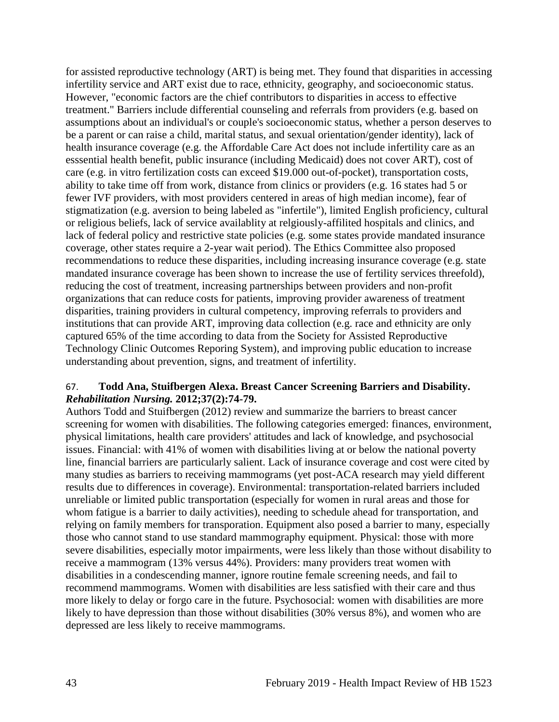for assisted reproductive technology (ART) is being met. They found that disparities in accessing infertility service and ART exist due to race, ethnicity, geography, and socioeconomic status. However, "economic factors are the chief contributors to disparities in access to effective treatment." Barriers include differential counseling and referrals from providers (e.g. based on assumptions about an individual's or couple's socioeconomic status, whether a person deserves to be a parent or can raise a child, marital status, and sexual orientation/gender identity), lack of health insurance coverage (e.g. the Affordable Care Act does not include infertility care as an esssential health benefit, public insurance (including Medicaid) does not cover ART), cost of care (e.g. in vitro fertilization costs can exceed \$19.000 out-of-pocket), transportation costs, ability to take time off from work, distance from clinics or providers (e.g. 16 states had 5 or fewer IVF providers, with most providers centered in areas of high median income), fear of stigmatization (e.g. aversion to being labeled as "infertile"), limited English proficiency, cultural or religious beliefs, lack of service availablity at relgiously-affilited hospitals and clinics, and lack of federal policy and restrictive state policies (e.g. some states provide mandated insurance coverage, other states require a 2-year wait period). The Ethics Committee also proposed recommendations to reduce these disparities, including increasing insurance coverage (e.g. state mandated insurance coverage has been shown to increase the use of fertility services threefold), reducing the cost of treatment, increasing partnerships between providers and non-profit organizations that can reduce costs for patients, improving provider awareness of treatment disparities, training providers in cultural competency, improving referrals to providers and institutions that can provide ART, improving data collection (e.g. race and ethnicity are only captured 65% of the time according to data from the Society for Assisted Reproductive Technology Clinic Outcomes Reporing System), and improving public education to increase understanding about prevention, signs, and treatment of infertility.

#### 67. **Todd Ana, Stuifbergen Alexa. Breast Cancer Screening Barriers and Disability.**  *Rehabilitation Nursing.* **2012;37(2):74-79.**

Authors Todd and Stuifbergen (2012) review and summarize the barriers to breast cancer screening for women with disabilities. The following categories emerged: finances, environment, physical limitations, health care providers' attitudes and lack of knowledge, and psychosocial issues. Financial: with 41% of women with disabilities living at or below the national poverty line, financial barriers are particularly salient. Lack of insurance coverage and cost were cited by many studies as barriers to receiving mammograms (yet post-ACA research may yield different results due to differences in coverage). Environmental: transportation-related barriers included unreliable or limited public transportation (especially for women in rural areas and those for whom fatigue is a barrier to daily activities), needing to schedule ahead for transportation, and relying on family members for transporation. Equipment also posed a barrier to many, especially those who cannot stand to use standard mammography equipment. Physical: those with more severe disabilities, especially motor impairments, were less likely than those without disability to receive a mammogram (13% versus 44%). Providers: many providers treat women with disabilities in a condescending manner, ignore routine female screening needs, and fail to recommend mammograms. Women with disabilities are less satisfied with their care and thus more likely to delay or forgo care in the future. Psychosocial: women with disabilities are more likely to have depression than those without disabilities (30% versus 8%), and women who are depressed are less likely to receive mammograms.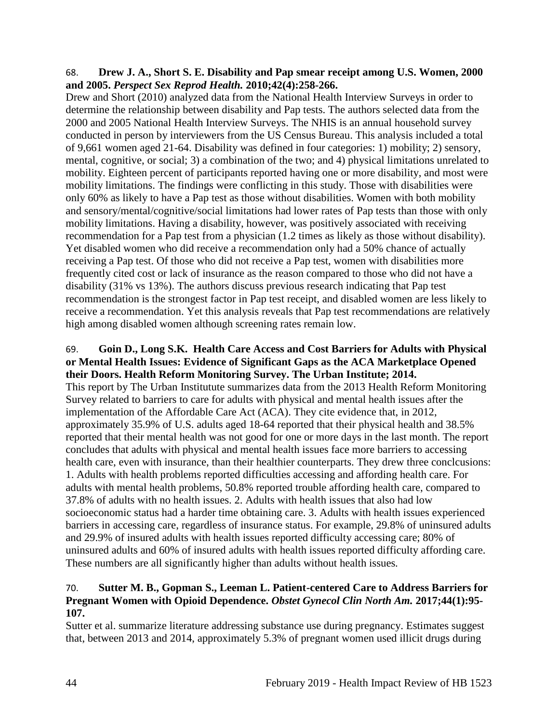#### 68. **Drew J. A., Short S. E. Disability and Pap smear receipt among U.S. Women, 2000 and 2005.** *Perspect Sex Reprod Health.* **2010;42(4):258-266.**

Drew and Short (2010) analyzed data from the National Health Interview Surveys in order to determine the relationship between disability and Pap tests. The authors selected data from the 2000 and 2005 National Health Interview Surveys. The NHIS is an annual household survey conducted in person by interviewers from the US Census Bureau. This analysis included a total of 9,661 women aged 21-64. Disability was defined in four categories: 1) mobility; 2) sensory, mental, cognitive, or social; 3) a combination of the two; and 4) physical limitations unrelated to mobility. Eighteen percent of participants reported having one or more disability, and most were mobility limitations. The findings were conflicting in this study. Those with disabilities were only 60% as likely to have a Pap test as those without disabilities. Women with both mobility and sensory/mental/cognitive/social limitations had lower rates of Pap tests than those with only mobility limitations. Having a disability, however, was positively associated with receiving recommendation for a Pap test from a physician (1.2 times as likely as those without disability). Yet disabled women who did receive a recommendation only had a 50% chance of actually receiving a Pap test. Of those who did not receive a Pap test, women with disabilities more frequently cited cost or lack of insurance as the reason compared to those who did not have a disability (31% vs 13%). The authors discuss previous research indicating that Pap test recommendation is the strongest factor in Pap test receipt, and disabled women are less likely to receive a recommendation. Yet this analysis reveals that Pap test recommendations are relatively high among disabled women although screening rates remain low.

#### 69. **Goin D., Long S.K. Health Care Access and Cost Barriers for Adults with Physical or Mental Health Issues: Evidence of Significant Gaps as the ACA Marketplace Opened their Doors. Health Reform Monitoring Survey. The Urban Institute; 2014.**

This report by The Urban Institutute summarizes data from the 2013 Health Reform Monitoring Survey related to barriers to care for adults with physical and mental health issues after the implementation of the Affordable Care Act (ACA). They cite evidence that, in 2012, approximately 35.9% of U.S. adults aged 18-64 reported that their physical health and 38.5% reported that their mental health was not good for one or more days in the last month. The report concludes that adults with physical and mental health issues face more barriers to accessing health care, even with insurance, than their healthier counterparts. They drew three conclcusions: 1. Adults with health problems reported difficulties accessing and affording health care. For adults with mental health problems, 50.8% reported trouble affording health care, compared to 37.8% of adults with no health issues. 2. Adults with health issues that also had low socioeconomic status had a harder time obtaining care. 3. Adults with health issues experienced barriers in accessing care, regardless of insurance status. For example, 29.8% of uninsured adults and 29.9% of insured adults with health issues reported difficulty accessing care; 80% of uninsured adults and 60% of insured adults with health issues reported difficulty affording care. These numbers are all significantly higher than adults without health issues.

#### 70. **Sutter M. B., Gopman S., Leeman L. Patient-centered Care to Address Barriers for Pregnant Women with Opioid Dependence.** *Obstet Gynecol Clin North Am.* **2017;44(1):95- 107.**

Sutter et al. summarize literature addressing substance use during pregnancy. Estimates suggest that, between 2013 and 2014, approximately 5.3% of pregnant women used illicit drugs during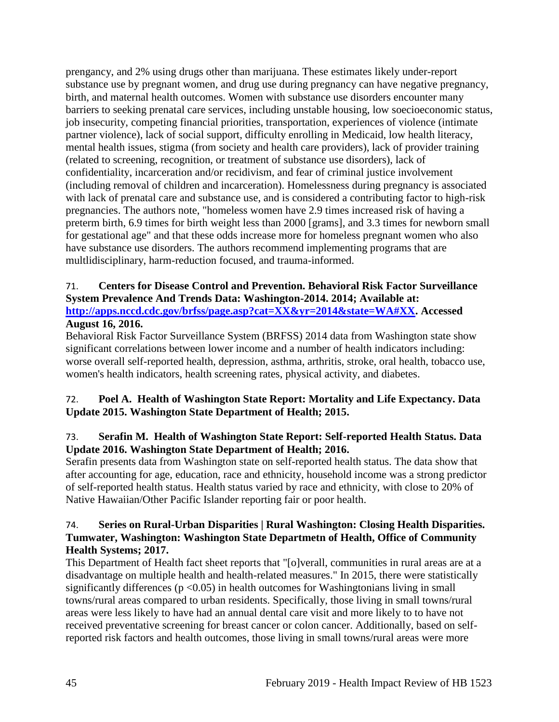prengancy, and 2% using drugs other than marijuana. These estimates likely under-report substance use by pregnant women, and drug use during pregnancy can have negative pregnancy, birth, and maternal health outcomes. Women with substance use disorders encounter many barriers to seeking prenatal care services, including unstable housing, low soecioeconomic status, job insecurity, competing financial priorities, transportation, experiences of violence (intimate partner violence), lack of social support, difficulty enrolling in Medicaid, low health literacy, mental health issues, stigma (from society and health care providers), lack of provider training (related to screening, recognition, or treatment of substance use disorders), lack of confidentiality, incarceration and/or recidivism, and fear of criminal justice involvement (including removal of children and incarceration). Homelessness during pregnancy is associated with lack of prenatal care and substance use, and is considered a contributing factor to high-risk pregnancies. The authors note, "homeless women have 2.9 times increased risk of having a preterm birth, 6.9 times for birth weight less than 2000 [grams], and 3.3 times for newborn small for gestational age" and that these odds increase more for homeless pregnant women who also have substance use disorders. The authors recommend implementing programs that are multlidisciplinary, harm-reduction focused, and trauma-informed.

#### 71. **Centers for Disease Control and Prevention. Behavioral Risk Factor Surveillance System Prevalence And Trends Data: Washington-2014. 2014; Available at: [http://apps.nccd.cdc.gov/brfss/page.asp?cat=XX&yr=2014&state=WA#XX.](http://apps.nccd.cdc.gov/brfss/page.asp?cat=XX&yr=2014&state=WA#XX) Accessed August 16, 2016.**

# Behavioral Risk Factor Surveillance System (BRFSS) 2014 data from Washington state show significant correlations between lower income and a number of health indicators including: worse overall self-reported health, depression, asthma, arthritis, stroke, oral health, tobacco use, women's health indicators, health screening rates, physical activity, and diabetes.

# <span id="page-47-0"></span>72. **Poel A. Health of Washington State Report: Mortality and Life Expectancy. Data Update 2015. Washington State Department of Health; 2015.**

# 73. **Serafin M. Health of Washington State Report: Self-reported Health Status. Data Update 2016. Washington State Department of Health; 2016.**

Serafin presents data from Washington state on self-reported health status. The data show that after accounting for age, education, race and ethnicity, household income was a strong predictor of self-reported health status. Health status varied by race and ethnicity, with close to 20% of Native Hawaiian/Other Pacific Islander reporting fair or poor health.

#### 74. **Series on Rural-Urban Disparities | Rural Washington: Closing Health Disparities. Tumwater, Washington: Washington State Departmetn of Health, Office of Community Health Systems; 2017.**

This Department of Health fact sheet reports that "[o]verall, communities in rural areas are at a disadvantage on multiple health and health-related measures." In 2015, there were statistically significantly differences ( $p \le 0.05$ ) in health outcomes for Washingtonians living in small towns/rural areas compared to urban residents. Specifically, those living in small towns/rural areas were less likely to have had an annual dental care visit and more likely to to have not received preventative screening for breast cancer or colon cancer. Additionally, based on selfreported risk factors and health outcomes, those living in small towns/rural areas were more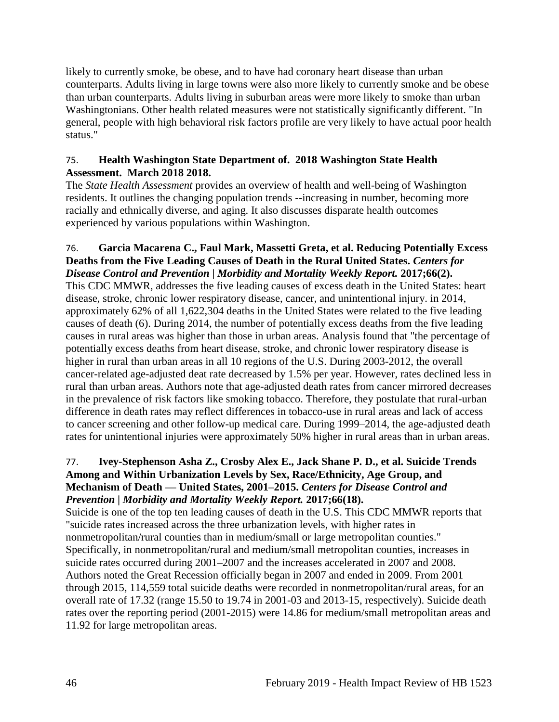likely to currently smoke, be obese, and to have had coronary heart disease than urban counterparts. Adults living in large towns were also more likely to currently smoke and be obese than urban counterparts. Adults living in suburban areas were more likely to smoke than urban Washingtonians. Other health related measures were not statistically significantly different. "In general, people with high behavioral risk factors profile are very likely to have actual poor health status."

# <span id="page-48-0"></span>75. **Health Washington State Department of. 2018 Washington State Health Assessment. March 2018 2018.**

The *State Health Assessment* provides an overview of health and well-being of Washington residents. It outlines the changing population trends --increasing in number, becoming more racially and ethnically diverse, and aging. It also discusses disparate health outcomes experienced by various populations within Washington.

#### 76. **Garcia Macarena C., Faul Mark, Massetti Greta, et al. Reducing Potentially Excess Deaths from the Five Leading Causes of Death in the Rural United States.** *Centers for Disease Control and Prevention | Morbidity and Mortality Weekly Report.* **2017;66(2).**

This CDC MMWR, addresses the five leading causes of excess death in the United States: heart disease, stroke, chronic lower respiratory disease, cancer, and unintentional injury. in 2014, approximately 62% of all 1,622,304 deaths in the United States were related to the five leading causes of death (6). During 2014, the number of potentially excess deaths from the five leading causes in rural areas was higher than those in urban areas. Analysis found that "the percentage of potentially excess deaths from heart disease, stroke, and chronic lower respiratory disease is higher in rural than urban areas in all 10 regions of the U.S. During 2003-2012, the overall cancer-related age-adjusted deat rate decreased by 1.5% per year. However, rates declined less in rural than urban areas. Authors note that age-adjusted death rates from cancer mirrored decreases in the prevalence of risk factors like smoking tobacco. Therefore, they postulate that rural-urban difference in death rates may reflect differences in tobacco-use in rural areas and lack of access to cancer screening and other follow-up medical care. During 1999–2014, the age-adjusted death rates for unintentional injuries were approximately 50% higher in rural areas than in urban areas.

# 77. **Ivey-Stephenson Asha Z., Crosby Alex E., Jack Shane P. D., et al. Suicide Trends Among and Within Urbanization Levels by Sex, Race/Ethnicity, Age Group, and Mechanism of Death — United States, 2001–2015.** *Centers for Disease Control and Prevention | Morbidity and Mortality Weekly Report.* **2017;66(18).**

Suicide is one of the top ten leading causes of death in the U.S. This CDC MMWR reports that "suicide rates increased across the three urbanization levels, with higher rates in nonmetropolitan/rural counties than in medium/small or large metropolitan counties." Specifically, in nonmetropolitan/rural and medium/small metropolitan counties, increases in suicide rates occurred during 2001–2007 and the increases accelerated in 2007 and 2008. Authors noted the Great Recession officially began in 2007 and ended in 2009. From 2001 through 2015, 114,559 total suicide deaths were recorded in nonmetropolitan/rural areas, for an overall rate of 17.32 (range 15.50 to 19.74 in 2001-03 and 2013-15, respectively). Suicide death rates over the reporting period (2001-2015) were 14.86 for medium/small metropolitan areas and 11.92 for large metropolitan areas.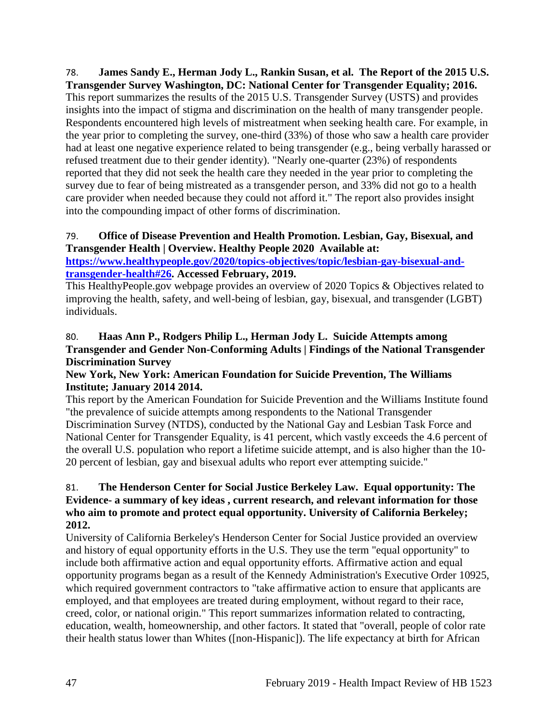<span id="page-49-0"></span>78. **James Sandy E., Herman Jody L., Rankin Susan, et al. The Report of the 2015 U.S. Transgender Survey Washington, DC: National Center for Transgender Equality; 2016.** This report summarizes the results of the 2015 U.S. Transgender Survey (USTS) and provides insights into the impact of stigma and discrimination on the health of many transgender people. Respondents encountered high levels of mistreatment when seeking health care. For example, in the year prior to completing the survey, one-third (33%) of those who saw a health care provider had at least one negative experience related to being transgender (e.g., being verbally harassed or refused treatment due to their gender identity). "Nearly one-quarter (23%) of respondents reported that they did not seek the health care they needed in the year prior to completing the survey due to fear of being mistreated as a transgender person, and 33% did not go to a health care provider when needed because they could not afford it." The report also provides insight into the compounding impact of other forms of discrimination.

# 79. **Office of Disease Prevention and Health Promotion. Lesbian, Gay, Bisexual, and Transgender Health | Overview. Healthy People 2020 Available at:**

**[https://www.healthypeople.gov/2020/topics-objectives/topic/lesbian-gay-bisexual-and](https://www.healthypeople.gov/2020/topics-objectives/topic/lesbian-gay-bisexual-and-transgender-health#26)[transgender-health#26.](https://www.healthypeople.gov/2020/topics-objectives/topic/lesbian-gay-bisexual-and-transgender-health#26) Accessed February, 2019.**

This HealthyPeople.gov webpage provides an overview of 2020 Topics & Objectives related to improving the health, safety, and well-being of lesbian, gay, bisexual, and transgender (LGBT) individuals.

# 80. **Haas Ann P., Rodgers Philip L., Herman Jody L. Suicide Attempts among Transgender and Gender Non-Conforming Adults | Findings of the National Transgender Discrimination Survey**

# **New York, New York: American Foundation for Suicide Prevention, The Williams Institute; January 2014 2014.**

This report by the American Foundation for Suicide Prevention and the Williams Institute found "the prevalence of suicide attempts among respondents to the National Transgender Discrimination Survey (NTDS), conducted by the National Gay and Lesbian Task Force and National Center for Transgender Equality, is 41 percent, which vastly exceeds the 4.6 percent of the overall U.S. population who report a lifetime suicide attempt, and is also higher than the 10- 20 percent of lesbian, gay and bisexual adults who report ever attempting suicide."

# 81. **The Henderson Center for Social Justice Berkeley Law. Equal opportunity: The Evidence- a summary of key ideas , current research, and relevant information for those who aim to promote and protect equal opportunity. University of California Berkeley; 2012.**

University of California Berkeley's Henderson Center for Social Justice provided an overview and history of equal opportunity efforts in the U.S. They use the term "equal opportunity" to include both affirmative action and equal opportunity efforts. Affirmative action and equal opportunity programs began as a result of the Kennedy Administration's Executive Order 10925, which required government contractors to "take affirmative action to ensure that applicants are employed, and that employees are treated during employment, without regard to their race, creed, color, or national origin." This report summarizes information related to contracting, education, wealth, homeownership, and other factors. It stated that "overall, people of color rate their health status lower than Whites ([non-Hispanic]). The life expectancy at birth for African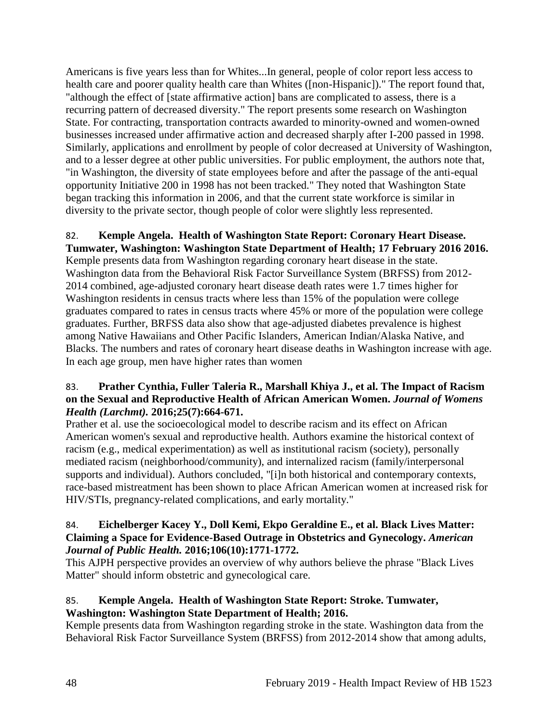Americans is five years less than for Whites...In general, people of color report less access to health care and poorer quality health care than Whites ([non-Hispanic])." The report found that, "although the effect of [state affirmative action] bans are complicated to assess, there is a recurring pattern of decreased diversity." The report presents some research on Washington State. For contracting, transportation contracts awarded to minority-owned and women-owned businesses increased under affirmative action and decreased sharply after I-200 passed in 1998. Similarly, applications and enrollment by people of color decreased at University of Washington, and to a lesser degree at other public universities. For public employment, the authors note that, "in Washington, the diversity of state employees before and after the passage of the anti-equal opportunity Initiative 200 in 1998 has not been tracked." They noted that Washington State began tracking this information in 2006, and that the current state workforce is similar in diversity to the private sector, though people of color were slightly less represented.

#### <span id="page-50-0"></span>82. **Kemple Angela. Health of Washington State Report: Coronary Heart Disease. Tumwater, Washington: Washington State Department of Health; 17 February 2016 2016.**

Kemple presents data from Washington regarding coronary heart disease in the state. Washington data from the Behavioral Risk Factor Surveillance System (BRFSS) from 2012- 2014 combined, age-adjusted coronary heart disease death rates were 1.7 times higher for Washington residents in census tracts where less than 15% of the population were college graduates compared to rates in census tracts where 45% or more of the population were college graduates. Further, BRFSS data also show that age-adjusted diabetes prevalence is highest among Native Hawaiians and Other Pacific Islanders, American Indian/Alaska Native, and Blacks. The numbers and rates of coronary heart disease deaths in Washington increase with age. In each age group, men have higher rates than women

# 83. **Prather Cynthia, Fuller Taleria R., Marshall Khiya J., et al. The Impact of Racism on the Sexual and Reproductive Health of African American Women.** *Journal of Womens Health (Larchmt).* **2016;25(7):664-671.**

Prather et al. use the socioecological model to describe racism and its effect on African American women's sexual and reproductive health. Authors examine the historical context of racism (e.g., medical experimentation) as well as institutional racism (society), personally mediated racism (neighborhood/community), and internalized racism (family/interpersonal supports and individual). Authors concluded, "[i]n both historical and contemporary contexts, race-based mistreatment has been shown to place African American women at increased risk for HIV/STIs, pregnancy-related complications, and early mortality."

#### 84. **Eichelberger Kacey Y., Doll Kemi, Ekpo Geraldine E., et al. Black Lives Matter: Claiming a Space for Evidence-Based Outrage in Obstetrics and Gynecology.** *American Journal of Public Health.* **2016;106(10):1771-1772.**

This AJPH perspective provides an overview of why authors believe the phrase "Black Lives Matter" should inform obstetric and gynecological care.

# 85. **Kemple Angela. Health of Washington State Report: Stroke. Tumwater, Washington: Washington State Department of Health; 2016.**

Kemple presents data from Washington regarding stroke in the state. Washington data from the Behavioral Risk Factor Surveillance System (BRFSS) from 2012-2014 show that among adults,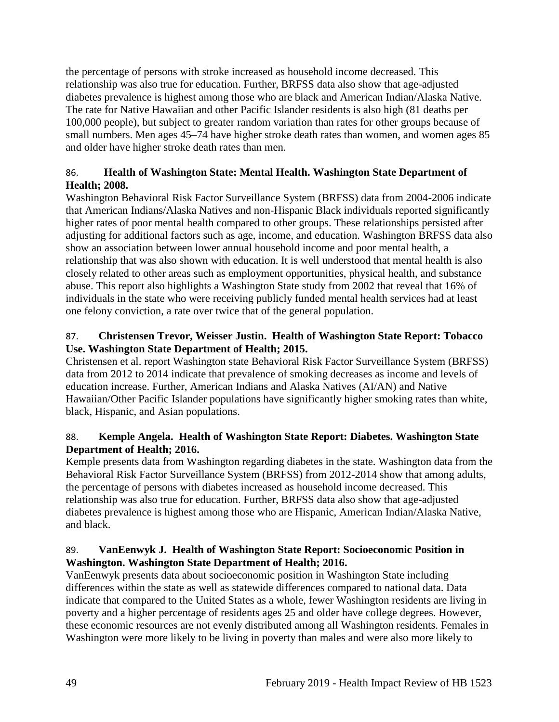the percentage of persons with stroke increased as household income decreased. This relationship was also true for education. Further, BRFSS data also show that age-adjusted diabetes prevalence is highest among those who are black and American Indian/Alaska Native. The rate for Native Hawaiian and other Pacific Islander residents is also high (81 deaths per 100,000 people), but subject to greater random variation than rates for other groups because of small numbers. Men ages 45–74 have higher stroke death rates than women, and women ages 85 and older have higher stroke death rates than men.

# <span id="page-51-0"></span>86. **Health of Washington State: Mental Health. Washington State Department of Health; 2008.**

Washington Behavioral Risk Factor Surveillance System (BRFSS) data from 2004-2006 indicate that American Indians/Alaska Natives and non-Hispanic Black individuals reported significantly higher rates of poor mental health compared to other groups. These relationships persisted after adjusting for additional factors such as age, income, and education. Washington BRFSS data also show an association between lower annual household income and poor mental health, a relationship that was also shown with education. It is well understood that mental health is also closely related to other areas such as employment opportunities, physical health, and substance abuse. This report also highlights a Washington State study from 2002 that reveal that 16% of individuals in the state who were receiving publicly funded mental health services had at least one felony conviction, a rate over twice that of the general population.

# 87. **Christensen Trevor, Weisser Justin. Health of Washington State Report: Tobacco Use. Washington State Department of Health; 2015.**

Christensen et al. report Washington state Behavioral Risk Factor Surveillance System (BRFSS) data from 2012 to 2014 indicate that prevalence of smoking decreases as income and levels of education increase. Further, American Indians and Alaska Natives (AI/AN) and Native Hawaiian/Other Pacific Islander populations have significantly higher smoking rates than white, black, Hispanic, and Asian populations.

# 88. **Kemple Angela. Health of Washington State Report: Diabetes. Washington State Department of Health; 2016.**

Kemple presents data from Washington regarding diabetes in the state. Washington data from the Behavioral Risk Factor Surveillance System (BRFSS) from 2012-2014 show that among adults, the percentage of persons with diabetes increased as household income decreased. This relationship was also true for education. Further, BRFSS data also show that age-adjusted diabetes prevalence is highest among those who are Hispanic, American Indian/Alaska Native, and black.

# 89. **VanEenwyk J. Health of Washington State Report: Socioeconomic Position in Washington. Washington State Department of Health; 2016.**

VanEenwyk presents data about socioeconomic position in Washington State including differences within the state as well as statewide differences compared to national data. Data indicate that compared to the United States as a whole, fewer Washington residents are living in poverty and a higher percentage of residents ages 25 and older have college degrees. However, these economic resources are not evenly distributed among all Washington residents. Females in Washington were more likely to be living in poverty than males and were also more likely to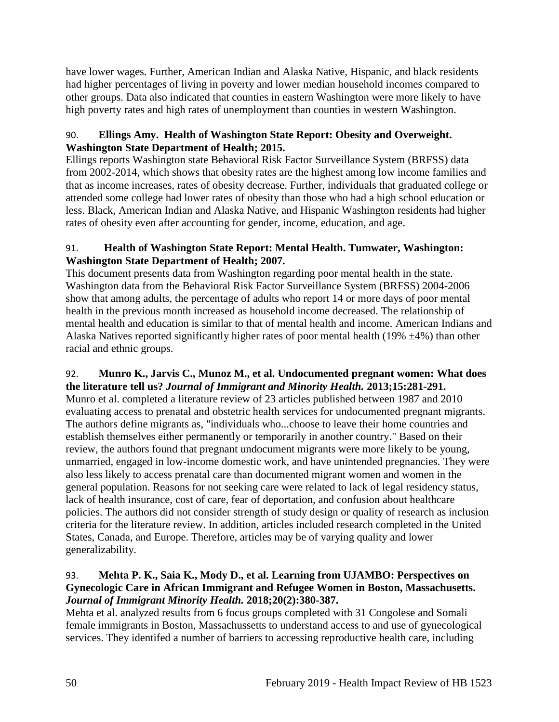have lower wages. Further, American Indian and Alaska Native, Hispanic, and black residents had higher percentages of living in poverty and lower median household incomes compared to other groups. Data also indicated that counties in eastern Washington were more likely to have high poverty rates and high rates of unemployment than counties in western Washington.

# 90. **Ellings Amy. Health of Washington State Report: Obesity and Overweight. Washington State Department of Health; 2015.**

Ellings reports Washington state Behavioral Risk Factor Surveillance System (BRFSS) data from 2002-2014, which shows that obesity rates are the highest among low income families and that as income increases, rates of obesity decrease. Further, individuals that graduated college or attended some college had lower rates of obesity than those who had a high school education or less. Black, American Indian and Alaska Native, and Hispanic Washington residents had higher rates of obesity even after accounting for gender, income, education, and age.

# 91. **Health of Washington State Report: Mental Health. Tumwater, Washington: Washington State Department of Health; 2007.**

This document presents data from Washington regarding poor mental health in the state. Washington data from the Behavioral Risk Factor Surveillance System (BRFSS) 2004-2006 show that among adults, the percentage of adults who report 14 or more days of poor mental health in the previous month increased as household income decreased. The relationship of mental health and education is similar to that of mental health and income. American Indians and Alaska Natives reported significantly higher rates of poor mental health (19%  $\pm$ 4%) than other racial and ethnic groups.

# <span id="page-52-0"></span>92. **Munro K., Jarvis C., Munoz M., et al. Undocumented pregnant women: What does the literature tell us?** *Journal of Immigrant and Minority Health.* **2013;15:281-291.**

Munro et al. completed a literature review of 23 articles published between 1987 and 2010 evaluating access to prenatal and obstetric health services for undocumented pregnant migrants. The authors define migrants as, "individuals who...choose to leave their home countries and establish themselves either permanently or temporarily in another country." Based on their review, the authors found that pregnant undocument migrants were more likely to be young, unmarried, engaged in low-income domestic work, and have unintended pregnancies. They were also less likely to access prenatal care than documented migrant women and women in the general population. Reasons for not seeking care were related to lack of legal residency status, lack of health insurance, cost of care, fear of deportation, and confusion about healthcare policies. The authors did not consider strength of study design or quality of research as inclusion criteria for the literature review. In addition, articles included research completed in the United States, Canada, and Europe. Therefore, articles may be of varying quality and lower generalizability.

# <span id="page-52-1"></span>93. **Mehta P. K., Saia K., Mody D., et al. Learning from UJAMBO: Perspectives on Gynecologic Care in African Immigrant and Refugee Women in Boston, Massachusetts.**  *Journal of Immigrant Minority Health.* **2018;20(2):380-387.**

Mehta et al. analyzed results from 6 focus groups completed with 31 Congolese and Somali female immigrants in Boston, Massachussetts to understand access to and use of gynecological services. They identifed a number of barriers to accessing reproductive health care, including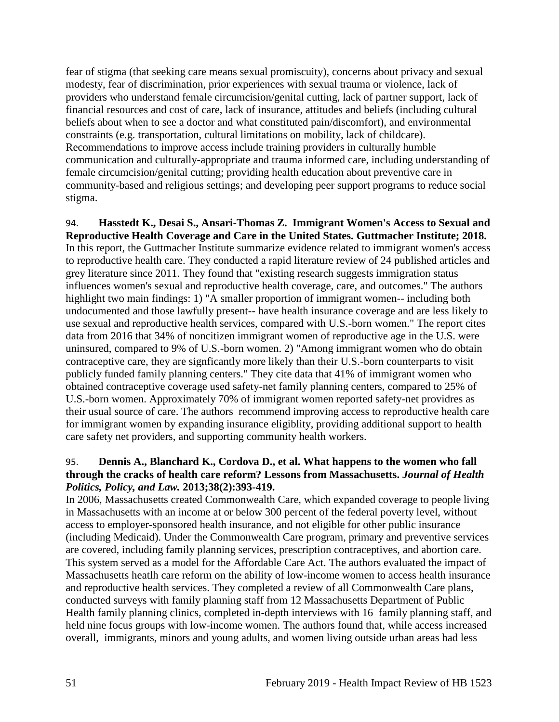fear of stigma (that seeking care means sexual promiscuity), concerns about privacy and sexual modesty, fear of discrimination, prior experiences with sexual trauma or violence, lack of providers who understand female circumcision/genital cutting, lack of partner support, lack of financial resources and cost of care, lack of insurance, attitudes and beliefs (including cultural beliefs about when to see a doctor and what constituted pain/discomfort), and environmental constraints (e.g. transportation, cultural limitations on mobility, lack of childcare). Recommendations to improve access include training providers in culturally humble communication and culturally-appropriate and trauma informed care, including understanding of female circumcision/genital cutting; providing health education about preventive care in community-based and religious settings; and developing peer support programs to reduce social stigma.

94. **Hasstedt K., Desai S., Ansari-Thomas Z. Immigrant Women's Access to Sexual and Reproductive Health Coverage and Care in the United States. Guttmacher Institute; 2018.** In this report, the Guttmacher Institute summarize evidence related to immigrant women's access to reproductive health care. They conducted a rapid literature review of 24 published articles and grey literature since 2011. They found that "existing research suggests immigration status influences women's sexual and reproductive health coverage, care, and outcomes." The authors highlight two main findings: 1) "A smaller proportion of immigrant women-- including both undocumented and those lawfully present-- have health insurance coverage and are less likely to use sexual and reproductive health services, compared with U.S.-born women." The report cites data from 2016 that 34% of noncitizen immigrant women of reproductive age in the U.S. were uninsured, compared to 9% of U.S.-born women. 2) "Among immigrant women who do obtain contraceptive care, they are signficantly more likely than their U.S.-born counterparts to visit publicly funded family planning centers." They cite data that 41% of immigrant women who obtained contraceptive coverage used safety-net family planning centers, compared to 25% of U.S.-born women. Approximately 70% of immigrant women reported safety-net providres as their usual source of care. The authors recommend improving access to reproductive health care for immigrant women by expanding insurance eligiblity, providing additional support to health care safety net providers, and supporting community health workers.

#### 95. **Dennis A., Blanchard K., Cordova D., et al. What happens to the women who fall through the cracks of health care reform? Lessons from Massachusetts.** *Journal of Health Politics, Policy, and Law.* **2013;38(2):393-419.**

In 2006, Massachusetts created Commonwealth Care, which expanded coverage to people living in Massachusetts with an income at or below 300 percent of the federal poverty level, without access to employer-sponsored health insurance, and not eligible for other public insurance (including Medicaid). Under the Commonwealth Care program, primary and preventive services are covered, including family planning services, prescription contraceptives, and abortion care. This system served as a model for the Affordable Care Act. The authors evaluated the impact of Massachusetts heatlh care reform on the ability of low-income women to access health insurance and reproductive health services. They completed a review of all Commonwealth Care plans, conducted surveys with family planning staff from 12 Massachusetts Department of Public Health family planning clinics, completed in-depth interviews with 16 family planning staff, and held nine focus groups with low-income women. The authors found that, while access increased overall, immigrants, minors and young adults, and women living outside urban areas had less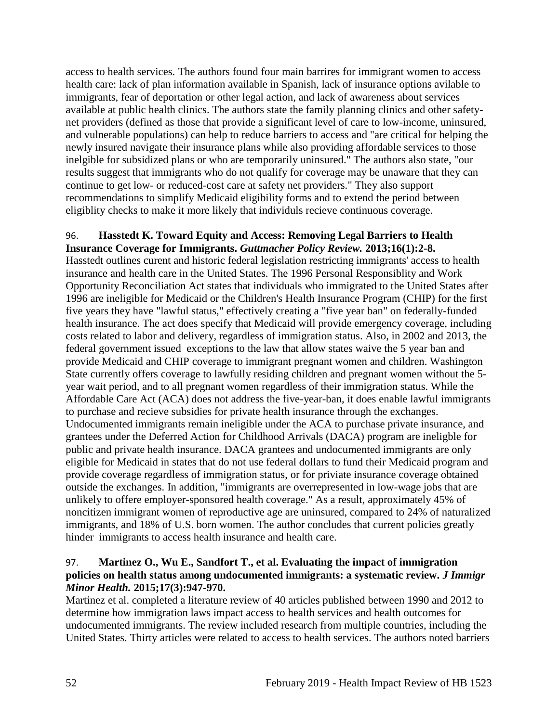access to health services. The authors found four main barrires for immigrant women to access health care: lack of plan information available in Spanish, lack of insurance options avilable to immigrants, fear of deportation or other legal action, and lack of awareness about services available at public health clinics. The authors state the family planning clinics and other safetynet providers (defined as those that provide a significant level of care to low-income, uninsured, and vulnerable populations) can help to reduce barriers to access and "are critical for helping the newly insured navigate their insurance plans while also providing affordable services to those inelgible for subsidized plans or who are temporarily uninsured." The authors also state, "our results suggest that immigrants who do not qualify for coverage may be unaware that they can continue to get low- or reduced-cost care at safety net providers." They also support recommendations to simplify Medicaid eligibility forms and to extend the period between eligiblity checks to make it more likely that individuls recieve continuous coverage.

#### <span id="page-54-0"></span>96. **Hasstedt K. Toward Equity and Access: Removing Legal Barriers to Health Insurance Coverage for Immigrants.** *Guttmacher Policy Review.* **2013;16(1):2-8.**

Hasstedt outlines curent and historic federal legislation restricting immigrants' access to health insurance and health care in the United States. The 1996 Personal Responsiblity and Work Opportunity Reconciliation Act states that individuals who immigrated to the United States after 1996 are ineligible for Medicaid or the Children's Health Insurance Program (CHIP) for the first five years they have "lawful status," effectively creating a "five year ban" on federally-funded health insurance. The act does specify that Medicaid will provide emergency coverage, including costs related to labor and delivery, regardless of immigration status. Also, in 2002 and 2013, the federal government issued exceptions to the law that allow states waive the 5 year ban and provide Medicaid and CHIP coverage to immigrant pregnant women and children. Washington State currently offers coverage to lawfully residing children and pregnant women without the 5 year wait period, and to all pregnant women regardless of their immigration status. While the Affordable Care Act (ACA) does not address the five-year-ban, it does enable lawful immigrants to purchase and recieve subsidies for private health insurance through the exchanges. Undocumented immigrants remain ineligible under the ACA to purchase private insurance, and grantees under the Deferred Action for Childhood Arrivals (DACA) program are ineligble for public and private health insurance. DACA grantees and undocumented immigrants are only eligible for Medicaid in states that do not use federal dollars to fund their Medicaid program and provide coverage regardless of immigration status, or for priviate insurance coverage obtained outside the exchanges. In addition, "immigrants are overrepresented in low-wage jobs that are unlikely to offere employer-sponsored health coverage." As a result, approximately 45% of noncitizen immigrant women of reproductive age are uninsured, compared to 24% of naturalized immigrants, and 18% of U.S. born women. The author concludes that current policies greatly hinder immigrants to access health insurance and health care.

# 97. **Martinez O., Wu E., Sandfort T., et al. Evaluating the impact of immigration policies on health status among undocumented immigrants: a systematic review.** *J Immigr Minor Health.* **2015;17(3):947-970.**

Martinez et al. completed a literature review of 40 articles published between 1990 and 2012 to determine how immigration laws impact access to health services and health outcomes for undocumented immigrants. The review included research from multiple countries, including the United States. Thirty articles were related to access to health services. The authors noted barriers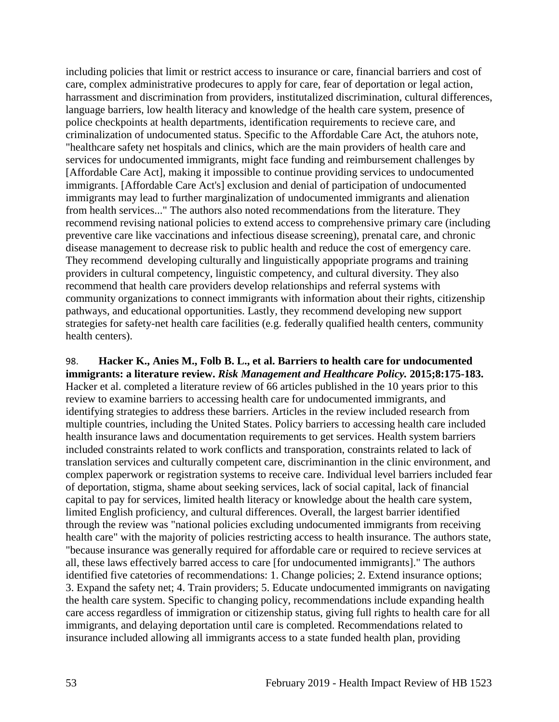including policies that limit or restrict access to insurance or care, financial barriers and cost of care, complex administrative prodecures to apply for care, fear of deportation or legal action, harrassment and discrimination from providers, institutalized discrimination, cultural differences, language barriers, low health literacy and knowledge of the health care system, presence of police checkpoints at health departments, identification requirements to recieve care, and criminalization of undocumented status. Specific to the Affordable Care Act, the atuhors note, "healthcare safety net hospitals and clinics, which are the main providers of health care and services for undocumented immigrants, might face funding and reimbursement challenges by [Affordable Care Act], making it impossible to continue providing services to undocumented immigrants. [Affordable Care Act's] exclusion and denial of participation of undocumented immigrants may lead to further marginalization of undocumented immigrants and alienation from health services..." The authors also noted recommendations from the literature. They recommend revising national policies to extend access to comprehensive primary care (including preventive care like vaccinations and infectious disease screening), prenatal care, and chronic disease management to decrease risk to public health and reduce the cost of emergency care. They recommend developing culturally and linguistically appopriate programs and training providers in cultural competency, linguistic competency, and cultural diversity. They also recommend that health care providers develop relationships and referral systems with community organizations to connect immigrants with information about their rights, citizenship pathways, and educational opportunities. Lastly, they recommend developing new support strategies for safety-net health care facilities (e.g. federally qualified health centers, community health centers).

98. **Hacker K., Anies M., Folb B. L., et al. Barriers to health care for undocumented immigrants: a literature review.** *Risk Management and Healthcare Policy.* **2015;8:175-183.** Hacker et al. completed a literature review of 66 articles published in the 10 years prior to this review to examine barriers to accessing health care for undocumented immigrants, and identifying strategies to address these barriers. Articles in the review included research from multiple countries, including the United States. Policy barriers to accessing health care included health insurance laws and documentation requirements to get services. Health system barriers included constraints related to work conflicts and transporation, constraints related to lack of translation services and culturally competent care, discriminantion in the clinic environment, and complex paperwork or registration systems to receive care. Individual level barriers included fear of deportation, stigma, shame about seeking services, lack of social capital, lack of financial capital to pay for services, limited health literacy or knowledge about the health care system, limited English proficiency, and cultural differences. Overall, the largest barrier identified through the review was "national policies excluding undocumented immigrants from receiving health care" with the majority of policies restricting access to health insurance. The authors state, "because insurance was generally required for affordable care or required to recieve services at all, these laws effectively barred access to care [for undocumented immigrants]." The authors identified five catetories of recommendations: 1. Change policies; 2. Extend insurance options; 3. Expand the safety net; 4. Train providers; 5. Educate undocumented immigrants on navigating the health care system. Specific to changing policy, recommendations include expanding health care access regardless of immigration or citizenship status, giving full rights to health care for all immigrants, and delaying deportation until care is completed. Recommendations related to insurance included allowing all immigrants access to a state funded health plan, providing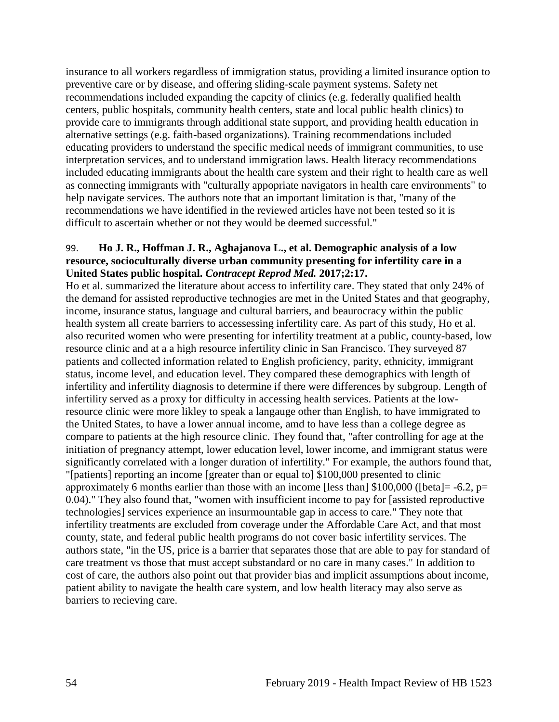insurance to all workers regardless of immigration status, providing a limited insurance option to preventive care or by disease, and offering sliding-scale payment systems. Safety net recommendations included expanding the capcity of clinics (e.g. federally qualified health centers, public hospitals, community health centers, state and local public health clinics) to provide care to immigrants through additional state support, and providing health education in alternative settings (e.g. faith-based organizations). Training recommendations included educating providers to understand the specific medical needs of immigrant communities, to use interpretation services, and to understand immigration laws. Health literacy recommendations included educating immigrants about the health care system and their right to health care as well as connecting immigrants with "culturally appopriate navigators in health care environments" to help navigate services. The authors note that an important limitation is that, "many of the recommendations we have identified in the reviewed articles have not been tested so it is difficult to ascertain whether or not they would be deemed successful."

#### <span id="page-56-0"></span>99. **Ho J. R., Hoffman J. R., Aghajanova L., et al. Demographic analysis of a low resource, socioculturally diverse urban community presenting for infertility care in a United States public hospital.** *Contracept Reprod Med.* **2017;2:17.**

Ho et al. summarized the literature about access to infertility care. They stated that only 24% of the demand for assisted reproductive technogies are met in the United States and that geography, income, insurance status, language and cultural barriers, and beaurocracy within the public health system all create barriers to accessessing infertility care. As part of this study, Ho et al. also recurited women who were presenting for infertility treatment at a public, county-based, low resource clinic and at a a high resource infertility clinic in San Francisco. They surveyed 87 patients and collected information related to English proficiency, parity, ethnicity, immigrant status, income level, and education level. They compared these demographics with length of infertility and infertility diagnosis to determine if there were differences by subgroup. Length of infertility served as a proxy for difficulty in accessing health services. Patients at the lowresource clinic were more likley to speak a langauge other than English, to have immigrated to the United States, to have a lower annual income, amd to have less than a college degree as compare to patients at the high resource clinic. They found that, "after controlling for age at the initiation of pregnancy attempt, lower education level, lower income, and immigrant status were significantly correlated with a longer duration of infertility." For example, the authors found that, "[patients] reporting an income [greater than or equal to] \$100,000 presented to clinic approximately 6 months earlier than those with an income [less than]  $$100,000$  ([beta] = -6.2, p= 0.04)." They also found that, "women with insufficient income to pay for [assisted reproductive technologies] services experience an insurmountable gap in access to care." They note that infertility treatments are excluded from coverage under the Affordable Care Act, and that most county, state, and federal public health programs do not cover basic infertility services. The authors state, "in the US, price is a barrier that separates those that are able to pay for standard of care treatment vs those that must accept substandard or no care in many cases." In addition to cost of care, the authors also point out that provider bias and implicit assumptions about income, patient ability to navigate the health care system, and low health literacy may also serve as barriers to recieving care.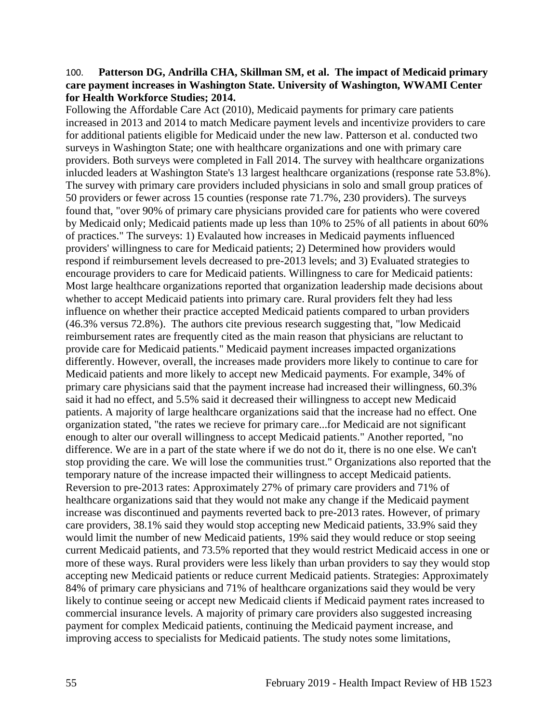#### 100. **Patterson DG, Andrilla CHA, Skillman SM, et al. The impact of Medicaid primary care payment increases in Washington State. University of Washington, WWAMI Center for Health Workforce Studies; 2014.**

Following the Affordable Care Act (2010), Medicaid payments for primary care patients increased in 2013 and 2014 to match Medicare payment levels and incentivize providers to care for additional patients eligible for Medicaid under the new law. Patterson et al. conducted two surveys in Washington State; one with healthcare organizations and one with primary care providers. Both surveys were completed in Fall 2014. The survey with healthcare organizations inlucded leaders at Washington State's 13 largest healthcare organizations (response rate 53.8%). The survey with primary care providers included physicians in solo and small group pratices of 50 providers or fewer across 15 counties (response rate 71.7%, 230 providers). The surveys found that, "over 90% of primary care physicians provided care for patients who were covered by Medicaid only; Medicaid patients made up less than 10% to 25% of all patients in about 60% of practices." The surveys: 1) Evalauted how increases in Medicaid payments influenced providers' willingness to care for Medicaid patients; 2) Determined how providers would respond if reimbursement levels decreased to pre-2013 levels; and 3) Evaluated strategies to encourage providers to care for Medicaid patients. Willingness to care for Medicaid patients: Most large healthcare organizations reported that organization leadership made decisions about whether to accept Medicaid patients into primary care. Rural providers felt they had less influence on whether their practice accepted Medicaid patients compared to urban providers (46.3% versus 72.8%). The authors cite previous research suggesting that, "low Medicaid reimbursement rates are frequently cited as the main reason that physicians are reluctant to provide care for Medicaid patients." Medicaid payment increases impacted organizations differently. However, overall, the increases made providers more likely to continue to care for Medicaid patients and more likely to accept new Medicaid payments. For example, 34% of primary care physicians said that the payment increase had increased their willingness, 60.3% said it had no effect, and 5.5% said it decreased their willingness to accept new Medicaid patients. A majority of large healthcare organizations said that the increase had no effect. One organization stated, "the rates we recieve for primary care...for Medicaid are not significant enough to alter our overall willingness to accept Medicaid patients." Another reported, "no difference. We are in a part of the state where if we do not do it, there is no one else. We can't stop providing the care. We will lose the communities trust." Organizations also reported that the temporary nature of the increase impacted their willingness to accept Medicaid patients. Reversion to pre-2013 rates: Approximately 27% of primary care providers and 71% of healthcare organizations said that they would not make any change if the Medicaid payment increase was discontinued and payments reverted back to pre-2013 rates. However, of primary care providers, 38.1% said they would stop accepting new Medicaid patients, 33.9% said they would limit the number of new Medicaid patients, 19% said they would reduce or stop seeing current Medicaid patients, and 73.5% reported that they would restrict Medicaid access in one or more of these ways. Rural providers were less likely than urban providers to say they would stop accepting new Medicaid patients or reduce current Medicaid patients. Strategies: Approximately 84% of primary care physicians and 71% of healthcare organizations said they would be very likely to continue seeing or accept new Medicaid clients if Medicaid payment rates increased to commercial insurance levels. A majority of primary care providers also suggested increasing payment for complex Medicaid patients, continuing the Medicaid payment increase, and improving access to specialists for Medicaid patients. The study notes some limitations,